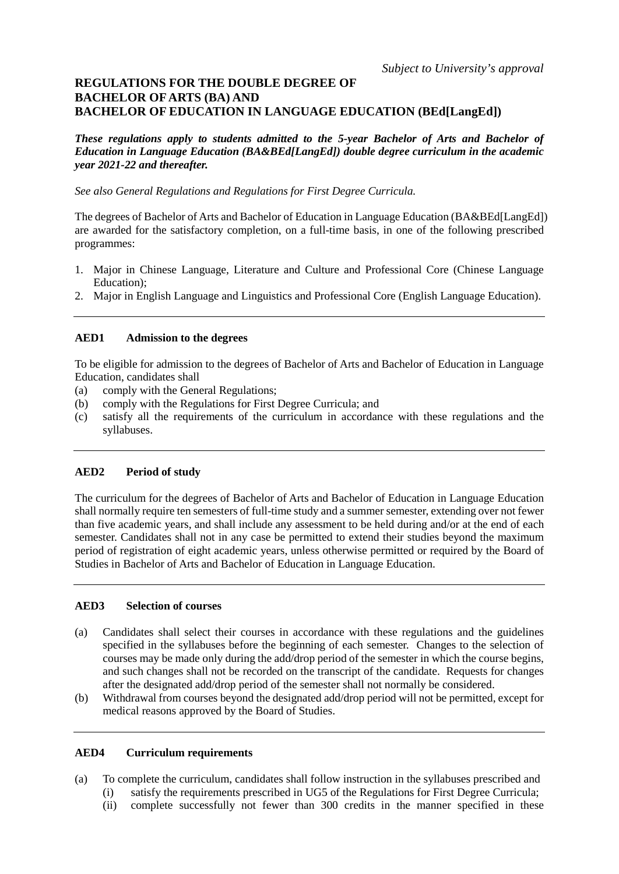# **REGULATIONS FOR THE DOUBLE DEGREE OF BACHELOR OF ARTS (BA) AND BACHELOR OF EDUCATION IN LANGUAGE EDUCATION (BEd[LangEd])**

*These regulations apply to students admitted to the 5-year Bachelor of Arts and Bachelor of Education in Language Education (BA&BEd[LangEd]) double degree curriculum in the academic year 2021-22 and thereafter.*

*See also General Regulations and Regulations for First Degree Curricula.*

The degrees of Bachelor of Arts and Bachelor of Education in Language Education (BA&BEd[LangEd]) are awarded for the satisfactory completion, on a full-time basis, in one of the following prescribed programmes:

- 1. Major in Chinese Language, Literature and Culture and Professional Core (Chinese Language Education);
- 2. Major in English Language and Linguistics and Professional Core (English Language Education).

# **AED1 Admission to the degrees**

To be eligible for admission to the degrees of Bachelor of Arts and Bachelor of Education in Language Education, candidates shall

- (a) comply with the General Regulations;
- (b) comply with the Regulations for First Degree Curricula; and
- (c) satisfy all the requirements of the curriculum in accordance with these regulations and the syllabuses.

# **AED2 Period of study**

The curriculum for the degrees of Bachelor of Arts and Bachelor of Education in Language Education shall normally require ten semesters of full-time study and a summer semester, extending over not fewer than five academic years, and shall include any assessment to be held during and/or at the end of each semester. Candidates shall not in any case be permitted to extend their studies beyond the maximum period of registration of eight academic years, unless otherwise permitted or required by the Board of Studies in Bachelor of Arts and Bachelor of Education in Language Education.

## **AED3 Selection of courses**

- (a) Candidates shall select their courses in accordance with these regulations and the guidelines specified in the syllabuses before the beginning of each semester. Changes to the selection of courses may be made only during the add/drop period of the semester in which the course begins, and such changes shall not be recorded on the transcript of the candidate. Requests for changes after the designated add/drop period of the semester shall not normally be considered.
- (b) Withdrawal from courses beyond the designated add/drop period will not be permitted, except for medical reasons approved by the Board of Studies.

## **AED4 Curriculum requirements**

- (a) To complete the curriculum, candidates shall follow instruction in the syllabuses prescribed and
	- (i) satisfy the requirements prescribed in UG5 of the Regulations for First Degree Curricula;
	- (ii) complete successfully not fewer than 300 credits in the manner specified in these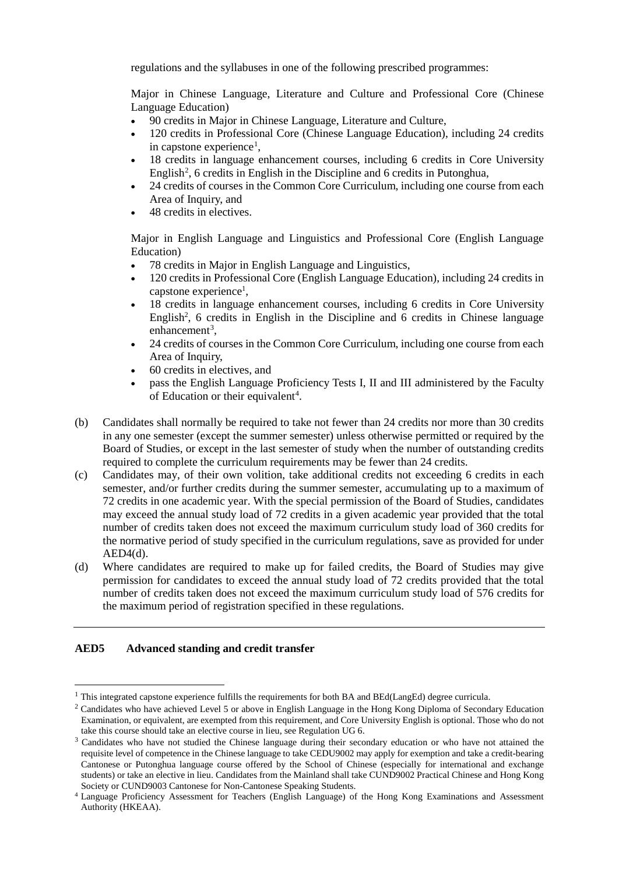regulations and the syllabuses in one of the following prescribed programmes:

Major in Chinese Language, Literature and Culture and Professional Core (Chinese Language Education)

- 90 credits in Major in Chinese Language, Literature and Culture,
- 120 credits in Professional Core (Chinese Language Education), including 24 credits in capstone experience<sup>[1](#page-1-0)</sup>,
- 18 credits in language enhancement courses, including 6 credits in Core University English<sup>[2](#page-1-1)</sup>, 6 credits in English in the Discipline and 6 credits in Putonghua,
- 24 credits of courses in the Common Core Curriculum, including one course from each Area of Inquiry, and
- 48 credits in electives.

Major in English Language and Linguistics and Professional Core (English Language Education)

- 78 credits in Major in English Language and Linguistics,
- 120 credits in Professional Core (English Language Education), including 24 credits in capstone experience<sup>1</sup>,
- 18 credits in language enhancement courses, including 6 credits in Core University English<sup>2</sup>, 6 credits in English in the Discipline and 6 credits in Chinese language enhancement<sup>[3](#page-1-2)</sup>,
- 24 credits of courses in the Common Core Curriculum, including one course from each Area of Inquiry,
- 60 credits in electives, and
- pass the English Language Proficiency Tests I, II and III administered by the Faculty of Education or their equivalent<sup>[4](#page-1-3)</sup>.
- (b) Candidates shall normally be required to take not fewer than 24 credits nor more than 30 credits in any one semester (except the summer semester) unless otherwise permitted or required by the Board of Studies, or except in the last semester of study when the number of outstanding credits required to complete the curriculum requirements may be fewer than 24 credits.
- (c) Candidates may, of their own volition, take additional credits not exceeding 6 credits in each semester, and/or further credits during the summer semester, accumulating up to a maximum of 72 credits in one academic year. With the special permission of the Board of Studies, candidates may exceed the annual study load of 72 credits in a given academic year provided that the total number of credits taken does not exceed the maximum curriculum study load of 360 credits for the normative period of study specified in the curriculum regulations, save as provided for under  $AED4(d)$ .
- (d) Where candidates are required to make up for failed credits, the Board of Studies may give permission for candidates to exceed the annual study load of 72 credits provided that the total number of credits taken does not exceed the maximum curriculum study load of 576 credits for the maximum period of registration specified in these regulations.

# **AED5 Advanced standing and credit transfer**

<span id="page-1-0"></span> <sup>1</sup> This integrated capstone experience fulfills the requirements for both BA and BEd(LangEd) degree curricula.

<span id="page-1-1"></span><sup>&</sup>lt;sup>2</sup> Candidates who have achieved Level 5 or above in English Language in the Hong Kong Diploma of Secondary Education Examination, or equivalent, are exempted from this requirement, and Core University English is optional. Those who do not take this course should take an elective course in lieu, see Regulation UG 6.

<span id="page-1-2"></span><sup>&</sup>lt;sup>3</sup> Candidates who have not studied the Chinese language during their secondary education or who have not attained the requisite level of competence in the Chinese language to take CEDU9002 may apply for exemption and take a credit-bearing Cantonese or Putonghua language course offered by the School of Chinese (especially for international and exchange students) or take an elective in lieu. Candidates from the Mainland shall take CUND9002 Practical Chinese and Hong Kong Society or CUND9003 Cantonese for Non-Cantonese Speaking Students.

<span id="page-1-3"></span><sup>4</sup> Language Proficiency Assessment for Teachers (English Language) of the Hong Kong Examinations and Assessment Authority (HKEAA).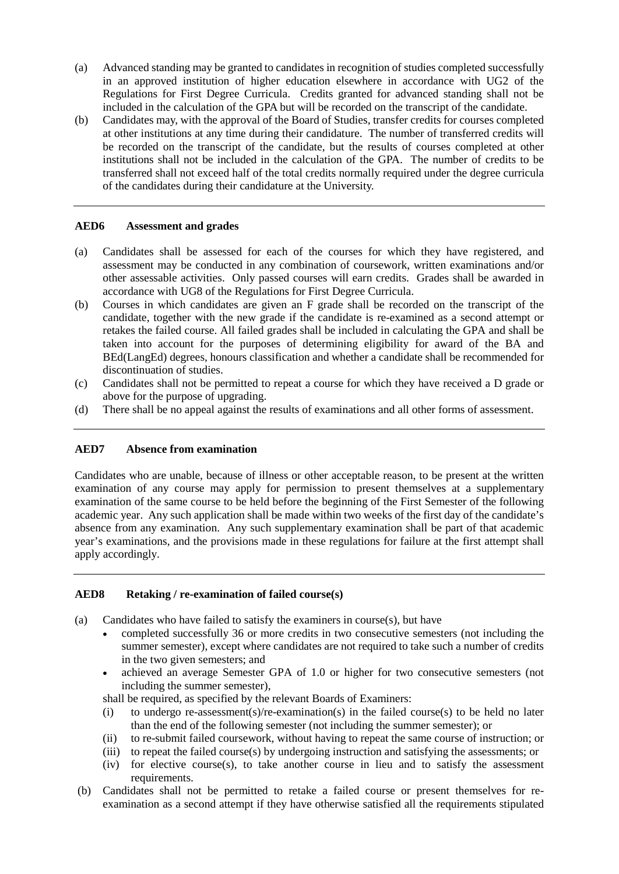- (a) Advanced standing may be granted to candidates in recognition of studies completed successfully in an approved institution of higher education elsewhere in accordance with UG2 of the Regulations for First Degree Curricula. Credits granted for advanced standing shall not be included in the calculation of the GPA but will be recorded on the transcript of the candidate.
- (b) Candidates may, with the approval of the Board of Studies, transfer credits for courses completed at other institutions at any time during their candidature. The number of transferred credits will be recorded on the transcript of the candidate, but the results of courses completed at other institutions shall not be included in the calculation of the GPA. The number of credits to be transferred shall not exceed half of the total credits normally required under the degree curricula of the candidates during their candidature at the University.

## **AED6 Assessment and grades**

- (a) Candidates shall be assessed for each of the courses for which they have registered, and assessment may be conducted in any combination of coursework, written examinations and/or other assessable activities. Only passed courses will earn credits. Grades shall be awarded in accordance with UG8 of the Regulations for First Degree Curricula.
- (b) Courses in which candidates are given an F grade shall be recorded on the transcript of the candidate, together with the new grade if the candidate is re-examined as a second attempt or retakes the failed course. All failed grades shall be included in calculating the GPA and shall be taken into account for the purposes of determining eligibility for award of the BA and BEd(LangEd) degrees, honours classification and whether a candidate shall be recommended for discontinuation of studies.
- (c) Candidates shall not be permitted to repeat a course for which they have received a D grade or above for the purpose of upgrading.
- (d) There shall be no appeal against the results of examinations and all other forms of assessment.

# **AED7 Absence from examination**

Candidates who are unable, because of illness or other acceptable reason, to be present at the written examination of any course may apply for permission to present themselves at a supplementary examination of the same course to be held before the beginning of the First Semester of the following academic year. Any such application shall be made within two weeks of the first day of the candidate's absence from any examination. Any such supplementary examination shall be part of that academic year's examinations, and the provisions made in these regulations for failure at the first attempt shall apply accordingly.

## **AED8 Retaking / re-examination of failed course(s)**

- (a) Candidates who have failed to satisfy the examiners in course(s), but have
	- completed successfully 36 or more credits in two consecutive semesters (not including the summer semester), except where candidates are not required to take such a number of credits in the two given semesters; and
	- achieved an average Semester GPA of 1.0 or higher for two consecutive semesters (not including the summer semester),

shall be required, as specified by the relevant Boards of Examiners:

- (i) to undergo re-assessment(s)/re-examination(s) in the failed course(s) to be held no later than the end of the following semester (not including the summer semester); or
- (ii) to re-submit failed coursework, without having to repeat the same course of instruction; or
- (iii) to repeat the failed course(s) by undergoing instruction and satisfying the assessments; or
- (iv) for elective course(s), to take another course in lieu and to satisfy the assessment requirements.
- (b) Candidates shall not be permitted to retake a failed course or present themselves for reexamination as a second attempt if they have otherwise satisfied all the requirements stipulated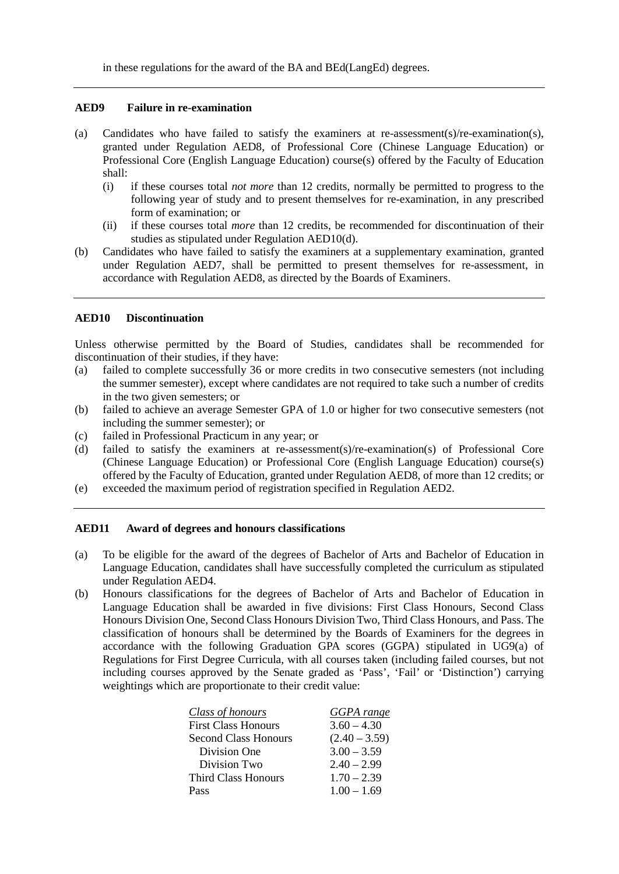in these regulations for the award of the BA and BEd(LangEd) degrees.

#### **AED9 Failure in re-examination**

- (a) Candidates who have failed to satisfy the examiners at re-assessment(s)/re-examination(s), granted under Regulation AED8, of Professional Core (Chinese Language Education) or Professional Core (English Language Education) course(s) offered by the Faculty of Education shall:
	- (i) if these courses total *not more* than 12 credits, normally be permitted to progress to the following year of study and to present themselves for re-examination, in any prescribed form of examination; or
	- (ii) if these courses total *more* than 12 credits, be recommended for discontinuation of their studies as stipulated under Regulation AED10(d).
- (b) Candidates who have failed to satisfy the examiners at a supplementary examination, granted under Regulation AED7, shall be permitted to present themselves for re-assessment, in accordance with Regulation AED8, as directed by the Boards of Examiners.

## **AED10 Discontinuation**

Unless otherwise permitted by the Board of Studies, candidates shall be recommended for discontinuation of their studies, if they have:

- (a) failed to complete successfully 36 or more credits in two consecutive semesters (not including the summer semester), except where candidates are not required to take such a number of credits in the two given semesters; or
- (b) failed to achieve an average Semester GPA of 1.0 or higher for two consecutive semesters (not including the summer semester); or
- (c) failed in Professional Practicum in any year; or
- (d) failed to satisfy the examiners at re-assessment(s)/re-examination(s) of Professional Core (Chinese Language Education) or Professional Core (English Language Education) course(s) offered by the Faculty of Education, granted under Regulation AED8, of more than 12 credits; or
- (e) exceeded the maximum period of registration specified in Regulation AED2.

## **AED11 Award of degrees and honours classifications**

- (a) To be eligible for the award of the degrees of Bachelor of Arts and Bachelor of Education in Language Education, candidates shall have successfully completed the curriculum as stipulated under Regulation AED4.
- (b) Honours classifications for the degrees of Bachelor of Arts and Bachelor of Education in Language Education shall be awarded in five divisions: First Class Honours, Second Class Honours Division One, Second Class Honours Division Two, Third Class Honours, and Pass. The classification of honours shall be determined by the Boards of Examiners for the degrees in accordance with the following Graduation GPA scores (GGPA) stipulated in UG9(a) of Regulations for First Degree Curricula, with all courses taken (including failed courses, but not including courses approved by the Senate graded as 'Pass', 'Fail' or 'Distinction') carrying weightings which are proportionate to their credit value:

| Class of honours            | GGPA range      |
|-----------------------------|-----------------|
| <b>First Class Honours</b>  | $3.60 - 4.30$   |
| <b>Second Class Honours</b> | $(2.40 - 3.59)$ |
| Division One                | $3.00 - 3.59$   |
| Division Two                | $2.40 - 2.99$   |
| Third Class Honours         | $1.70 - 2.39$   |
| Pass                        | $1.00 - 1.69$   |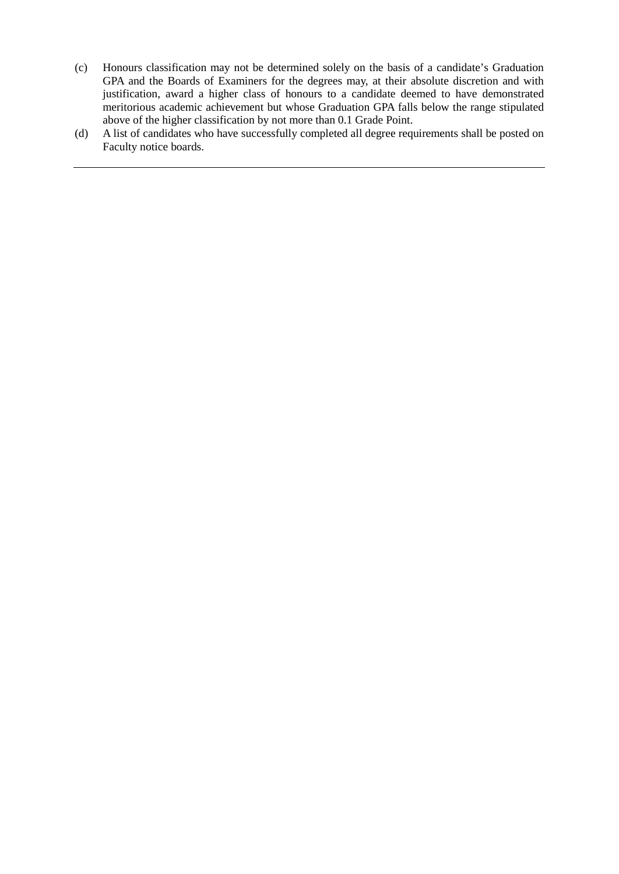- (c) Honours classification may not be determined solely on the basis of a candidate's Graduation GPA and the Boards of Examiners for the degrees may, at their absolute discretion and with justification, award a higher class of honours to a candidate deemed to have demonstrated meritorious academic achievement but whose Graduation GPA falls below the range stipulated above of the higher classification by not more than 0.1 Grade Point.
- (d) A list of candidates who have successfully completed all degree requirements shall be posted on Faculty notice boards.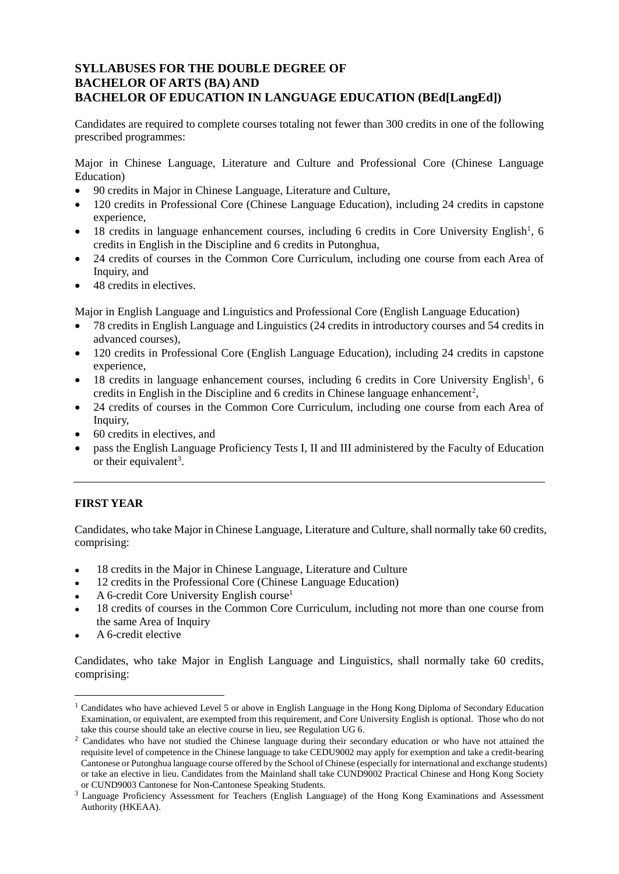# **SYLLABUSES FOR THE DOUBLE DEGREE OF BACHELOR OF ARTS (BA) AND BACHELOR OF EDUCATION IN LANGUAGE EDUCATION (BEd[LangEd])**

Candidates are required to complete courses totaling not fewer than 300 credits in one of the following prescribed programmes:

Major in Chinese Language, Literature and Culture and Professional Core (Chinese Language Education)

- 90 credits in Major in Chinese Language, Literature and Culture,
- 120 credits in Professional Core (Chinese Language Education), including 24 credits in capstone experience,
- [1](#page-5-0)8 credits in language enhancement courses, including 6 credits in Core University English<sup>1</sup>, 6 credits in English in the Discipline and 6 credits in Putonghua,
- 24 credits of courses in the Common Core Curriculum, including one course from each Area of Inquiry, and
- 48 credits in electives.

Major in English Language and Linguistics and Professional Core (English Language Education)

- 78 credits in English Language and Linguistics (24 credits in introductory courses and 54 credits in advanced courses),
- 120 credits in Professional Core (English Language Education), including 24 credits in capstone experience,
- 18 credits in language enhancement courses, including 6 credits in Core University English<sup>1</sup>, 6 credits in English in the Discipline and 6 credits in Chinese language enhancement<sup>[2](#page-5-1)</sup>,
- 24 credits of courses in the Common Core Curriculum, including one course from each Area of Inquiry,
- 60 credits in electives, and
- pass the English Language Proficiency Tests I, II and III administered by the Faculty of Education or their equivalent<sup>[3](#page-5-2)</sup>.

# **FIRST YEAR**

Candidates, who take Major in Chinese Language, Literature and Culture, shall normally take 60 credits, comprising:

- 18 credits in the Major in Chinese Language, Literature and Culture
- 12 credits in the Professional Core (Chinese Language Education)
- A 6-credit Core University English course<sup>1</sup>
- 18 credits of courses in the Common Core Curriculum, including not more than one course from the same Area of Inquiry
- A 6-credit elective

Candidates, who take Major in English Language and Linguistics, shall normally take 60 credits, comprising:

<span id="page-5-0"></span><sup>&</sup>lt;sup>1</sup> Candidates who have achieved Level 5 or above in English Language in the Hong Kong Diploma of Secondary Education Examination, or equivalent, are exempted from this requirement, and Core University English is optional. Those who do not take this course should take an elective course in lieu, see Regulation UG 6.

<span id="page-5-1"></span><sup>&</sup>lt;sup>2</sup> Candidates who have not studied the Chinese language during their secondary education or who have not attained the requisite level of competence in the Chinese language to take CEDU9002 may apply for exemption and take a credit-bearing Cantonese or Putonghua language course offered by the School of Chinese (especially for international and exchange students) or take an elective in lieu. Candidates from the Mainland shall take CUND9002 Practical Chinese and Hong Kong Society or CUND9003 Cantonese for Non-Cantonese Speaking Students.

<span id="page-5-2"></span><sup>3</sup> Language Proficiency Assessment for Teachers (English Language) of the Hong Kong Examinations and Assessment Authority (HKEAA).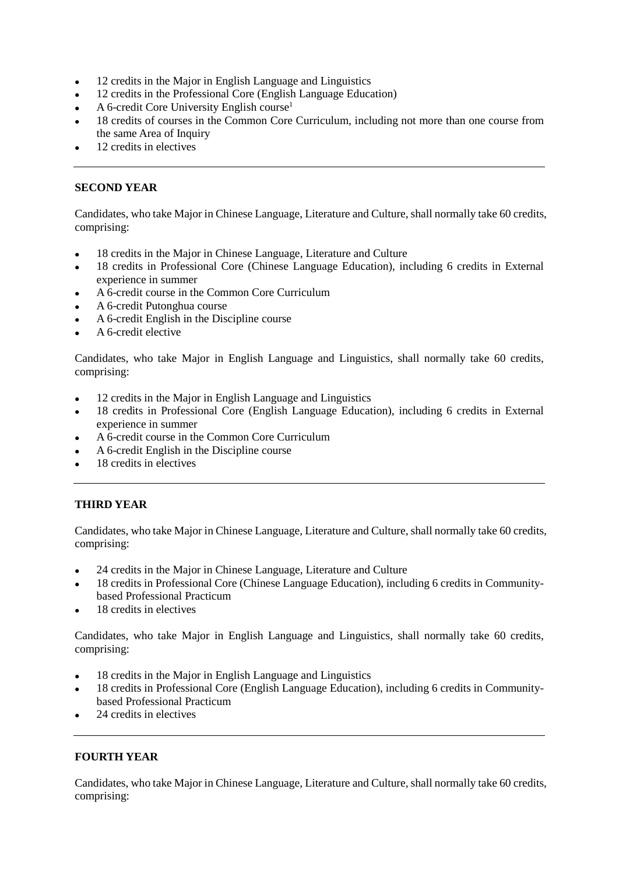- 12 credits in the Major in English Language and Linguistics
- 12 credits in the Professional Core (English Language Education)
- A 6-credit Core University English course1
- 18 credits of courses in the Common Core Curriculum, including not more than one course from the same Area of Inquiry
- 12 credits in electives

# **SECOND YEAR**

Candidates, who take Major in Chinese Language, Literature and Culture, shall normally take 60 credits, comprising:

- 18 credits in the Major in Chinese Language, Literature and Culture
- 18 credits in Professional Core (Chinese Language Education), including 6 credits in External experience in summer
- A 6-credit course in the Common Core Curriculum
- A 6-credit Putonghua course
- A 6-credit English in the Discipline course
- A 6-credit elective

Candidates, who take Major in English Language and Linguistics, shall normally take 60 credits, comprising:

- 12 credits in the Major in English Language and Linguistics
- 18 credits in Professional Core (English Language Education), including 6 credits in External experience in summer
- A 6-credit course in the Common Core Curriculum
- A 6-credit English in the Discipline course
- 18 credits in electives

# **THIRD YEAR**

Candidates, who take Major in Chinese Language, Literature and Culture, shall normally take 60 credits, comprising:

- 24 credits in the Major in Chinese Language, Literature and Culture
- 18 credits in Professional Core (Chinese Language Education), including 6 credits in Communitybased Professional Practicum
- 18 credits in electives

Candidates, who take Major in English Language and Linguistics, shall normally take 60 credits, comprising:

- 18 credits in the Major in English Language and Linguistics
- 18 credits in Professional Core (English Language Education), including 6 credits in Communitybased Professional Practicum
- 24 credits in electives

# **FOURTH YEAR**

Candidates, who take Major in Chinese Language, Literature and Culture, shall normally take 60 credits, comprising: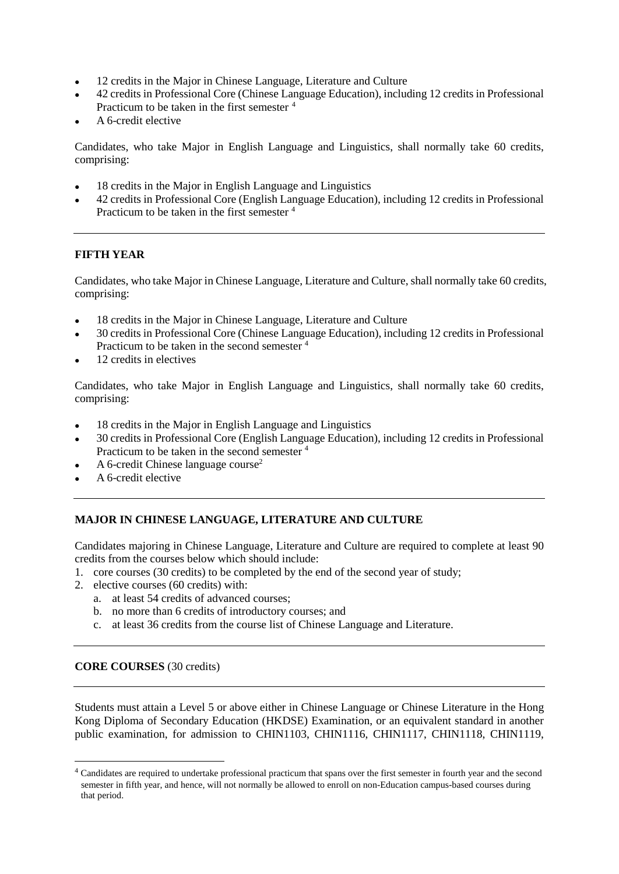- 12 credits in the Major in Chinese Language, Literature and Culture
- 42 credits in Professional Core (Chinese Language Education), including 12 credits in Professional Practicum to be taken in the first semester [4](#page-7-0)
- A 6-credit elective

Candidates, who take Major in English Language and Linguistics, shall normally take 60 credits, comprising:

- 18 credits in the Major in English Language and Linguistics
- 42 credits in Professional Core (English Language Education), including 12 credits in Professional Practicum to be taken in the first semester 4

# **FIFTH YEAR**

Candidates, who take Major in Chinese Language, Literature and Culture, shall normally take 60 credits, comprising:

- 18 credits in the Major in Chinese Language, Literature and Culture
- 30 credits in Professional Core (Chinese Language Education), including 12 credits in Professional Practicum to be taken in the second semester 4
- 12 credits in electives

Candidates, who take Major in English Language and Linguistics, shall normally take 60 credits, comprising:

- 18 credits in the Major in English Language and Linguistics
- 30 credits in Professional Core (English Language Education), including 12 credits in Professional Practicum to be taken in the second semester 4
- A 6-credit Chinese language course<sup>2</sup>
- A 6-credit elective

# **MAJOR IN CHINESE LANGUAGE, LITERATURE AND CULTURE**

Candidates majoring in Chinese Language, Literature and Culture are required to complete at least 90 credits from the courses below which should include:

- 1. core courses (30 credits) to be completed by the end of the second year of study;
- 2. elective courses (60 credits) with:
	- a. at least 54 credits of advanced courses;
	- b. no more than 6 credits of introductory courses; and
	- c. at least 36 credits from the course list of Chinese Language and Literature.

# **CORE COURSES** (30 credits)

Students must attain a Level 5 or above either in Chinese Language or Chinese Literature in the Hong Kong Diploma of Secondary Education (HKDSE) Examination, or an equivalent standard in another public examination, for admission to CHIN1103, CHIN1116, CHIN1117, CHIN1118, CHIN1119,

<span id="page-7-0"></span> <sup>4</sup> Candidates are required to undertake professional practicum that spans over the first semester in fourth year and the second semester in fifth year, and hence, will not normally be allowed to enroll on non-Education campus-based courses during that period.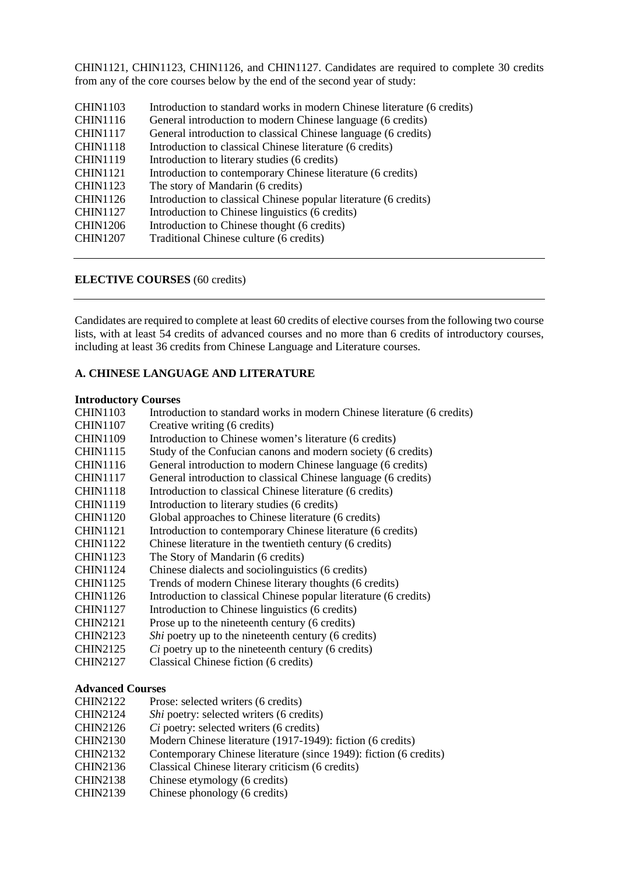CHIN1121, CHIN1123, CHIN1126, and CHIN1127. Candidates are required to complete 30 credits from any of the core courses below by the end of the second year of study:

| Introduction to standard works in modern Chinese literature (6 credits) |
|-------------------------------------------------------------------------|
| General introduction to modern Chinese language (6 credits)             |
| General introduction to classical Chinese language (6 credits)          |
| Introduction to classical Chinese literature (6 credits)                |
| Introduction to literary studies (6 credits)                            |
| Introduction to contemporary Chinese literature (6 credits)             |
| The story of Mandarin (6 credits)                                       |
| Introduction to classical Chinese popular literature (6 credits)        |
| Introduction to Chinese linguistics (6 credits)                         |
| Introduction to Chinese thought (6 credits)                             |
| Traditional Chinese culture (6 credits)                                 |
|                                                                         |

## **ELECTIVE COURSES** (60 credits)

Candidates are required to complete at least 60 credits of elective courses from the following two course lists, with at least 54 credits of advanced courses and no more than 6 credits of introductory courses, including at least 36 credits from Chinese Language and Literature courses.

#### **A. CHINESE LANGUAGE AND LITERATURE**

#### **Introductory Courses**

| <b>CHIN1103</b> | Introduction to standard works in modern Chinese literature (6 credits) |
|-----------------|-------------------------------------------------------------------------|
| <b>CHIN1107</b> | Creative writing (6 credits)                                            |
| <b>CHIN1109</b> | Introduction to Chinese women's literature (6 credits)                  |
| <b>CHIN1115</b> | Study of the Confucian canons and modern society (6 credits)            |
| <b>CHIN1116</b> | General introduction to modern Chinese language (6 credits)             |
| <b>CHIN1117</b> | General introduction to classical Chinese language (6 credits)          |
| <b>CHIN1118</b> | Introduction to classical Chinese literature (6 credits)                |
| <b>CHIN1119</b> | Introduction to literary studies (6 credits)                            |
| <b>CHIN1120</b> | Global approaches to Chinese literature (6 credits)                     |
| <b>CHIN1121</b> | Introduction to contemporary Chinese literature (6 credits)             |
| <b>CHIN1122</b> | Chinese literature in the twentieth century (6 credits)                 |
| <b>CHIN1123</b> | The Story of Mandarin (6 credits)                                       |
| <b>CHIN1124</b> | Chinese dialects and sociolinguistics (6 credits)                       |
| <b>CHIN1125</b> | Trends of modern Chinese literary thoughts (6 credits)                  |
| <b>CHIN1126</b> | Introduction to classical Chinese popular literature (6 credits)        |
| <b>CHIN1127</b> | Introduction to Chinese linguistics (6 credits)                         |
| <b>CHIN2121</b> | Prose up to the nineteenth century (6 credits)                          |
| <b>CHIN2123</b> | Shi poetry up to the nineteenth century (6 credits)                     |
| <b>CHIN2125</b> | <i>Ci</i> poetry up to the nineteenth century (6 credits)               |
| <b>CHIN2127</b> | Classical Chinese fiction (6 credits)                                   |
|                 |                                                                         |

#### **Advanced Courses**

- CHIN2122 Prose: selected writers (6 credits)
- CHIN2124 *Shi* poetry: selected writers (6 credits)
- CHIN2126 *Ci* poetry: selected writers (6 credits)
- CHIN2130 Modern Chinese literature (1917-1949): fiction (6 credits)
- CHIN2132 Contemporary Chinese literature (since 1949): fiction (6 credits)
- CHIN2136 Classical Chinese literary criticism (6 credits)
- CHIN2138 Chinese etymology (6 credits)
- CHIN2139 Chinese phonology (6 credits)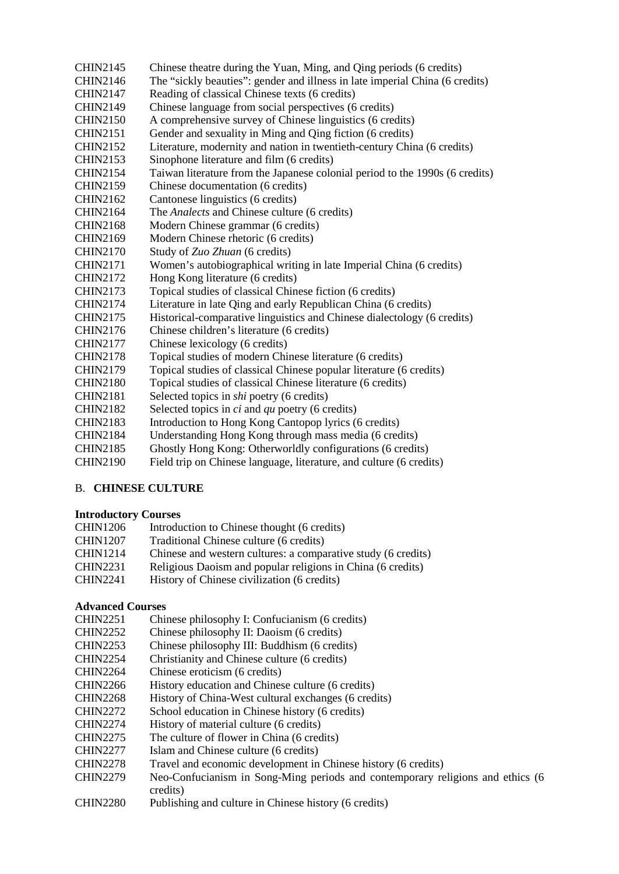CHIN2145 Chinese theatre during the Yuan, Ming, and Qing periods (6 credits) CHIN2146 The "sickly beauties": gender and illness in late imperial China (6 credits) CHIN2147 Reading of classical Chinese texts (6 credits) CHIN2149 Chinese language from social perspectives (6 credits) CHIN2150 A comprehensive survey of Chinese linguistics (6 credits) CHIN2151 Gender and sexuality in Ming and Qing fiction (6 credits) CHIN2152 Literature, modernity and nation in twentieth-century China (6 credits) CHIN2153 Sinophone literature and film (6 credits) CHIN2154 Taiwan literature from the Japanese colonial period to the 1990s (6 credits) CHIN2159 Chinese documentation (6 credits) CHIN2162 Cantonese linguistics (6 credits) CHIN2164 The *Analects* and Chinese culture (6 credits) CHIN2168 Modern Chinese grammar (6 credits) CHIN2169 Modern Chinese rhetoric (6 credits) CHIN2170 Study of *Zuo Zhuan* (6 credits) CHIN2171 Women's autobiographical writing in late Imperial China (6 credits) CHIN2172 Hong Kong literature (6 credits) CHIN2173 Topical studies of classical Chinese fiction (6 credits) CHIN2174 Literature in late Qing and early Republican China (6 credits) CHIN2175 Historical-comparative linguistics and Chinese dialectology (6 credits) CHIN2176 Chinese children's literature (6 credits) CHIN2177 Chinese lexicology (6 credits) CHIN2178 Topical studies of modern Chinese literature (6 credits) CHIN2179 Topical studies of classical Chinese popular literature (6 credits) CHIN2180 Topical studies of classical Chinese literature (6 credits) CHIN2181 Selected topics in *shi* poetry (6 credits) CHIN2182 Selected topics in *ci* and *qu* poetry (6 credits) CHIN2183 Introduction to Hong Kong Cantopop lyrics (6 credits) CHIN2184 Understanding Hong Kong through mass media (6 credits) CHIN2185 Ghostly Hong Kong: Otherworldly configurations (6 credits)

## B. **CHINESE CULTURE**

# **Introductory Courses**

| <b>CHIN1206</b> | Introduction to Chinese thought (6 credits)                   |
|-----------------|---------------------------------------------------------------|
| <b>CHIN1207</b> | Traditional Chinese culture (6 credits)                       |
| <b>CHIN1214</b> | Chinese and western cultures: a comparative study (6 credits) |
| <b>CHIN2231</b> | Religious Daoism and popular religions in China (6 credits)   |
| <b>CHIN2241</b> | History of Chinese civilization (6 credits)                   |

CHIN2190 Field trip on Chinese language, literature, and culture (6 credits)

# **Advanced Courses**

- CHIN2251 Chinese philosophy I: Confucianism (6 credits)
- CHIN2252 Chinese philosophy II: Daoism (6 credits)
- CHIN2253 Chinese philosophy III: Buddhism (6 credits)
- CHIN2254 Christianity and Chinese culture (6 credits)
- CHIN2264 Chinese eroticism (6 credits)
- CHIN2266 History education and Chinese culture (6 credits)
- CHIN2268 History of China-West cultural exchanges (6 credits)
- CHIN2272 School education in Chinese history (6 credits)
- CHIN2274 History of material culture (6 credits)
- CHIN2275 The culture of flower in China (6 credits)
- CHIN2277 Islam and Chinese culture (6 credits)
- CHIN2278 Travel and economic development in Chinese history (6 credits)
- CHIN2279 Neo-Confucianism in Song-Ming periods and contemporary religions and ethics (6 credits)
- CHIN2280 Publishing and culture in Chinese history (6 credits)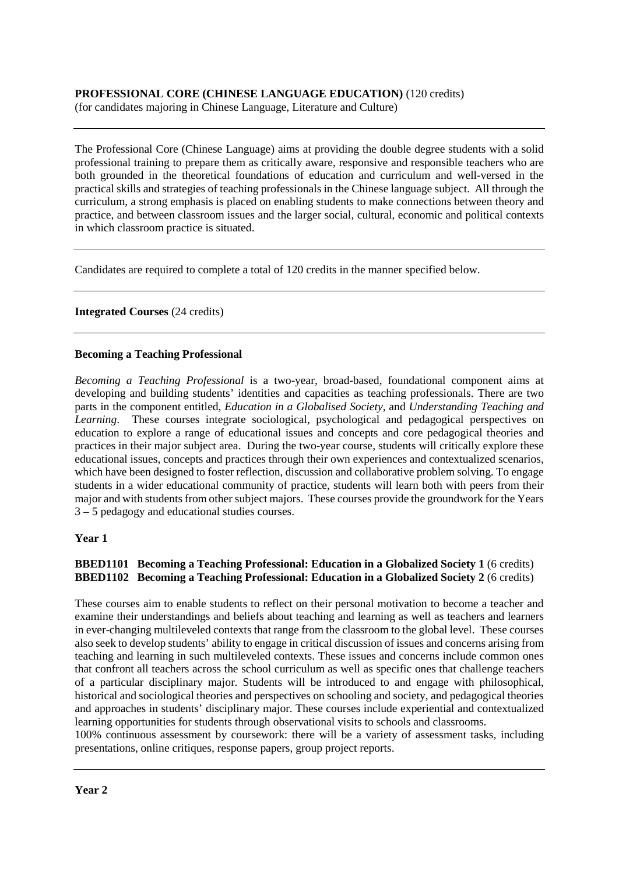# **PROFESSIONAL CORE (CHINESE LANGUAGE EDUCATION)** (120 credits)

(for candidates majoring in Chinese Language, Literature and Culture)

The Professional Core (Chinese Language) aims at providing the double degree students with a solid professional training to prepare them as critically aware, responsive and responsible teachers who are both grounded in the theoretical foundations of education and curriculum and well-versed in the practical skills and strategies of teaching professionals in the Chinese language subject. All through the curriculum, a strong emphasis is placed on enabling students to make connections between theory and practice, and between classroom issues and the larger social, cultural, economic and political contexts in which classroom practice is situated.

Candidates are required to complete a total of 120 credits in the manner specified below.

# **Integrated Courses** (24 credits)

## **Becoming a Teaching Professional**

*Becoming a Teaching Professional* is a two-year, broad-based, foundational component aims at developing and building students' identities and capacities as teaching professionals. There are two parts in the component entitled, *Education in a Globalised Society*, and *Understanding Teaching and Learning*. These courses integrate sociological, psychological and pedagogical perspectives on education to explore a range of educational issues and concepts and core pedagogical theories and practices in their major subject area. During the two-year course, students will critically explore these educational issues, concepts and practices through their own experiences and contextualized scenarios, which have been designed to foster reflection, discussion and collaborative problem solving. To engage students in a wider educational community of practice, students will learn both with peers from their major and with students from other subject majors. These courses provide the groundwork for the Years 3 – 5 pedagogy and educational studies courses.

## **Year 1**

# **BBED1101 Becoming a Teaching Professional: Education in a Globalized Society 1** (6 credits) **BBED1102 Becoming a Teaching Professional: Education in a Globalized Society 2** (6 credits)

These courses aim to enable students to reflect on their personal motivation to become a teacher and examine their understandings and beliefs about teaching and learning as well as teachers and learners in ever-changing multileveled contexts that range from the classroom to the global level. These courses also seek to develop students' ability to engage in critical discussion of issues and concerns arising from teaching and learning in such multileveled contexts. These issues and concerns include common ones that confront all teachers across the school curriculum as well as specific ones that challenge teachers of a particular disciplinary major. Students will be introduced to and engage with philosophical, historical and sociological theories and perspectives on schooling and society, and pedagogical theories and approaches in students' disciplinary major. These courses include experiential and contextualized learning opportunities for students through observational visits to schools and classrooms.

100% continuous assessment by coursework: there will be a variety of assessment tasks, including presentations, online critiques, response papers, group project reports.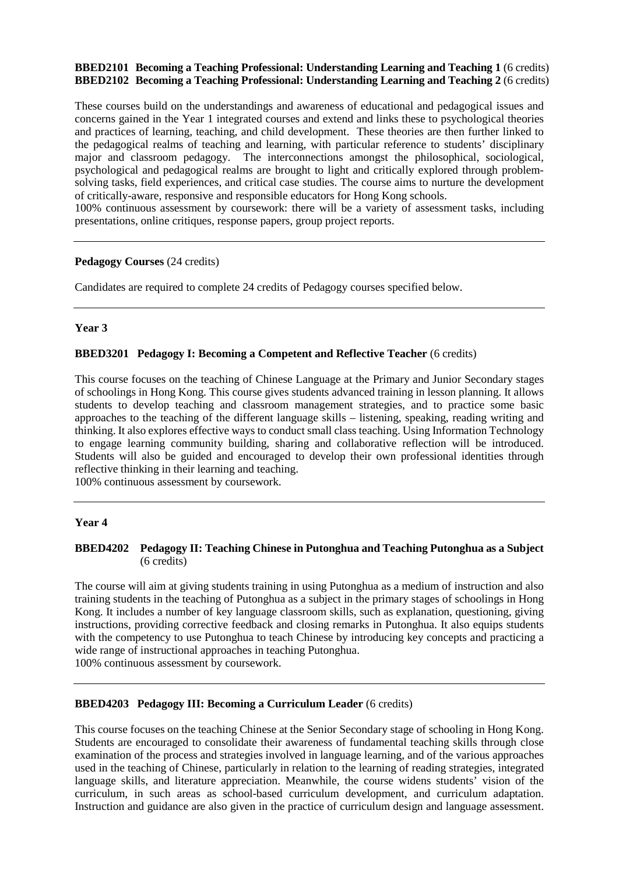## **BBED2101 Becoming a Teaching Professional: Understanding Learning and Teaching 1** (6 credits) **BBED2102 Becoming a Teaching Professional: Understanding Learning and Teaching 2** (6 credits)

These courses build on the understandings and awareness of educational and pedagogical issues and concerns gained in the Year 1 integrated courses and extend and links these to psychological theories and practices of learning, teaching, and child development. These theories are then further linked to the pedagogical realms of teaching and learning, with particular reference to students' disciplinary major and classroom pedagogy. The interconnections amongst the philosophical, sociological, psychological and pedagogical realms are brought to light and critically explored through problemsolving tasks, field experiences, and critical case studies. The course aims to nurture the development of critically-aware, responsive and responsible educators for Hong Kong schools.

100% continuous assessment by coursework: there will be a variety of assessment tasks, including presentations, online critiques, response papers, group project reports.

#### **Pedagogy Courses** (24 credits)

Candidates are required to complete 24 credits of Pedagogy courses specified below.

#### **Year 3**

## **BBED3201 Pedagogy I: Becoming a Competent and Reflective Teacher** (6 credits)

This course focuses on the teaching of Chinese Language at the Primary and Junior Secondary stages of schoolings in Hong Kong. This course gives students advanced training in lesson planning. It allows students to develop teaching and classroom management strategies, and to practice some basic approaches to the teaching of the different language skills – listening, speaking, reading writing and thinking. It also explores effective ways to conduct small class teaching. Using Information Technology to engage learning community building, sharing and collaborative reflection will be introduced. Students will also be guided and encouraged to develop their own professional identities through reflective thinking in their learning and teaching.

100% continuous assessment by coursework.

#### **Year 4**

#### **BBED4202 Pedagogy II: Teaching Chinese in Putonghua and Teaching Putonghua as a Subject** (6 credits)

The course will aim at giving students training in using Putonghua as a medium of instruction and also training students in the teaching of Putonghua as a subject in the primary stages of schoolings in Hong Kong. It includes a number of key language classroom skills, such as explanation, questioning, giving instructions, providing corrective feedback and closing remarks in Putonghua. It also equips students with the competency to use Putonghua to teach Chinese by introducing key concepts and practicing a wide range of instructional approaches in teaching Putonghua.

100% continuous assessment by coursework.

## **BBED4203 Pedagogy III: Becoming a Curriculum Leader** (6 credits)

This course focuses on the teaching Chinese at the Senior Secondary stage of schooling in Hong Kong. Students are encouraged to consolidate their awareness of fundamental teaching skills through close examination of the process and strategies involved in language learning, and of the various approaches used in the teaching of Chinese, particularly in relation to the learning of reading strategies, integrated language skills, and literature appreciation. Meanwhile, the course widens students' vision of the curriculum, in such areas as school-based curriculum development, and curriculum adaptation. Instruction and guidance are also given in the practice of curriculum design and language assessment.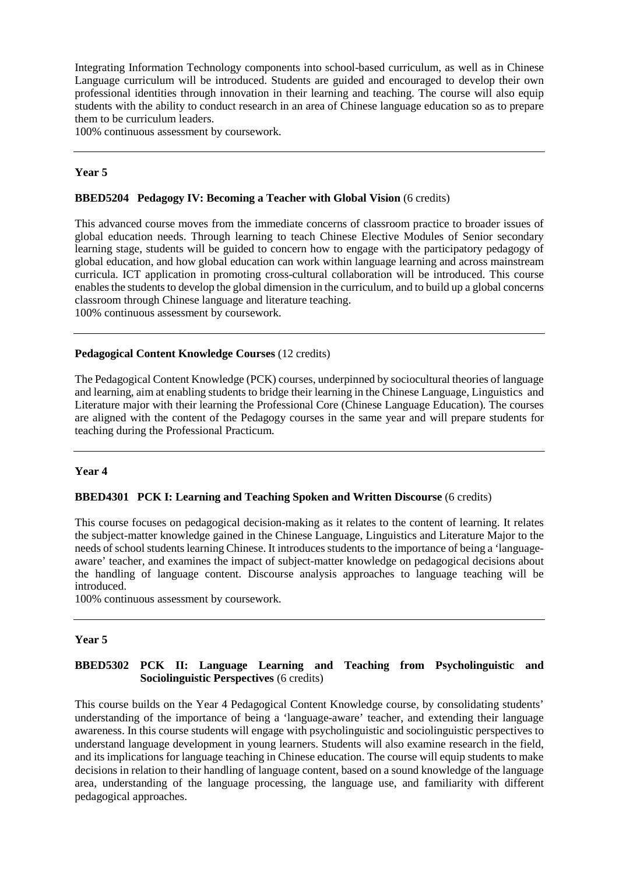Integrating Information Technology components into school-based curriculum, as well as in Chinese Language curriculum will be introduced. Students are guided and encouraged to develop their own professional identities through innovation in their learning and teaching. The course will also equip students with the ability to conduct research in an area of Chinese language education so as to prepare them to be curriculum leaders.

100% continuous assessment by coursework.

## **Year 5**

#### **BBED5204 Pedagogy IV: Becoming a Teacher with Global Vision** (6 credits)

This advanced course moves from the immediate concerns of classroom practice to broader issues of global education needs. Through learning to teach Chinese Elective Modules of Senior secondary learning stage, students will be guided to concern how to engage with the participatory pedagogy of global education, and how global education can work within language learning and across mainstream curricula. ICT application in promoting cross-cultural collaboration will be introduced. This course enables the students to develop the global dimension in the curriculum, and to build up a global concerns classroom through Chinese language and literature teaching.

100% continuous assessment by coursework.

#### **Pedagogical Content Knowledge Courses** (12 credits)

The Pedagogical Content Knowledge (PCK) courses, underpinned by sociocultural theories of language and learning, aim at enabling students to bridge their learning in the Chinese Language, Linguistics and Literature major with their learning the Professional Core (Chinese Language Education). The courses are aligned with the content of the Pedagogy courses in the same year and will prepare students for teaching during the Professional Practicum.

## **Year 4**

#### **BBED4301 PCK I: Learning and Teaching Spoken and Written Discourse** (6 credits)

This course focuses on pedagogical decision-making as it relates to the content of learning. It relates the subject-matter knowledge gained in the Chinese Language, Linguistics and Literature Major to the needs of school students learning Chinese. It introduces students to the importance of being a 'languageaware' teacher, and examines the impact of subject-matter knowledge on pedagogical decisions about the handling of language content. Discourse analysis approaches to language teaching will be introduced.

100% continuous assessment by coursework.

#### **Year 5**

## **BBED5302 PCK II: Language Learning and Teaching from Psycholinguistic and Sociolinguistic Perspectives** (6 credits)

This course builds on the Year 4 Pedagogical Content Knowledge course, by consolidating students' understanding of the importance of being a 'language-aware' teacher, and extending their language awareness. In this course students will engage with psycholinguistic and sociolinguistic perspectives to understand language development in young learners. Students will also examine research in the field, and its implications for language teaching in Chinese education. The course will equip students to make decisions in relation to their handling of language content, based on a sound knowledge of the language area, understanding of the language processing, the language use, and familiarity with different pedagogical approaches.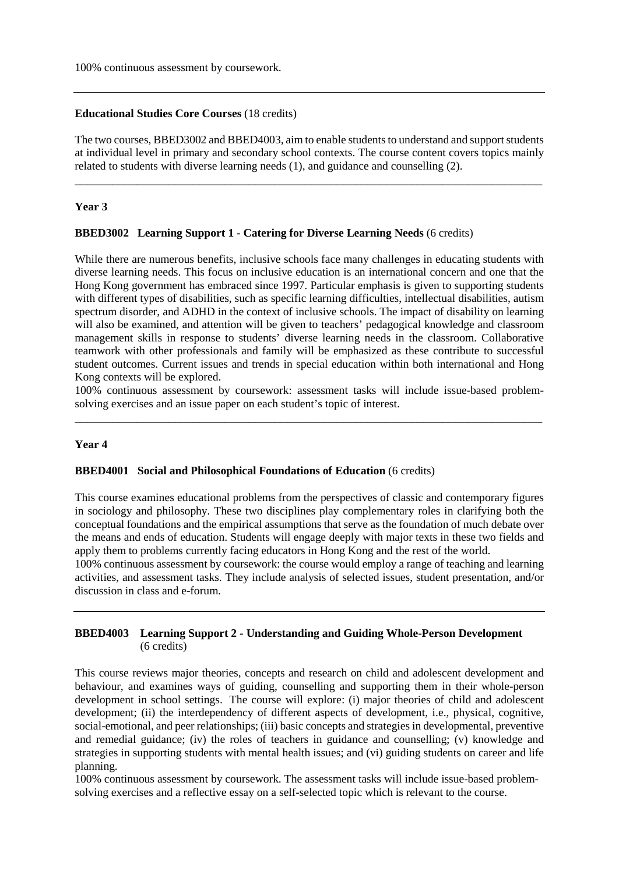100% continuous assessment by coursework.

#### **Educational Studies Core Courses** (18 credits)

The two courses, BBED3002 and BBED4003, aim to enable students to understand and support students at individual level in primary and secondary school contexts. The course content covers topics mainly related to students with diverse learning needs (1), and guidance and counselling (2).

\_\_\_\_\_\_\_\_\_\_\_\_\_\_\_\_\_\_\_\_\_\_\_\_\_\_\_\_\_\_\_\_\_\_\_\_\_\_\_\_\_\_\_\_\_\_\_\_\_\_\_\_\_\_\_\_\_\_\_\_\_\_\_\_\_\_\_\_\_\_\_\_\_\_\_

#### **Year 3**

#### **BBED3002 Learning Support 1 - Catering for Diverse Learning Needs** (6 credits)

While there are numerous benefits, inclusive schools face many challenges in educating students with diverse learning needs. This focus on inclusive education is an international concern and one that the Hong Kong government has embraced since 1997. Particular emphasis is given to supporting students with different types of disabilities, such as specific learning difficulties, intellectual disabilities, autism spectrum disorder, and ADHD in the context of inclusive schools. The impact of disability on learning will also be examined, and attention will be given to teachers' pedagogical knowledge and classroom management skills in response to students' diverse learning needs in the classroom. Collaborative teamwork with other professionals and family will be emphasized as these contribute to successful student outcomes. Current issues and trends in special education within both international and Hong Kong contexts will be explored.

100% continuous assessment by coursework: assessment tasks will include issue-based problemsolving exercises and an issue paper on each student's topic of interest. \_\_\_\_\_\_\_\_\_\_\_\_\_\_\_\_\_\_\_\_\_\_\_\_\_\_\_\_\_\_\_\_\_\_\_\_\_\_\_\_\_\_\_\_\_\_\_\_\_\_\_\_\_\_\_\_\_\_\_\_\_\_\_\_\_\_\_\_\_\_\_\_\_\_\_

## **Year 4**

#### **BBED4001 Social and Philosophical Foundations of Education** (6 credits)

This course examines educational problems from the perspectives of classic and contemporary figures in sociology and philosophy. These two disciplines play complementary roles in clarifying both the conceptual foundations and the empirical assumptions that serve as the foundation of much debate over the means and ends of education. Students will engage deeply with major texts in these two fields and apply them to problems currently facing educators in Hong Kong and the rest of the world.

100% continuous assessment by coursework: the course would employ a range of teaching and learning activities, and assessment tasks. They include analysis of selected issues, student presentation, and/or discussion in class and e-forum.

## **BBED4003 Learning Support 2 - Understanding and Guiding Whole-Person Development** (6 credits)

This course reviews major theories, concepts and research on child and adolescent development and behaviour, and examines ways of guiding, counselling and supporting them in their whole-person development in school settings. The course will explore: (i) major theories of child and adolescent development; (ii) the interdependency of different aspects of development, i.e., physical, cognitive, social-emotional, and peer relationships; (iii) basic concepts and strategies in developmental, preventive and remedial guidance; (iv) the roles of teachers in guidance and counselling; (v) knowledge and strategies in supporting students with mental health issues; and (vi) guiding students on career and life planning.

100% continuous assessment by coursework. The assessment tasks will include issue-based problemsolving exercises and a reflective essay on a self-selected topic which is relevant to the course.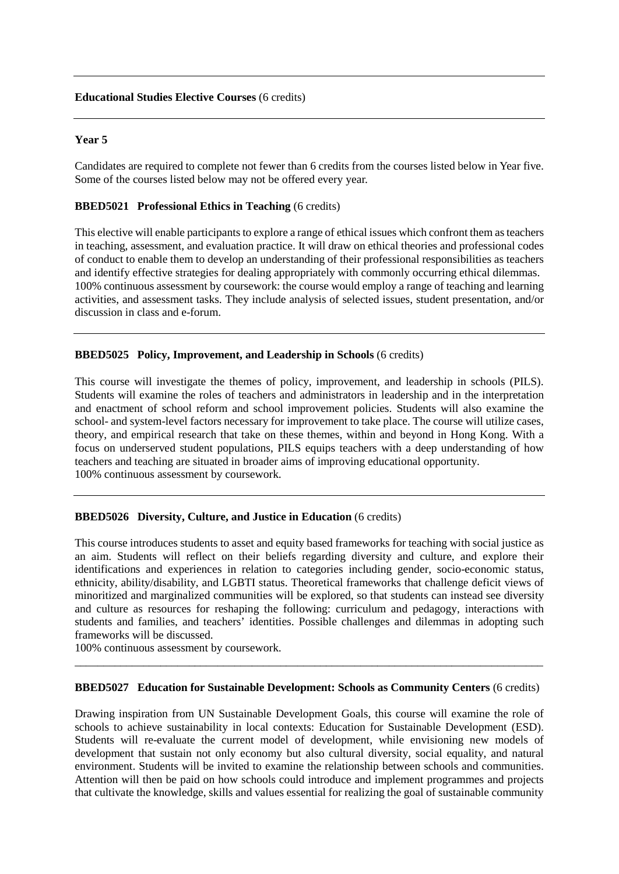## **Educational Studies Elective Courses** (6 credits)

#### **Year 5**

Candidates are required to complete not fewer than 6 credits from the courses listed below in Year five. Some of the courses listed below may not be offered every year.

## **BBED5021 Professional Ethics in Teaching** (6 credits)

This elective will enable participants to explore a range of ethical issues which confront them as teachers in teaching, assessment, and evaluation practice. It will draw on ethical theories and professional codes of conduct to enable them to develop an understanding of their professional responsibilities as teachers and identify effective strategies for dealing appropriately with commonly occurring ethical dilemmas. 100% continuous assessment by coursework: the course would employ a range of teaching and learning activities, and assessment tasks. They include analysis of selected issues, student presentation, and/or discussion in class and e-forum.

#### **BBED5025 Policy, Improvement, and Leadership in Schools** (6 credits)

This course will investigate the themes of policy, improvement, and leadership in schools (PILS). Students will examine the roles of teachers and administrators in leadership and in the interpretation and enactment of school reform and school improvement policies. Students will also examine the school- and system-level factors necessary for improvement to take place. The course will utilize cases, theory, and empirical research that take on these themes, within and beyond in Hong Kong. With a focus on underserved student populations, PILS equips teachers with a deep understanding of how teachers and teaching are situated in broader aims of improving educational opportunity. 100% continuous assessment by coursework.

## **BBED5026 Diversity, Culture, and Justice in Education** (6 credits)

This course introduces students to asset and equity based frameworks for teaching with social justice as an aim. Students will reflect on their beliefs regarding diversity and culture, and explore their identifications and experiences in relation to categories including gender, socio-economic status, ethnicity, ability/disability, and LGBTI status. Theoretical frameworks that challenge deficit views of minoritized and marginalized communities will be explored, so that students can instead see diversity and culture as resources for reshaping the following: curriculum and pedagogy, interactions with students and families, and teachers' identities. Possible challenges and dilemmas in adopting such frameworks will be discussed.

100% continuous assessment by coursework.

#### **BBED5027 Education for Sustainable Development: Schools as Community Centers** (6 credits)

\_\_\_\_\_\_\_\_\_\_\_\_\_\_\_\_\_\_\_\_\_\_\_\_\_\_\_\_\_\_\_\_\_\_\_\_\_\_\_\_\_\_\_\_\_\_\_\_\_\_\_\_\_\_\_\_\_\_\_\_\_\_\_\_\_\_\_\_\_\_\_\_\_\_\_\_\_\_\_\_\_\_

Drawing inspiration from UN Sustainable Development Goals, this course will examine the role of schools to achieve sustainability in local contexts: Education for Sustainable Development (ESD). Students will re-evaluate the current model of development, while envisioning new models of development that sustain not only economy but also cultural diversity, social equality, and natural environment. Students will be invited to examine the relationship between schools and communities. Attention will then be paid on how schools could introduce and implement programmes and projects that cultivate the knowledge, skills and values essential for realizing the goal of sustainable community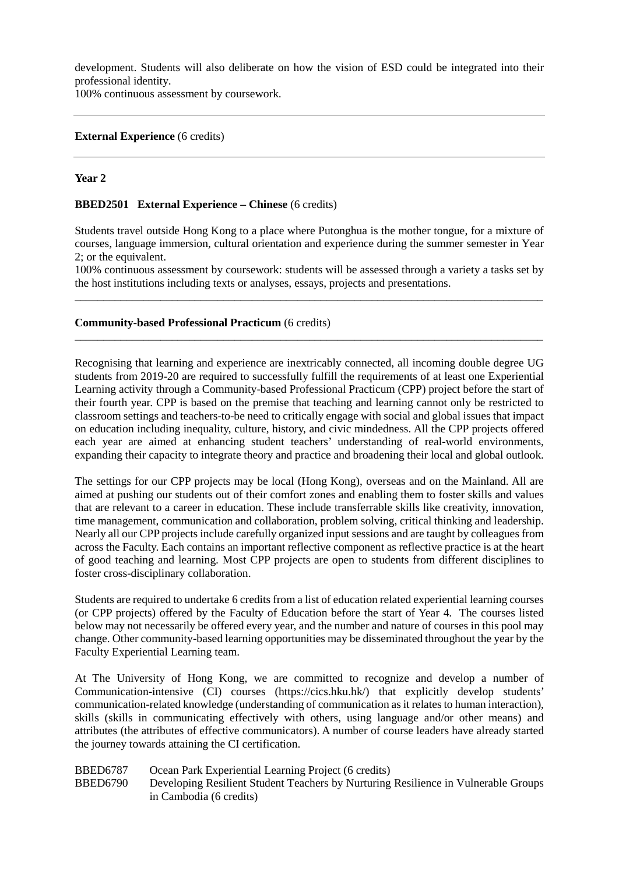development. Students will also deliberate on how the vision of ESD could be integrated into their professional identity.

100% continuous assessment by coursework.

#### **External Experience** (6 credits)

#### **Year 2**

#### **BBED2501 External Experience – Chinese** (6 credits)

Students travel outside Hong Kong to a place where Putonghua is the mother tongue, for a mixture of courses, language immersion, cultural orientation and experience during the summer semester in Year 2; or the equivalent.

100% continuous assessment by coursework: students will be assessed through a variety a tasks set by the host institutions including texts or analyses, essays, projects and presentations. \_\_\_\_\_\_\_\_\_\_\_\_\_\_\_\_\_\_\_\_\_\_\_\_\_\_\_\_\_\_\_\_\_\_\_\_\_\_\_\_\_\_\_\_\_\_\_\_\_\_\_\_\_\_\_\_\_\_\_\_\_\_\_\_\_\_\_\_\_\_\_\_\_\_\_\_\_\_\_\_\_\_

\_\_\_\_\_\_\_\_\_\_\_\_\_\_\_\_\_\_\_\_\_\_\_\_\_\_\_\_\_\_\_\_\_\_\_\_\_\_\_\_\_\_\_\_\_\_\_\_\_\_\_\_\_\_\_\_\_\_\_\_\_\_\_\_\_\_\_\_\_\_\_\_\_\_\_\_\_\_\_\_\_\_

#### **Community-based Professional Practicum** (6 credits)

Recognising that learning and experience are inextricably connected, all incoming double degree UG students from 2019-20 are required to successfully fulfill the requirements of at least one Experiential Learning activity through a Community-based Professional Practicum (CPP) project before the start of their fourth year. CPP is based on the premise that teaching and learning cannot only be restricted to classroom settings and teachers-to-be need to critically engage with social and global issues that impact on education including inequality, culture, history, and civic mindedness. All the CPP projects offered each year are aimed at enhancing student teachers' understanding of real-world environments, expanding their capacity to integrate theory and practice and broadening their local and global outlook.

The settings for our CPP projects may be local (Hong Kong), overseas and on the Mainland. All are aimed at pushing our students out of their comfort zones and enabling them to foster skills and values that are relevant to a career in education. These include transferrable skills like creativity, innovation, time management, communication and collaboration, problem solving, critical thinking and leadership. Nearly all our CPP projects include carefully organized input sessions and are taught by colleagues from across the Faculty. Each contains an important reflective component as reflective practice is at the heart of good teaching and learning. Most CPP projects are open to students from different disciplines to foster cross-disciplinary collaboration.

Students are required to undertake 6 credits from a list of education related experiential learning courses (or CPP projects) offered by the Faculty of Education before the start of Year 4. The courses listed below may not necessarily be offered every year, and the number and nature of courses in this pool may change. Other community-based learning opportunities may be disseminated throughout the year by the Faculty Experiential Learning team.

At The University of Hong Kong, we are committed to recognize and develop a number of Communication-intensive (CI) courses (https://cics.hku.hk/) that explicitly develop students' communication-related knowledge (understanding of communication as it relates to human interaction), skills (skills in communicating effectively with others, using language and/or other means) and attributes (the attributes of effective communicators). A number of course leaders have already started the journey towards attaining the CI certification.

#### BBED6787 Ocean Park Experiential Learning Project (6 credits)

BBED6790 Developing Resilient Student Teachers by Nurturing Resilience in Vulnerable Groups in Cambodia (6 credits)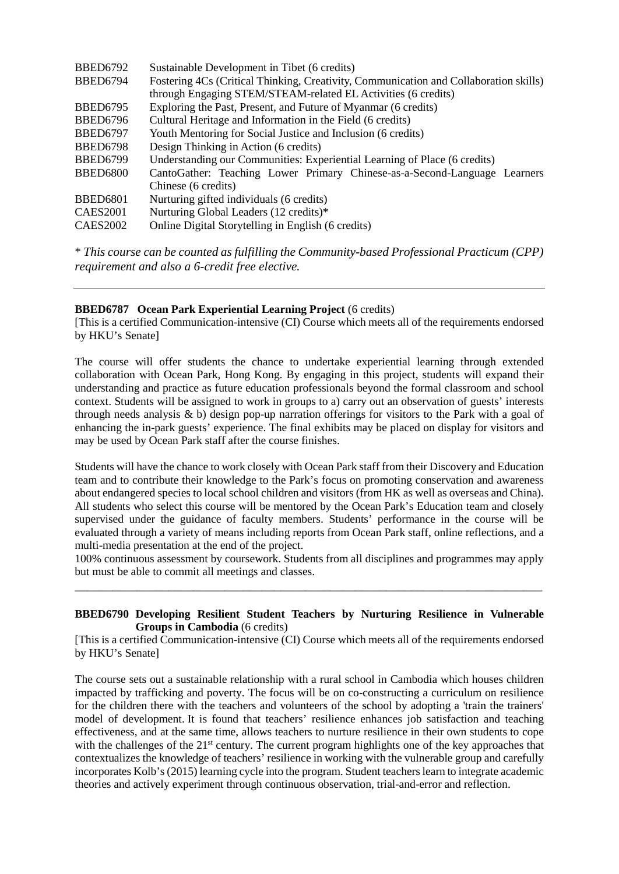| BBED6792        | Sustainable Development in Tibet (6 credits)                                          |
|-----------------|---------------------------------------------------------------------------------------|
| <b>BBED6794</b> | Fostering 4Cs (Critical Thinking, Creativity, Communication and Collaboration skills) |
|                 | through Engaging STEM/STEAM-related EL Activities (6 credits)                         |
| <b>BBED6795</b> | Exploring the Past, Present, and Future of Myanmar (6 credits)                        |
| BBED6796        | Cultural Heritage and Information in the Field (6 credits)                            |
| <b>BBED6797</b> | Youth Mentoring for Social Justice and Inclusion (6 credits)                          |
| <b>BBED6798</b> | Design Thinking in Action (6 credits)                                                 |
| <b>BBED6799</b> | Understanding our Communities: Experiential Learning of Place (6 credits)             |
| <b>BBED6800</b> | CantoGather: Teaching Lower Primary Chinese-as-a-Second-Language Learners             |
|                 | Chinese (6 credits)                                                                   |
| <b>BBED6801</b> | Nurturing gifted individuals (6 credits)                                              |
| CAES2001        | Nurturing Global Leaders (12 credits)*                                                |
| <b>CAES2002</b> | Online Digital Storytelling in English (6 credits)                                    |
|                 |                                                                                       |

\* *This course can be counted as fulfilling the Community-based Professional Practicum (CPP) requirement and also a 6-credit free elective.*

## **BBED6787 Ocean Park Experiential Learning Project** (6 credits)

[This is a certified Communication-intensive (CI) Course which meets all of the requirements endorsed by HKU's Senate]

The course will offer students the chance to undertake experiential learning through extended collaboration with Ocean Park, Hong Kong. By engaging in this project, students will expand their understanding and practice as future education professionals beyond the formal classroom and school context. Students will be assigned to work in groups to a) carry out an observation of guests' interests through needs analysis & b) design pop-up narration offerings for visitors to the Park with a goal of enhancing the in-park guests' experience. The final exhibits may be placed on display for visitors and may be used by Ocean Park staff after the course finishes.

Students will have the chance to work closely with Ocean Park staff from their Discovery and Education team and to contribute their knowledge to the Park's focus on promoting conservation and awareness about endangered species to local school children and visitors (from HK as well as overseas and China). All students who select this course will be mentored by the Ocean Park's Education team and closely supervised under the guidance of faculty members. Students' performance in the course will be evaluated through a variety of means including reports from Ocean Park staff, online reflections, and a multi-media presentation at the end of the project.

100% continuous assessment by coursework. Students from all disciplines and programmes may apply but must be able to commit all meetings and classes.

\_\_\_\_\_\_\_\_\_\_\_\_\_\_\_\_\_\_\_\_\_\_\_\_\_\_\_\_\_\_\_\_\_\_\_\_\_\_\_\_\_\_\_\_\_\_\_\_\_\_\_\_\_\_\_\_\_\_\_\_\_\_\_\_\_\_\_\_\_\_\_\_\_\_\_

## **BBED6790 Developing Resilient Student Teachers by Nurturing Resilience in Vulnerable Groups in Cambodia** (6 credits)

[This is a certified Communication-intensive (CI) Course which meets all of the requirements endorsed by HKU's Senate]

The course sets out a sustainable relationship with a rural school in Cambodia which houses children impacted by trafficking and poverty. The focus will be on co-constructing a curriculum on resilience for the children there with the teachers and volunteers of the school by adopting a 'train the trainers' model of development. It is found that teachers' resilience enhances job satisfaction and teaching effectiveness, and at the same time, allows teachers to nurture resilience in their own students to cope with the challenges of the 21<sup>st</sup> century. The current program highlights one of the key approaches that contextualizes the knowledge of teachers' resilience in working with the vulnerable group and carefully incorporates Kolb's (2015) learning cycle into the program. Student teachers learn to integrate academic theories and actively experiment through continuous observation, trial-and-error and reflection.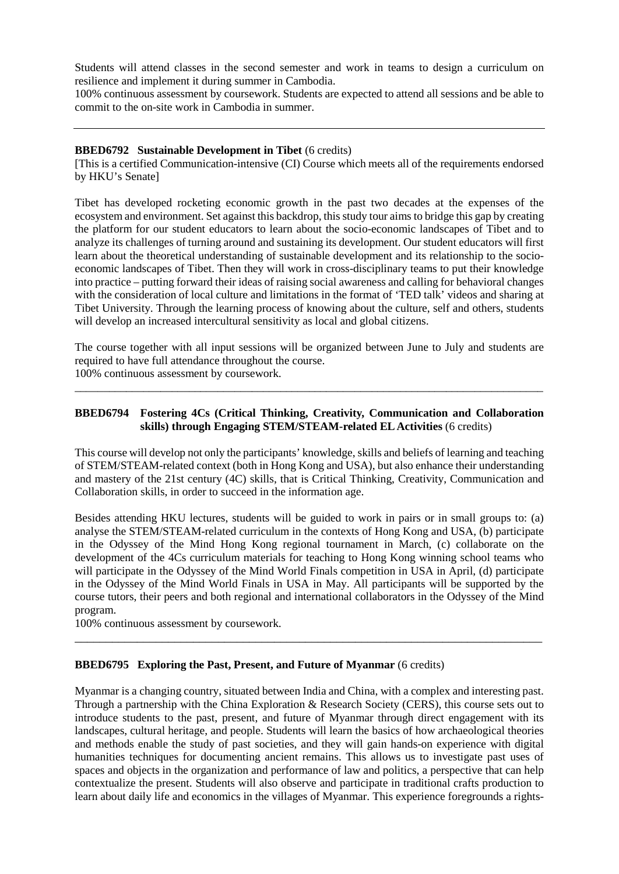Students will attend classes in the second semester and work in teams to design a curriculum on resilience and implement it during summer in Cambodia.

100% continuous assessment by coursework. Students are expected to attend all sessions and be able to commit to the on-site work in Cambodia in summer.

#### **BBED6792 Sustainable Development in Tibet** (6 credits)

[This is a certified Communication-intensive (CI) Course which meets all of the requirements endorsed by HKU's Senate]

Tibet has developed rocketing economic growth in the past two decades at the expenses of the ecosystem and environment. Set against this backdrop, this study tour aims to bridge this gap by creating the platform for our student educators to learn about the socio-economic landscapes of Tibet and to analyze its challenges of turning around and sustaining its development. Our student educators will first learn about the theoretical understanding of sustainable development and its relationship to the socioeconomic landscapes of Tibet. Then they will work in cross-disciplinary teams to put their knowledge into practice – putting forward their ideas of raising social awareness and calling for behavioral changes with the consideration of local culture and limitations in the format of 'TED talk' videos and sharing at Tibet University. Through the learning process of knowing about the culture, self and others, students will develop an increased intercultural sensitivity as local and global citizens.

The course together with all input sessions will be organized between June to July and students are required to have full attendance throughout the course.

\_\_\_\_\_\_\_\_\_\_\_\_\_\_\_\_\_\_\_\_\_\_\_\_\_\_\_\_\_\_\_\_\_\_\_\_\_\_\_\_\_\_\_\_\_\_\_\_\_\_\_\_\_\_\_\_\_\_\_\_\_\_\_\_\_\_\_\_\_\_\_\_\_\_\_\_\_\_\_\_\_\_

100% continuous assessment by coursework.

# **BBED6794 Fostering 4Cs (Critical Thinking, Creativity, Communication and Collaboration skills) through Engaging STEM/STEAM-related ELActivities** (6 credits)

This course will develop not only the participants' knowledge, skills and beliefs of learning and teaching of STEM/STEAM-related context (both in Hong Kong and USA), but also enhance their understanding and mastery of the 21st century (4C) skills, that is Critical Thinking, Creativity, Communication and Collaboration skills, in order to succeed in the information age.

Besides attending HKU lectures, students will be guided to work in pairs or in small groups to: (a) analyse the STEM/STEAM-related curriculum in the contexts of Hong Kong and USA, (b) participate in the Odyssey of the Mind Hong Kong regional tournament in March, (c) collaborate on the development of the 4Cs curriculum materials for teaching to Hong Kong winning school teams who will participate in the Odyssey of the Mind World Finals competition in USA in April, (d) participate in the Odyssey of the Mind World Finals in USA in May. All participants will be supported by the course tutors, their peers and both regional and international collaborators in the Odyssey of the Mind program.

\_\_\_\_\_\_\_\_\_\_\_\_\_\_\_\_\_\_\_\_\_\_\_\_\_\_\_\_\_\_\_\_\_\_\_\_\_\_\_\_\_\_\_\_\_\_\_\_\_\_\_\_\_\_\_\_\_\_\_\_\_\_\_\_\_\_\_\_\_\_\_\_\_\_\_

100% continuous assessment by coursework.

## **BBED6795 Exploring the Past, Present, and Future of Myanmar** (6 credits)

Myanmar is a changing country, situated between India and China, with a complex and interesting past. Through a partnership with the China Exploration & Research Society (CERS), this course sets out to introduce students to the past, present, and future of Myanmar through direct engagement with its landscapes, cultural heritage, and people. Students will learn the basics of how archaeological theories and methods enable the study of past societies, and they will gain hands-on experience with digital humanities techniques for documenting ancient remains. This allows us to investigate past uses of spaces and objects in the organization and performance of law and politics, a perspective that can help contextualize the present. Students will also observe and participate in traditional crafts production to learn about daily life and economics in the villages of Myanmar. This experience foregrounds a rights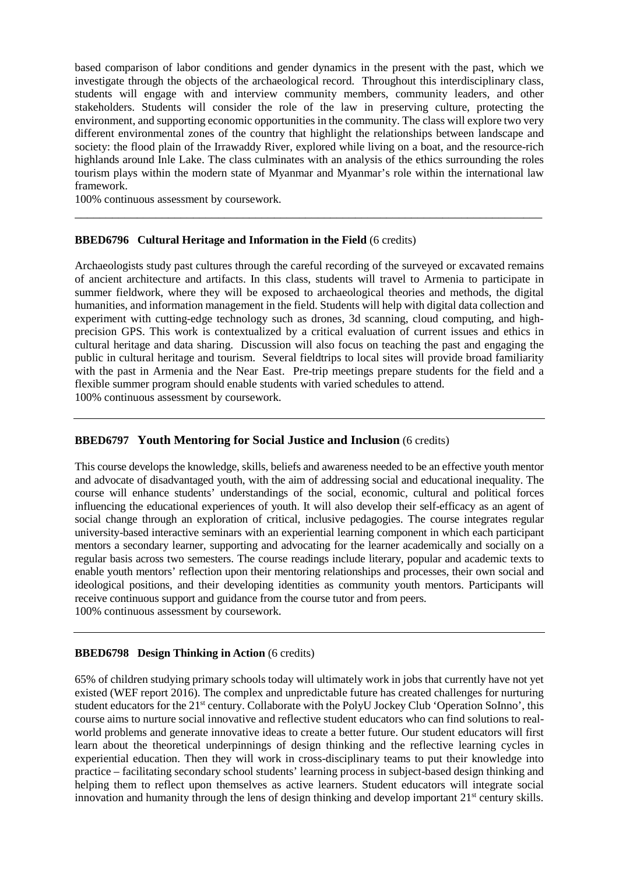based comparison of labor conditions and gender dynamics in the present with the past, which we investigate through the objects of the archaeological record. Throughout this interdisciplinary class, students will engage with and interview community members, community leaders, and other stakeholders. Students will consider the role of the law in preserving culture, protecting the environment, and supporting economic opportunities in the community. The class will explore two very different environmental zones of the country that highlight the relationships between landscape and society: the flood plain of the Irrawaddy River, explored while living on a boat, and the resource-rich highlands around Inle Lake. The class culminates with an analysis of the ethics surrounding the roles tourism plays within the modern state of Myanmar and Myanmar's role within the international law framework.

\_\_\_\_\_\_\_\_\_\_\_\_\_\_\_\_\_\_\_\_\_\_\_\_\_\_\_\_\_\_\_\_\_\_\_\_\_\_\_\_\_\_\_\_\_\_\_\_\_\_\_\_\_\_\_\_\_\_\_\_\_\_\_\_\_\_\_\_\_\_\_\_\_\_\_

100% continuous assessment by coursework.

# **BBED6796 Cultural Heritage and Information in the Field** (6 credits)

Archaeologists study past cultures through the careful recording of the surveyed or excavated remains of ancient architecture and artifacts. In this class, students will travel to Armenia to participate in summer fieldwork, where they will be exposed to archaeological theories and methods, the digital humanities, and information management in the field. Students will help with digital data collection and experiment with cutting-edge technology such as drones, 3d scanning, cloud computing, and highprecision GPS. This work is contextualized by a critical evaluation of current issues and ethics in cultural heritage and data sharing. Discussion will also focus on teaching the past and engaging the public in cultural heritage and tourism. Several fieldtrips to local sites will provide broad familiarity with the past in Armenia and the Near East. Pre-trip meetings prepare students for the field and a flexible summer program should enable students with varied schedules to attend. 100% continuous assessment by coursework.

## **BBED6797 Youth Mentoring for Social Justice and Inclusion** (6 credits)

This course develops the knowledge, skills, beliefs and awareness needed to be an effective youth mentor and advocate of disadvantaged youth, with the aim of addressing social and educational inequality. The course will enhance students' understandings of the social, economic, cultural and political forces influencing the educational experiences of youth. It will also develop their self-efficacy as an agent of social change through an exploration of critical, inclusive pedagogies. The course integrates regular university-based interactive seminars with an experiential learning component in which each participant mentors a secondary learner, supporting and advocating for the learner academically and socially on a regular basis across two semesters. The course readings include literary, popular and academic texts to enable youth mentors' reflection upon their mentoring relationships and processes, their own social and ideological positions, and their developing identities as community youth mentors. Participants will receive continuous support and guidance from the course tutor and from peers. 100% continuous assessment by coursework.

## **BBED6798 Design Thinking in Action** (6 credits)

65% of children studying primary schools today will ultimately work in jobs that currently have not yet existed (WEF report 2016). The complex and unpredictable future has created challenges for nurturing student educators for the 21<sup>st</sup> century. Collaborate with the PolyU Jockey Club 'Operation SoInno', this course aims to nurture social innovative and reflective student educators who can find solutions to realworld problems and generate innovative ideas to create a better future. Our student educators will first learn about the theoretical underpinnings of design thinking and the reflective learning cycles in experiential education. Then they will work in cross-disciplinary teams to put their knowledge into practice – facilitating secondary school students' learning process in subject-based design thinking and helping them to reflect upon themselves as active learners. Student educators will integrate social innovation and humanity through the lens of design thinking and develop important  $21<sup>st</sup>$  century skills.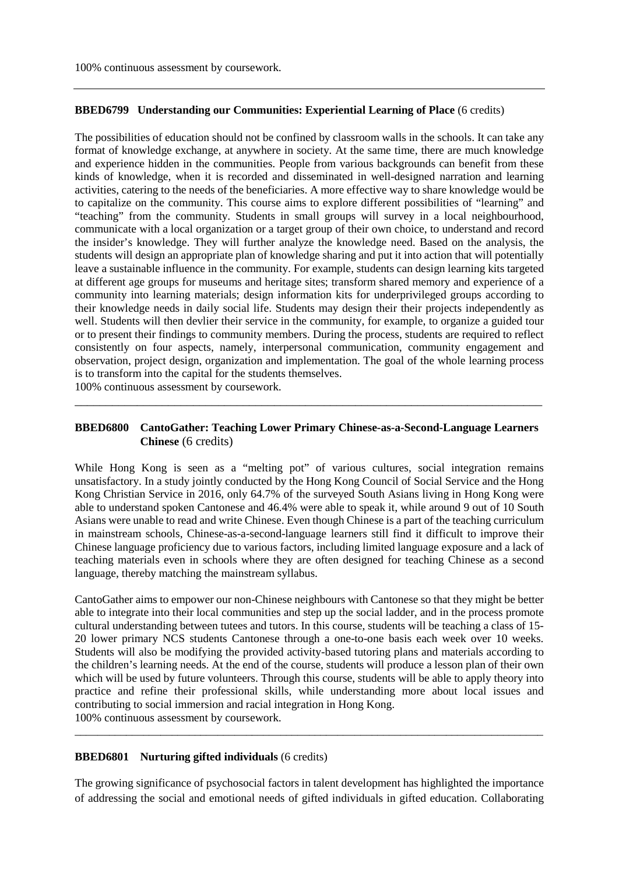## **BBED6799 Understanding our Communities: Experiential Learning of Place** (6 credits)

The possibilities of education should not be confined by classroom walls in the schools. It can take any format of knowledge exchange, at anywhere in society. At the same time, there are much knowledge and experience hidden in the communities. People from various backgrounds can benefit from these kinds of knowledge, when it is recorded and disseminated in well-designed narration and learning activities, catering to the needs of the beneficiaries. A more effective way to share knowledge would be to capitalize on the community. This course aims to explore different possibilities of "learning" and "teaching" from the community. Students in small groups will survey in a local neighbourhood, communicate with a local organization or a target group of their own choice, to understand and record the insider's knowledge. They will further analyze the knowledge need. Based on the analysis, the students will design an appropriate plan of knowledge sharing and put it into action that will potentially leave a sustainable influence in the community. For example, students can design learning kits targeted at different age groups for museums and heritage sites; transform shared memory and experience of a community into learning materials; design information kits for underprivileged groups according to their knowledge needs in daily social life. Students may design their their projects independently as well. Students will then devlier their service in the community, for example, to organize a guided tour or to present their findings to community members. During the process, students are required to reflect consistently on four aspects, namely, interpersonal communication, community engagement and observation, project design, organization and implementation. The goal of the whole learning process is to transform into the capital for the students themselves.

100% continuous assessment by coursework.

## **BBED6800 CantoGather: Teaching Lower Primary Chinese-as-a-Second-Language Learners Chinese** (6 credits)

\_\_\_\_\_\_\_\_\_\_\_\_\_\_\_\_\_\_\_\_\_\_\_\_\_\_\_\_\_\_\_\_\_\_\_\_\_\_\_\_\_\_\_\_\_\_\_\_\_\_\_\_\_\_\_\_\_\_\_\_\_\_\_\_\_\_\_\_\_\_\_\_\_\_\_

While Hong Kong is seen as a "melting pot" of various cultures, social integration remains unsatisfactory. In a study jointly conducted by the Hong Kong Council of Social Service and the Hong Kong Christian Service in 2016, only 64.7% of the surveyed South Asians living in Hong Kong were able to understand spoken Cantonese and 46.4% were able to speak it, while around 9 out of 10 South Asians were unable to read and write Chinese. Even though Chinese is a part of the teaching curriculum in mainstream schools, Chinese-as-a-second-language learners still find it difficult to improve their Chinese language proficiency due to various factors, including limited language exposure and a lack of teaching materials even in schools where they are often designed for teaching Chinese as a second language, thereby matching the mainstream syllabus.

CantoGather aims to empower our non-Chinese neighbours with Cantonese so that they might be better able to integrate into their local communities and step up the social ladder, and in the process promote cultural understanding between tutees and tutors. In this course, students will be teaching a class of 15- 20 lower primary NCS students Cantonese through a one-to-one basis each week over 10 weeks. Students will also be modifying the provided activity-based tutoring plans and materials according to the children's learning needs. At the end of the course, students will produce a lesson plan of their own which will be used by future volunteers. Through this course, students will be able to apply theory into practice and refine their professional skills, while understanding more about local issues and contributing to social immersion and racial integration in Hong Kong. 100% continuous assessment by coursework.

## **BBED6801 Nurturing gifted individuals** (6 credits)

The growing significance of psychosocial factors in talent development has highlighted the importance of addressing the social and emotional needs of gifted individuals in gifted education. Collaborating

\_\_\_\_\_\_\_\_\_\_\_\_\_\_\_\_\_\_\_\_\_\_\_\_\_\_\_\_\_\_\_\_\_\_\_\_\_\_\_\_\_\_\_\_\_\_\_\_\_\_\_\_\_\_\_\_\_\_\_\_\_\_\_\_\_\_\_\_\_\_\_\_\_\_\_\_\_\_\_\_\_\_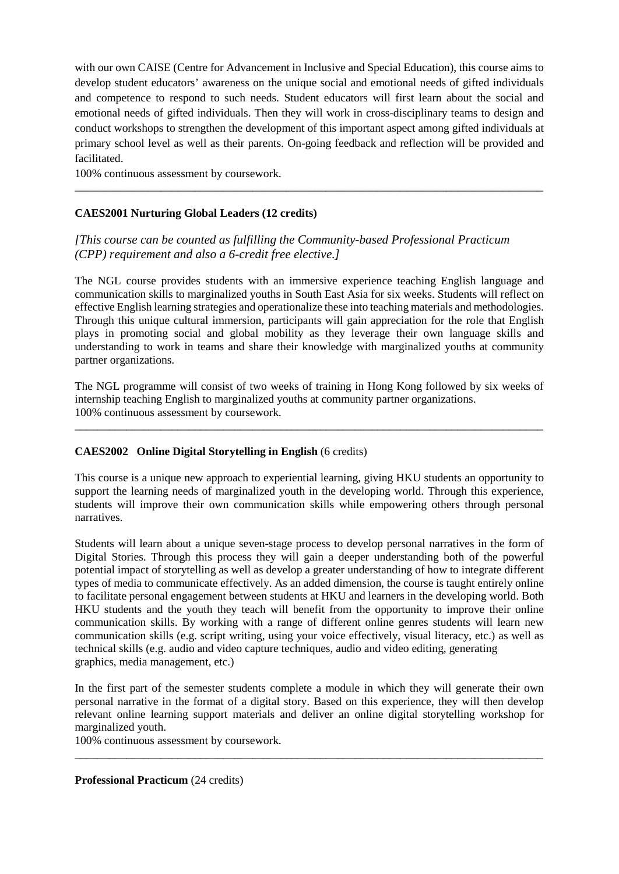with our own CAISE (Centre for Advancement in Inclusive and Special Education), this course aims to develop student educators' awareness on the unique social and emotional needs of gifted individuals and competence to respond to such needs. Student educators will first learn about the social and emotional needs of gifted individuals. Then they will work in cross-disciplinary teams to design and conduct workshops to strengthen the development of this important aspect among gifted individuals at primary school level as well as their parents. On-going feedback and reflection will be provided and facilitated.

\_\_\_\_\_\_\_\_\_\_\_\_\_\_\_\_\_\_\_\_\_\_\_\_\_\_\_\_\_\_\_\_\_\_\_\_\_\_\_\_\_\_\_\_\_\_\_\_\_\_\_\_\_\_\_\_\_\_\_\_\_\_\_\_\_\_\_\_\_\_\_\_\_\_\_\_\_\_\_\_\_\_

100% continuous assessment by coursework.

# **CAES2001 Nurturing Global Leaders (12 credits)**

*[This course can be counted as fulfilling the Community-based Professional Practicum (CPP) requirement and also a 6-credit free elective.]*

The NGL course provides students with an immersive experience teaching English language and communication skills to marginalized youths in South East Asia for six weeks. Students will reflect on effective English learning strategies and operationalize these into teaching materials and methodologies. Through this unique cultural immersion, participants will gain appreciation for the role that English plays in promoting social and global mobility as they leverage their own language skills and understanding to work in teams and share their knowledge with marginalized youths at community partner organizations.

The NGL programme will consist of two weeks of training in Hong Kong followed by six weeks of internship teaching English to marginalized youths at community partner organizations. 100% continuous assessment by coursework.

\_\_\_\_\_\_\_\_\_\_\_\_\_\_\_\_\_\_\_\_\_\_\_\_\_\_\_\_\_\_\_\_\_\_\_\_\_\_\_\_\_\_\_\_\_\_\_\_\_\_\_\_\_\_\_\_\_\_\_\_\_\_\_\_\_\_\_\_\_\_\_\_\_\_\_\_\_\_\_\_\_\_

# **CAES2002 Online Digital Storytelling in English** (6 credits)

This course is a unique new approach to experiential learning, giving HKU students an opportunity to support the learning needs of marginalized youth in the developing world. Through this experience, students will improve their own communication skills while empowering others through personal narratives.

Students will learn about a unique seven-stage process to develop personal narratives in the form of Digital Stories. Through this process they will gain a deeper understanding both of the powerful potential impact of storytelling as well as develop a greater understanding of how to integrate different types of media to communicate effectively. As an added dimension, the course is taught entirely online to facilitate personal engagement between students at HKU and learners in the developing world. Both HKU students and the youth they teach will benefit from the opportunity to improve their online communication skills. By working with a range of different online genres students will learn new communication skills (e.g. script writing, using your voice effectively, visual literacy, etc.) as well as technical skills (e.g. audio and video capture techniques, audio and video editing, generating graphics, media management, etc.)

In the first part of the semester students complete a module in which they will generate their own personal narrative in the format of a digital story. Based on this experience, they will then develop relevant online learning support materials and deliver an online digital storytelling workshop for marginalized youth.

\_\_\_\_\_\_\_\_\_\_\_\_\_\_\_\_\_\_\_\_\_\_\_\_\_\_\_\_\_\_\_\_\_\_\_\_\_\_\_\_\_\_\_\_\_\_\_\_\_\_\_\_\_\_\_\_\_\_\_\_\_\_\_\_\_\_\_\_\_\_\_\_\_\_\_\_\_\_\_\_\_\_

100% continuous assessment by coursework.

**Professional Practicum** (24 credits)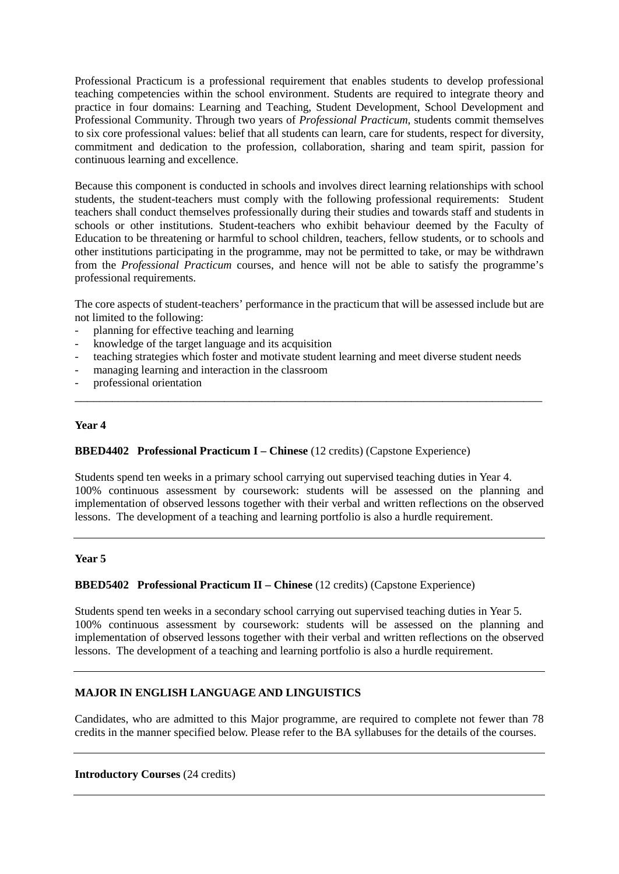Professional Practicum is a professional requirement that enables students to develop professional teaching competencies within the school environment. Students are required to integrate theory and practice in four domains: Learning and Teaching, Student Development, School Development and Professional Community. Through two years of *Professional Practicum*, students commit themselves to six core professional values: belief that all students can learn, care for students, respect for diversity, commitment and dedication to the profession, collaboration, sharing and team spirit, passion for continuous learning and excellence.

Because this component is conducted in schools and involves direct learning relationships with school students, the student-teachers must comply with the following professional requirements: Student teachers shall conduct themselves professionally during their studies and towards staff and students in schools or other institutions. Student-teachers who exhibit behaviour deemed by the Faculty of Education to be threatening or harmful to school children, teachers, fellow students, or to schools and other institutions participating in the programme, may not be permitted to take, or may be withdrawn from the *Professional Practicum* courses, and hence will not be able to satisfy the programme's professional requirements.

The core aspects of student-teachers' performance in the practicum that will be assessed include but are not limited to the following:

- planning for effective teaching and learning
- knowledge of the target language and its acquisition
- teaching strategies which foster and motivate student learning and meet diverse student needs

\_\_\_\_\_\_\_\_\_\_\_\_\_\_\_\_\_\_\_\_\_\_\_\_\_\_\_\_\_\_\_\_\_\_\_\_\_\_\_\_\_\_\_\_\_\_\_\_\_\_\_\_\_\_\_\_\_\_\_\_\_\_\_\_\_\_\_\_\_\_\_\_\_\_\_

- managing learning and interaction in the classroom
- professional orientation

#### **Year 4**

## **BBED4402 Professional Practicum I – Chinese** (12 credits) (Capstone Experience)

Students spend ten weeks in a primary school carrying out supervised teaching duties in Year 4. 100% continuous assessment by coursework: students will be assessed on the planning and implementation of observed lessons together with their verbal and written reflections on the observed lessons. The development of a teaching and learning portfolio is also a hurdle requirement.

#### **Year 5**

#### **BBED5402 Professional Practicum II – Chinese** (12 credits) (Capstone Experience)

Students spend ten weeks in a secondary school carrying out supervised teaching duties in Year 5. 100% continuous assessment by coursework: students will be assessed on the planning and implementation of observed lessons together with their verbal and written reflections on the observed lessons. The development of a teaching and learning portfolio is also a hurdle requirement.

## **MAJOR IN ENGLISH LANGUAGE AND LINGUISTICS**

Candidates, who are admitted to this Major programme, are required to complete not fewer than 78 credits in the manner specified below. Please refer to the BA syllabuses for the details of the courses.

#### **Introductory Courses** (24 credits)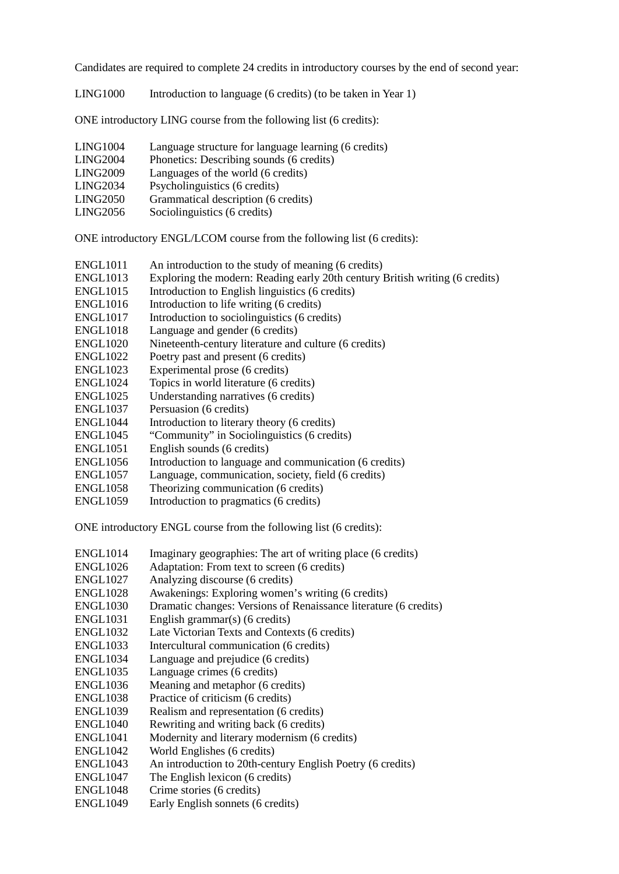Candidates are required to complete 24 credits in introductory courses by the end of second year:

LING1000 Introduction to language (6 credits) (to be taken in Year 1)

ONE introductory LING course from the following list (6 credits):

| LING1004        | Language structure for language learning (6 credits) |
|-----------------|------------------------------------------------------|
|                 |                                                      |
| <b>LING2004</b> | Phonetics: Describing sounds (6 credits)             |
| <b>LING2009</b> | Languages of the world (6 credits)                   |
| LING2034        | Psycholinguistics (6 credits)                        |
| LING2050        | Grammatical description (6 credits)                  |
| LING2056        | Sociolinguistics (6 credits)                         |
|                 |                                                      |

ONE introductory ENGL/LCOM course from the following list (6 credits):

- ENGL1011 An introduction to the study of meaning (6 credits)
- ENGL1013 Exploring the modern: Reading early 20th century British writing (6 credits)
- ENGL1015 Introduction to English linguistics (6 credits)
- ENGL1016 Introduction to life writing (6 credits)
- ENGL1017 Introduction to sociolinguistics (6 credits)
- ENGL1018 Language and gender (6 credits)
- ENGL1020 Nineteenth-century literature and culture (6 credits)
- ENGL1022 Poetry past and present (6 credits)
- ENGL1023 Experimental prose (6 credits)<br>ENGL1024 Topics in world literature (6 cm
- Topics in world literature (6 credits)
- ENGL1025 Understanding narratives (6 credits)
- ENGL1037 Persuasion (6 credits)
- ENGL1044 Introduction to literary theory (6 credits)
- ENGL1045 "Community" in Sociolinguistics (6 credits)
- ENGL1051 English sounds (6 credits)
- ENGL1056 Introduction to language and communication (6 credits)
- ENGL1057 Language, communication, society, field (6 credits)
- ENGL1058 Theorizing communication (6 credits)
- ENGL1059 Introduction to pragmatics (6 credits)

ONE introductory ENGL course from the following list (6 credits):

- ENGL1014 Imaginary geographies: The art of writing place (6 credits)
- ENGL1026 Adaptation: From text to screen (6 credits)
- ENGL1027 Analyzing discourse (6 credits)
- ENGL1028 Awakenings: Exploring women's writing (6 credits)
- ENGL1030 Dramatic changes: Versions of Renaissance literature (6 credits)
- ENGL1031 English grammar(s) (6 credits)
- ENGL1032 Late Victorian Texts and Contexts (6 credits)
- ENGL1033 Intercultural communication (6 credits)
- ENGL1034 Language and prejudice (6 credits)
- ENGL1035 Language crimes (6 credits)
- ENGL1036 Meaning and metaphor (6 credits)
- ENGL1038 Practice of criticism (6 credits)
- ENGL1039 Realism and representation (6 credits)
- ENGL1040 Rewriting and writing back (6 credits)
- ENGL1041 Modernity and literary modernism (6 credits)
- ENGL1042 World Englishes (6 credits)
- ENGL1043 An introduction to 20th-century English Poetry (6 credits)
- ENGL1047 The English lexicon (6 credits)
- ENGL1048 Crime stories (6 credits)
- ENGL1049 Early English sonnets (6 credits)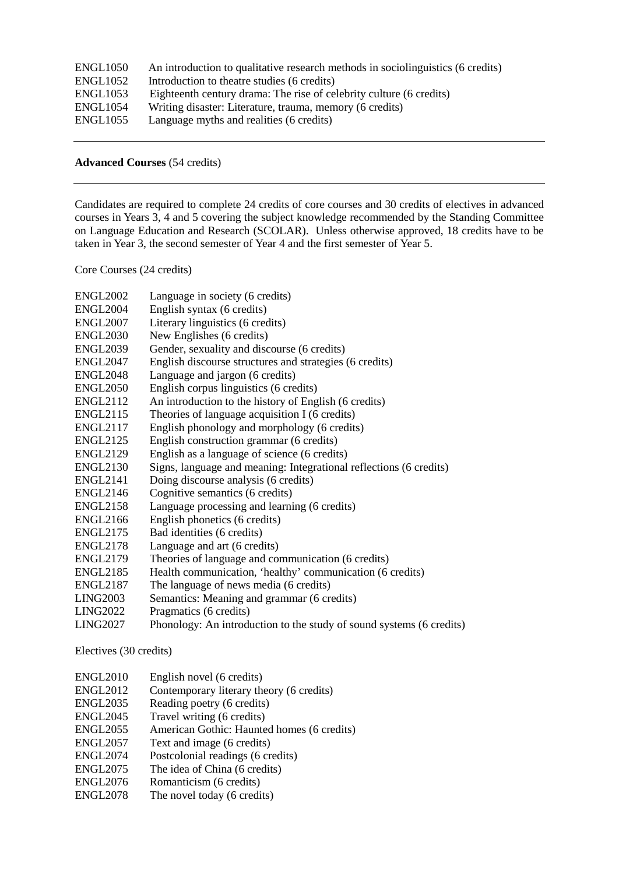| ENGL1050             | An introduction to qualitative research methods in sociolinguistics (6 credits) |
|----------------------|---------------------------------------------------------------------------------|
| ENGL <sub>1052</sub> | Introduction to the atre studies (6 credits)                                    |
| ENGL1053             | Eighteenth century drama: The rise of celebrity culture (6 credits)             |
| ENGL1054             | Writing disaster: Literature, trauma, memory (6 credits)                        |
| ENGL1055             | Language myths and realities (6 credits)                                        |
|                      |                                                                                 |

## **Advanced Courses** (54 credits)

Candidates are required to complete 24 credits of core courses and 30 credits of electives in advanced courses in Years 3, 4 and 5 covering the subject knowledge recommended by the Standing Committee on Language Education and Research (SCOLAR). Unless otherwise approved, 18 credits have to be taken in Year 3, the second semester of Year 4 and the first semester of Year 5.

Core Courses (24 credits)

| <b>ENGL2002</b>                 | Language in society (6 credits)                                      |
|---------------------------------|----------------------------------------------------------------------|
| ENGL2004                        | English syntax (6 credits)                                           |
| ENGL <sub>2007</sub>            | Literary linguistics (6 credits)                                     |
| <b>ENGL2030</b>                 | New Englishes (6 credits)                                            |
| <b>ENGL2039</b>                 | Gender, sexuality and discourse (6 credits)                          |
| <b>ENGL2047</b>                 | English discourse structures and strategies (6 credits)              |
| <b>ENGL2048</b>                 | Language and jargon (6 credits)                                      |
| <b>ENGL2050</b>                 | English corpus linguistics (6 credits)                               |
| ENGL2112                        | An introduction to the history of English (6 credits)                |
| ENGL2115                        | Theories of language acquisition I (6 credits)                       |
| <b>ENGL2117</b>                 | English phonology and morphology (6 credits)                         |
| <b>ENGL2125</b>                 | English construction grammar (6 credits)                             |
| <b>ENGL2129</b>                 | English as a language of science (6 credits)                         |
| ENGL2130                        | Signs, language and meaning: Integrational reflections (6 credits)   |
| ENGL2141                        | Doing discourse analysis (6 credits)                                 |
| <b>ENGL2146</b>                 | Cognitive semantics (6 credits)                                      |
| <b>ENGL2158</b>                 | Language processing and learning (6 credits)                         |
| <b>ENGL2166</b>                 | English phonetics (6 credits)                                        |
| <b>ENGL2175</b>                 | Bad identities (6 credits)                                           |
| ENGL2178                        | Language and art (6 credits)                                         |
| <b>ENGL2179</b>                 | Theories of language and communication (6 credits)                   |
| <b>ENGL2185</b>                 | Health communication, 'healthy' communication (6 credits)            |
| <b>ENGL2187</b>                 | The language of news media (6 credits)                               |
| <b>LING2003</b>                 | Semantics: Meaning and grammar (6 credits)                           |
| LING2022                        | Pragmatics (6 credits)                                               |
| <b>LING2027</b>                 | Phonology: An introduction to the study of sound systems (6 credits) |
| $\Gamma$ laativaa (20. aastita) |                                                                      |

Electives (30 credits)

- ENGL2010 English novel (6 credits)
- ENGL2012 Contemporary literary theory (6 credits)
- ENGL2035 Reading poetry (6 credits)
- ENGL2045 Travel writing (6 credits)
- ENGL2055 American Gothic: Haunted homes (6 credits)
- ENGL2057 Text and image (6 credits)
- ENGL2074 Postcolonial readings (6 credits)
- ENGL2075 The idea of China (6 credits)
- ENGL2076 Romanticism (6 credits)
- ENGL2078 The novel today (6 credits)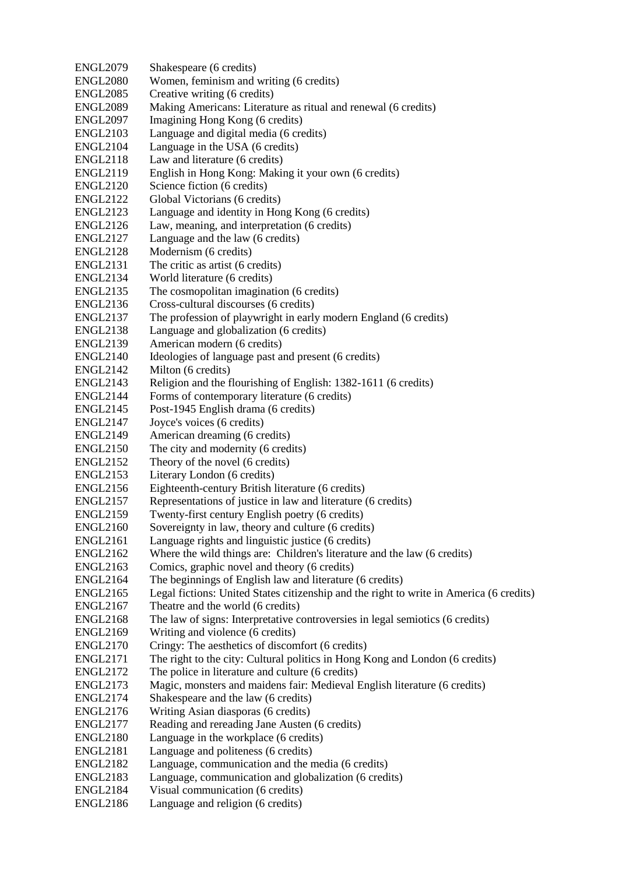| <b>ENGL2079</b> | Shakespeare (6 credits)                                                                 |
|-----------------|-----------------------------------------------------------------------------------------|
| <b>ENGL2080</b> | Women, feminism and writing (6 credits)                                                 |
| <b>ENGL2085</b> | Creative writing (6 credits)                                                            |
| <b>ENGL2089</b> | Making Americans: Literature as ritual and renewal (6 credits)                          |
| <b>ENGL2097</b> | Imagining Hong Kong (6 credits)                                                         |
| <b>ENGL2103</b> | Language and digital media (6 credits)                                                  |
| <b>ENGL2104</b> | Language in the USA (6 credits)                                                         |
| <b>ENGL2118</b> | Law and literature (6 credits)                                                          |
| <b>ENGL2119</b> | English in Hong Kong: Making it your own (6 credits)                                    |
| <b>ENGL2120</b> | Science fiction (6 credits)                                                             |
| <b>ENGL2122</b> | Global Victorians (6 credits)                                                           |
| <b>ENGL2123</b> | Language and identity in Hong Kong (6 credits)                                          |
| <b>ENGL2126</b> | Law, meaning, and interpretation (6 credits)                                            |
| <b>ENGL2127</b> | Language and the law (6 credits)                                                        |
| <b>ENGL2128</b> | Modernism (6 credits)                                                                   |
| <b>ENGL2131</b> | The critic as artist (6 credits)                                                        |
| <b>ENGL2134</b> | World literature (6 credits)                                                            |
| <b>ENGL2135</b> | The cosmopolitan imagination (6 credits)                                                |
| <b>ENGL2136</b> | Cross-cultural discourses (6 credits)                                                   |
| <b>ENGL2137</b> | The profession of playwright in early modern England (6 credits)                        |
| <b>ENGL2138</b> | Language and globalization (6 credits)                                                  |
| <b>ENGL2139</b> | American modern (6 credits)                                                             |
| <b>ENGL2140</b> | Ideologies of language past and present (6 credits)                                     |
| <b>ENGL2142</b> | Milton (6 credits)                                                                      |
| <b>ENGL2143</b> | Religion and the flourishing of English: 1382-1611 (6 credits)                          |
| <b>ENGL2144</b> | Forms of contemporary literature (6 credits)                                            |
| <b>ENGL2145</b> | Post-1945 English drama (6 credits)                                                     |
| <b>ENGL2147</b> | Joyce's voices (6 credits)                                                              |
| <b>ENGL2149</b> | American dreaming (6 credits)                                                           |
| <b>ENGL2150</b> | The city and modernity (6 credits)                                                      |
| <b>ENGL2152</b> | Theory of the novel (6 credits)                                                         |
| <b>ENGL2153</b> | Literary London (6 credits)                                                             |
| <b>ENGL2156</b> | Eighteenth-century British literature (6 credits)                                       |
| <b>ENGL2157</b> | Representations of justice in law and literature (6 credits)                            |
| <b>ENGL2159</b> | Twenty-first century English poetry (6 credits)                                         |
| <b>ENGL2160</b> | Sovereignty in law, theory and culture (6 credits)                                      |
| <b>ENGL2161</b> | Language rights and linguistic justice (6 credits)                                      |
| <b>ENGL2162</b> | Where the wild things are: Children's literature and the law (6 credits)                |
| <b>ENGL2163</b> | Comics, graphic novel and theory (6 credits)                                            |
| <b>ENGL2164</b> | The beginnings of English law and literature (6 credits)                                |
| <b>ENGL2165</b> | Legal fictions: United States citizenship and the right to write in America (6 credits) |
| <b>ENGL2167</b> | Theatre and the world (6 credits)                                                       |
| <b>ENGL2168</b> | The law of signs: Interpretative controversies in legal semiotics (6 credits)           |
| <b>ENGL2169</b> | Writing and violence (6 credits)                                                        |
| <b>ENGL2170</b> | Cringy: The aesthetics of discomfort (6 credits)                                        |
| <b>ENGL2171</b> | The right to the city: Cultural politics in Hong Kong and London (6 credits)            |
| <b>ENGL2172</b> | The police in literature and culture (6 credits)                                        |
| <b>ENGL2173</b> | Magic, monsters and maidens fair: Medieval English literature (6 credits)               |
| <b>ENGL2174</b> | Shakespeare and the law (6 credits)                                                     |
| <b>ENGL2176</b> | Writing Asian diasporas (6 credits)                                                     |
| <b>ENGL2177</b> | Reading and rereading Jane Austen (6 credits)                                           |
| <b>ENGL2180</b> | Language in the workplace (6 credits)                                                   |
| <b>ENGL2181</b> | Language and politeness (6 credits)                                                     |
| <b>ENGL2182</b> | Language, communication and the media (6 credits)                                       |
| <b>ENGL2183</b> | Language, communication and globalization (6 credits)                                   |
| <b>ENGL2184</b> | Visual communication (6 credits)                                                        |
| <b>ENGL2186</b> | Language and religion (6 credits)                                                       |
|                 |                                                                                         |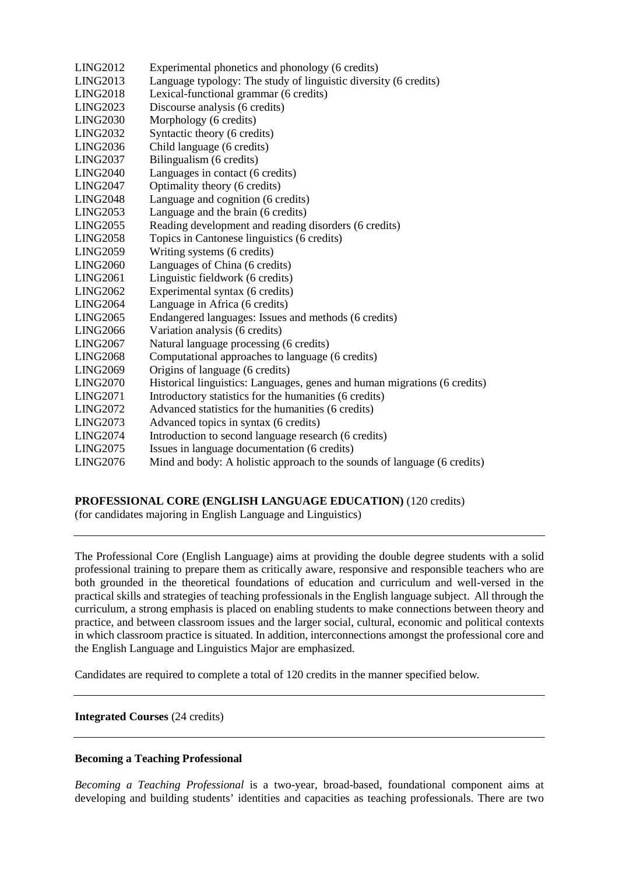| <b>LING2012</b> | Experimental phonetics and phonology (6 credits)                          |
|-----------------|---------------------------------------------------------------------------|
| LING2013        | Language typology: The study of linguistic diversity (6 credits)          |
| <b>LING2018</b> | Lexical-functional grammar (6 credits)                                    |
| <b>LING2023</b> | Discourse analysis (6 credits)                                            |
| <b>LING2030</b> | Morphology (6 credits)                                                    |
| <b>LING2032</b> | Syntactic theory (6 credits)                                              |
| <b>LING2036</b> | Child language (6 credits)                                                |
| <b>LING2037</b> | Bilingualism (6 credits)                                                  |
| <b>LING2040</b> | Languages in contact (6 credits)                                          |
| <b>LING2047</b> | Optimality theory (6 credits)                                             |
| <b>LING2048</b> | Language and cognition (6 credits)                                        |
| LING2053        | Language and the brain (6 credits)                                        |
| <b>LING2055</b> | Reading development and reading disorders (6 credits)                     |
| <b>LING2058</b> | Topics in Cantonese linguistics (6 credits)                               |
| <b>LING2059</b> | Writing systems (6 credits)                                               |
| <b>LING2060</b> | Languages of China (6 credits)                                            |
| <b>LING2061</b> | Linguistic fieldwork (6 credits)                                          |
| <b>LING2062</b> | Experimental syntax (6 credits)                                           |
| <b>LING2064</b> | Language in Africa (6 credits)                                            |
| <b>LING2065</b> | Endangered languages: Issues and methods (6 credits)                      |
| <b>LING2066</b> | Variation analysis (6 credits)                                            |
| <b>LING2067</b> | Natural language processing (6 credits)                                   |
| <b>LING2068</b> | Computational approaches to language (6 credits)                          |
| <b>LING2069</b> | Origins of language (6 credits)                                           |
| <b>LING2070</b> | Historical linguistics: Languages, genes and human migrations (6 credits) |
| <b>LING2071</b> | Introductory statistics for the humanities (6 credits)                    |
| <b>LING2072</b> | Advanced statistics for the humanities (6 credits)                        |
| <b>LING2073</b> | Advanced topics in syntax (6 credits)                                     |
| <b>LING2074</b> | Introduction to second language research (6 credits)                      |
| <b>LING2075</b> | Issues in language documentation (6 credits)                              |
| <b>LING2076</b> | Mind and body: A holistic approach to the sounds of language (6 credits)  |
|                 |                                                                           |

## **PROFESSIONAL CORE (ENGLISH LANGUAGE EDUCATION)** (120 credits)

(for candidates majoring in English Language and Linguistics)

The Professional Core (English Language) aims at providing the double degree students with a solid professional training to prepare them as critically aware, responsive and responsible teachers who are both grounded in the theoretical foundations of education and curriculum and well-versed in the practical skills and strategies of teaching professionals in the English language subject. All through the curriculum, a strong emphasis is placed on enabling students to make connections between theory and practice, and between classroom issues and the larger social, cultural, economic and political contexts in which classroom practice is situated. In addition, interconnections amongst the professional core and the English Language and Linguistics Major are emphasized.

Candidates are required to complete a total of 120 credits in the manner specified below.

#### **Integrated Courses** (24 credits)

#### **Becoming a Teaching Professional**

*Becoming a Teaching Professional* is a two-year, broad-based, foundational component aims at developing and building students' identities and capacities as teaching professionals. There are two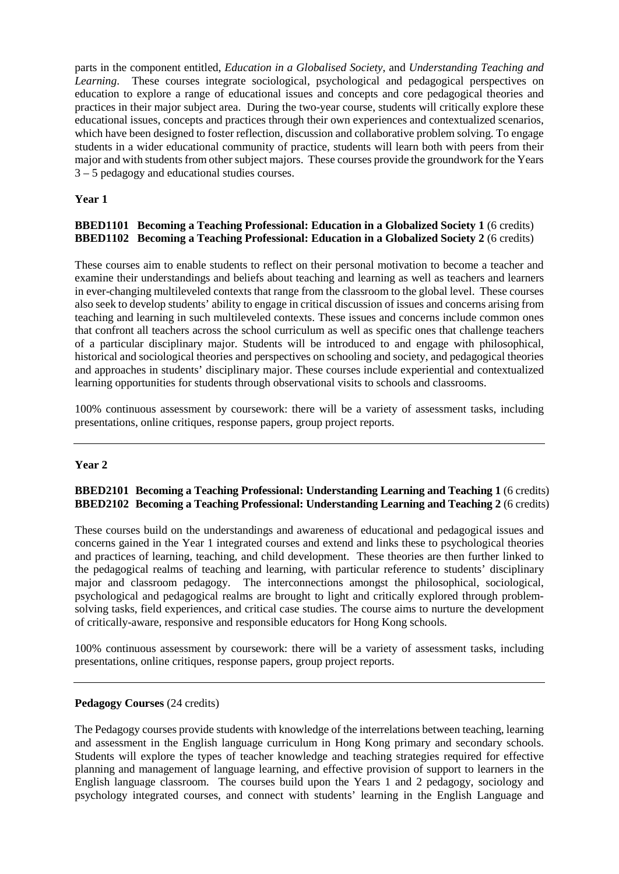parts in the component entitled, *Education in a Globalised Society*, and *Understanding Teaching and Learning*. These courses integrate sociological, psychological and pedagogical perspectives on education to explore a range of educational issues and concepts and core pedagogical theories and practices in their major subject area. During the two-year course, students will critically explore these educational issues, concepts and practices through their own experiences and contextualized scenarios, which have been designed to foster reflection, discussion and collaborative problem solving. To engage students in a wider educational community of practice, students will learn both with peers from their major and with students from other subject majors. These courses provide the groundwork for the Years 3 – 5 pedagogy and educational studies courses.

# **Year 1**

# **BBED1101 Becoming a Teaching Professional: Education in a Globalized Society 1** (6 credits) **BBED1102 Becoming a Teaching Professional: Education in a Globalized Society 2** (6 credits)

These courses aim to enable students to reflect on their personal motivation to become a teacher and examine their understandings and beliefs about teaching and learning as well as teachers and learners in ever-changing multileveled contexts that range from the classroom to the global level. These courses also seek to develop students' ability to engage in critical discussion of issues and concerns arising from teaching and learning in such multileveled contexts. These issues and concerns include common ones that confront all teachers across the school curriculum as well as specific ones that challenge teachers of a particular disciplinary major. Students will be introduced to and engage with philosophical, historical and sociological theories and perspectives on schooling and society, and pedagogical theories and approaches in students' disciplinary major. These courses include experiential and contextualized learning opportunities for students through observational visits to schools and classrooms.

100% continuous assessment by coursework: there will be a variety of assessment tasks, including presentations, online critiques, response papers, group project reports.

## **Year 2**

## **BBED2101 Becoming a Teaching Professional: Understanding Learning and Teaching 1** (6 credits) **BBED2102 Becoming a Teaching Professional: Understanding Learning and Teaching 2** (6 credits)

These courses build on the understandings and awareness of educational and pedagogical issues and concerns gained in the Year 1 integrated courses and extend and links these to psychological theories and practices of learning, teaching, and child development. These theories are then further linked to the pedagogical realms of teaching and learning, with particular reference to students' disciplinary major and classroom pedagogy. The interconnections amongst the philosophical, sociological, psychological and pedagogical realms are brought to light and critically explored through problemsolving tasks, field experiences, and critical case studies. The course aims to nurture the development of critically-aware, responsive and responsible educators for Hong Kong schools.

100% continuous assessment by coursework: there will be a variety of assessment tasks, including presentations, online critiques, response papers, group project reports.

#### **Pedagogy Courses** (24 credits)

The Pedagogy courses provide students with knowledge of the interrelations between teaching, learning and assessment in the English language curriculum in Hong Kong primary and secondary schools. Students will explore the types of teacher knowledge and teaching strategies required for effective planning and management of language learning, and effective provision of support to learners in the English language classroom. The courses build upon the Years 1 and 2 pedagogy, sociology and psychology integrated courses, and connect with students' learning in the English Language and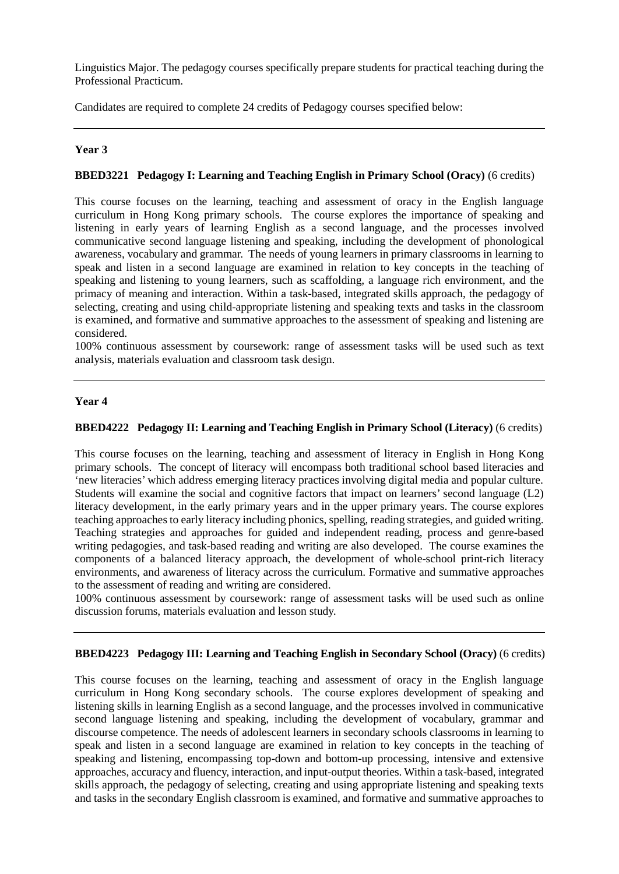Linguistics Major. The pedagogy courses specifically prepare students for practical teaching during the Professional Practicum.

Candidates are required to complete 24 credits of Pedagogy courses specified below:

# **Year 3**

# **BBED3221 Pedagogy I: Learning and Teaching English in Primary School (Oracy)** (6 credits)

This course focuses on the learning, teaching and assessment of oracy in the English language curriculum in Hong Kong primary schools. The course explores the importance of speaking and listening in early years of learning English as a second language, and the processes involved communicative second language listening and speaking, including the development of phonological awareness, vocabulary and grammar. The needs of young learners in primary classrooms in learning to speak and listen in a second language are examined in relation to key concepts in the teaching of speaking and listening to young learners, such as scaffolding, a language rich environment, and the primacy of meaning and interaction. Within a task-based, integrated skills approach, the pedagogy of selecting, creating and using child-appropriate listening and speaking texts and tasks in the classroom is examined, and formative and summative approaches to the assessment of speaking and listening are considered.

100% continuous assessment by coursework: range of assessment tasks will be used such as text analysis, materials evaluation and classroom task design.

## **Year 4**

## **BBED4222 Pedagogy II: Learning and Teaching English in Primary School (Literacy)** (6 credits)

This course focuses on the learning, teaching and assessment of literacy in English in Hong Kong primary schools. The concept of literacy will encompass both traditional school based literacies and 'new literacies' which address emerging literacy practices involving digital media and popular culture. Students will examine the social and cognitive factors that impact on learners' second language (L2) literacy development, in the early primary years and in the upper primary years. The course explores teaching approaches to early literacy including phonics, spelling, reading strategies, and guided writing. Teaching strategies and approaches for guided and independent reading, process and genre-based writing pedagogies, and task-based reading and writing are also developed. The course examines the components of a balanced literacy approach, the development of whole-school print-rich literacy environments, and awareness of literacy across the curriculum. Formative and summative approaches to the assessment of reading and writing are considered.

100% continuous assessment by coursework: range of assessment tasks will be used such as online discussion forums, materials evaluation and lesson study.

## **BBED4223 Pedagogy III: Learning and Teaching English in Secondary School (Oracy)** (6 credits)

This course focuses on the learning, teaching and assessment of oracy in the English language curriculum in Hong Kong secondary schools. The course explores development of speaking and listening skills in learning English as a second language, and the processes involved in communicative second language listening and speaking, including the development of vocabulary, grammar and discourse competence. The needs of adolescent learners in secondary schools classrooms in learning to speak and listen in a second language are examined in relation to key concepts in the teaching of speaking and listening, encompassing top-down and bottom-up processing, intensive and extensive approaches, accuracy and fluency, interaction, and input-output theories. Within a task-based, integrated skills approach, the pedagogy of selecting, creating and using appropriate listening and speaking texts and tasks in the secondary English classroom is examined, and formative and summative approaches to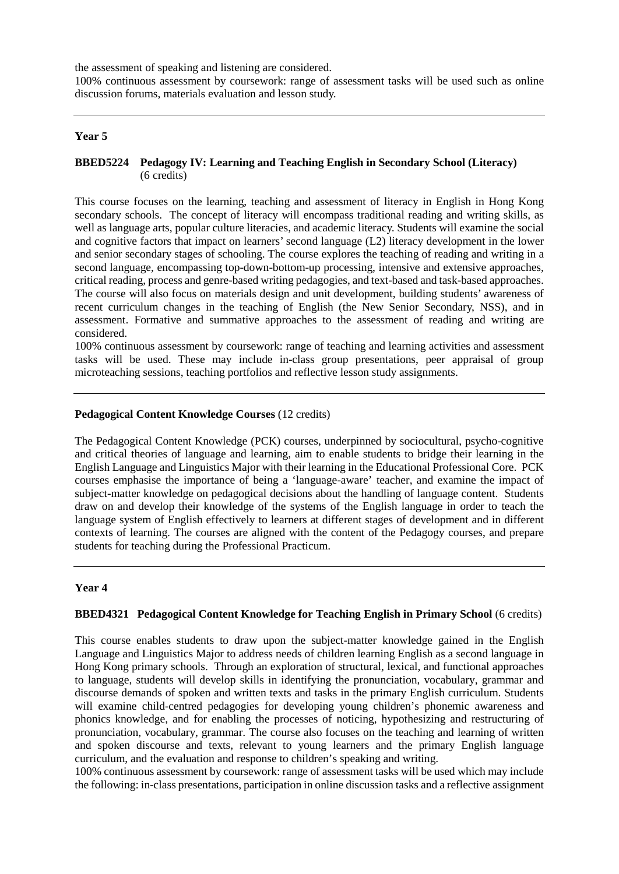the assessment of speaking and listening are considered.

100% continuous assessment by coursework: range of assessment tasks will be used such as online discussion forums, materials evaluation and lesson study.

#### **Year 5**

#### **BBED5224 Pedagogy IV: Learning and Teaching English in Secondary School (Literacy)** (6 credits)

This course focuses on the learning, teaching and assessment of literacy in English in Hong Kong secondary schools. The concept of literacy will encompass traditional reading and writing skills, as well as language arts, popular culture literacies, and academic literacy. Students will examine the social and cognitive factors that impact on learners' second language (L2) literacy development in the lower and senior secondary stages of schooling. The course explores the teaching of reading and writing in a second language, encompassing top-down-bottom-up processing, intensive and extensive approaches, critical reading, process and genre-based writing pedagogies, and text-based and task-based approaches. The course will also focus on materials design and unit development, building students' awareness of recent curriculum changes in the teaching of English (the New Senior Secondary, NSS), and in assessment. Formative and summative approaches to the assessment of reading and writing are considered.

100% continuous assessment by coursework: range of teaching and learning activities and assessment tasks will be used. These may include in-class group presentations, peer appraisal of group microteaching sessions, teaching portfolios and reflective lesson study assignments.

#### **Pedagogical Content Knowledge Courses** (12 credits)

The Pedagogical Content Knowledge (PCK) courses, underpinned by sociocultural, psycho-cognitive and critical theories of language and learning, aim to enable students to bridge their learning in the English Language and Linguistics Major with their learning in the Educational Professional Core. PCK courses emphasise the importance of being a 'language-aware' teacher, and examine the impact of subject-matter knowledge on pedagogical decisions about the handling of language content. Students draw on and develop their knowledge of the systems of the English language in order to teach the language system of English effectively to learners at different stages of development and in different contexts of learning. The courses are aligned with the content of the Pedagogy courses, and prepare students for teaching during the Professional Practicum.

## **Year 4**

#### **BBED4321 Pedagogical Content Knowledge for Teaching English in Primary School** (6 credits)

This course enables students to draw upon the subject-matter knowledge gained in the English Language and Linguistics Major to address needs of children learning English as a second language in Hong Kong primary schools. Through an exploration of structural, lexical, and functional approaches to language, students will develop skills in identifying the pronunciation, vocabulary, grammar and discourse demands of spoken and written texts and tasks in the primary English curriculum. Students will examine child-centred pedagogies for developing young children's phonemic awareness and phonics knowledge, and for enabling the processes of noticing, hypothesizing and restructuring of pronunciation, vocabulary, grammar. The course also focuses on the teaching and learning of written and spoken discourse and texts, relevant to young learners and the primary English language curriculum, and the evaluation and response to children's speaking and writing.

100% continuous assessment by coursework: range of assessment tasks will be used which may include the following: in-class presentations, participation in online discussion tasks and a reflective assignment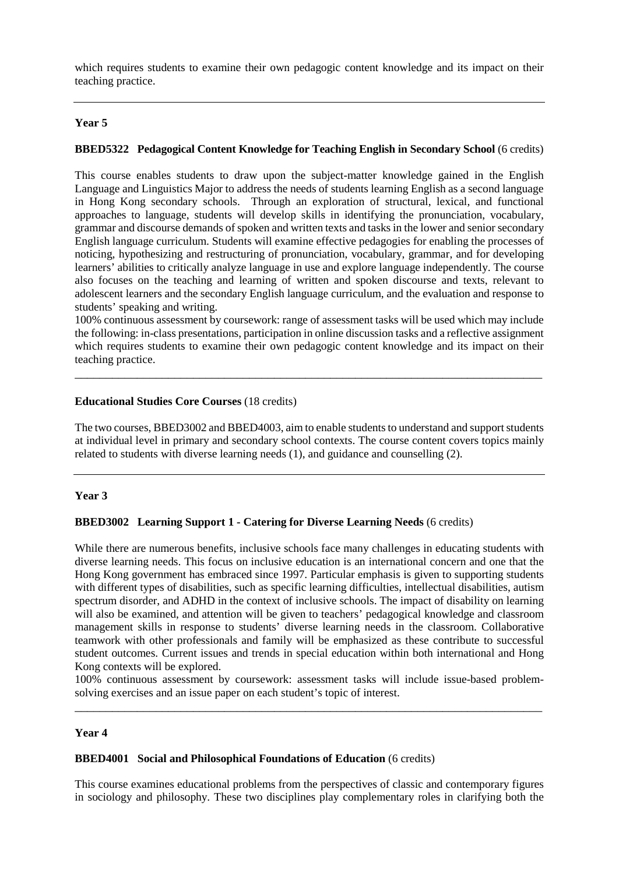which requires students to examine their own pedagogic content knowledge and its impact on their teaching practice.

## **Year 5**

#### **BBED5322 Pedagogical Content Knowledge for Teaching English in Secondary School** (6 credits)

This course enables students to draw upon the subject-matter knowledge gained in the English Language and Linguistics Major to address the needs of students learning English as a second language in Hong Kong secondary schools. Through an exploration of structural, lexical, and functional approaches to language, students will develop skills in identifying the pronunciation, vocabulary, grammar and discourse demands of spoken and written texts and tasks in the lower and senior secondary English language curriculum. Students will examine effective pedagogies for enabling the processes of noticing, hypothesizing and restructuring of pronunciation, vocabulary, grammar, and for developing learners' abilities to critically analyze language in use and explore language independently. The course also focuses on the teaching and learning of written and spoken discourse and texts, relevant to adolescent learners and the secondary English language curriculum, and the evaluation and response to students' speaking and writing.

100% continuous assessment by coursework: range of assessment tasks will be used which may include the following: in-class presentations, participation in online discussion tasks and a reflective assignment which requires students to examine their own pedagogic content knowledge and its impact on their teaching practice.

\_\_\_\_\_\_\_\_\_\_\_\_\_\_\_\_\_\_\_\_\_\_\_\_\_\_\_\_\_\_\_\_\_\_\_\_\_\_\_\_\_\_\_\_\_\_\_\_\_\_\_\_\_\_\_\_\_\_\_\_\_\_\_\_\_\_\_\_\_\_\_\_\_\_\_

#### **Educational Studies Core Courses** (18 credits)

The two courses, BBED3002 and BBED4003, aim to enable students to understand and support students at individual level in primary and secondary school contexts. The course content covers topics mainly related to students with diverse learning needs (1), and guidance and counselling (2).

#### **Year 3**

#### **BBED3002 Learning Support 1 - Catering for Diverse Learning Needs** (6 credits)

While there are numerous benefits, inclusive schools face many challenges in educating students with diverse learning needs. This focus on inclusive education is an international concern and one that the Hong Kong government has embraced since 1997. Particular emphasis is given to supporting students with different types of disabilities, such as specific learning difficulties, intellectual disabilities, autism spectrum disorder, and ADHD in the context of inclusive schools. The impact of disability on learning will also be examined, and attention will be given to teachers' pedagogical knowledge and classroom management skills in response to students' diverse learning needs in the classroom. Collaborative teamwork with other professionals and family will be emphasized as these contribute to successful student outcomes. Current issues and trends in special education within both international and Hong Kong contexts will be explored.

100% continuous assessment by coursework: assessment tasks will include issue-based problemsolving exercises and an issue paper on each student's topic of interest. \_\_\_\_\_\_\_\_\_\_\_\_\_\_\_\_\_\_\_\_\_\_\_\_\_\_\_\_\_\_\_\_\_\_\_\_\_\_\_\_\_\_\_\_\_\_\_\_\_\_\_\_\_\_\_\_\_\_\_\_\_\_\_\_\_\_\_\_\_\_\_\_\_\_\_

#### **Year 4**

#### **BBED4001 Social and Philosophical Foundations of Education** (6 credits)

This course examines educational problems from the perspectives of classic and contemporary figures in sociology and philosophy. These two disciplines play complementary roles in clarifying both the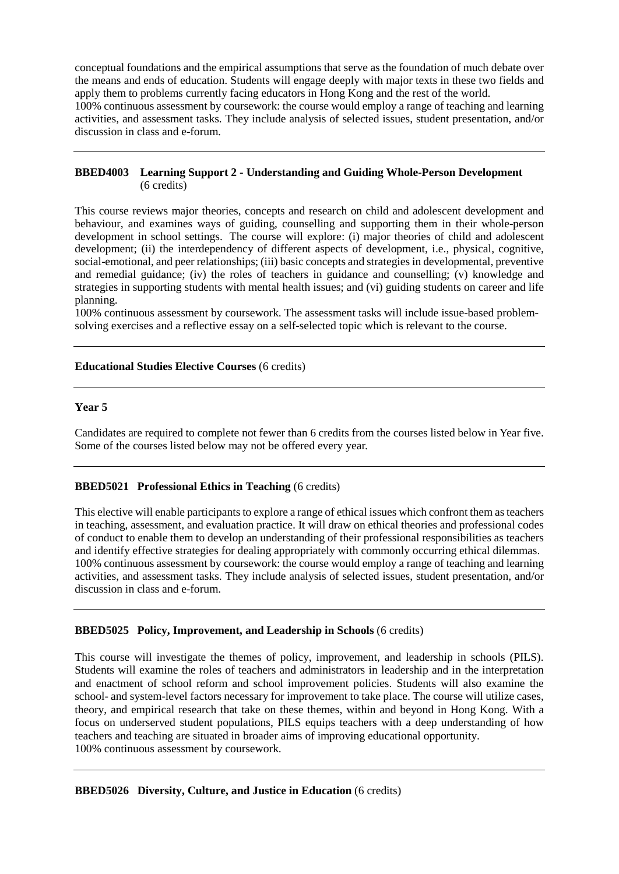conceptual foundations and the empirical assumptions that serve as the foundation of much debate over the means and ends of education. Students will engage deeply with major texts in these two fields and apply them to problems currently facing educators in Hong Kong and the rest of the world.

100% continuous assessment by coursework: the course would employ a range of teaching and learning activities, and assessment tasks. They include analysis of selected issues, student presentation, and/or discussion in class and e-forum.

#### **BBED4003 Learning Support 2 - Understanding and Guiding Whole-Person Development** (6 credits)

This course reviews major theories, concepts and research on child and adolescent development and behaviour, and examines ways of guiding, counselling and supporting them in their whole-person development in school settings. The course will explore: (i) major theories of child and adolescent development; (ii) the interdependency of different aspects of development, i.e., physical, cognitive, social-emotional, and peer relationships; (iii) basic concepts and strategies in developmental, preventive and remedial guidance; (iv) the roles of teachers in guidance and counselling; (v) knowledge and strategies in supporting students with mental health issues; and (vi) guiding students on career and life planning.

100% continuous assessment by coursework. The assessment tasks will include issue-based problemsolving exercises and a reflective essay on a self-selected topic which is relevant to the course.

## **Educational Studies Elective Courses** (6 credits)

## **Year 5**

Candidates are required to complete not fewer than 6 credits from the courses listed below in Year five. Some of the courses listed below may not be offered every year.

## **BBED5021 Professional Ethics in Teaching** (6 credits)

This elective will enable participants to explore a range of ethical issues which confront them as teachers in teaching, assessment, and evaluation practice. It will draw on ethical theories and professional codes of conduct to enable them to develop an understanding of their professional responsibilities as teachers and identify effective strategies for dealing appropriately with commonly occurring ethical dilemmas. 100% continuous assessment by coursework: the course would employ a range of teaching and learning activities, and assessment tasks. They include analysis of selected issues, student presentation, and/or discussion in class and e-forum.

## **BBED5025 Policy, Improvement, and Leadership in Schools** (6 credits)

This course will investigate the themes of policy, improvement, and leadership in schools (PILS). Students will examine the roles of teachers and administrators in leadership and in the interpretation and enactment of school reform and school improvement policies. Students will also examine the school- and system-level factors necessary for improvement to take place. The course will utilize cases, theory, and empirical research that take on these themes, within and beyond in Hong Kong. With a focus on underserved student populations, PILS equips teachers with a deep understanding of how teachers and teaching are situated in broader aims of improving educational opportunity. 100% continuous assessment by coursework.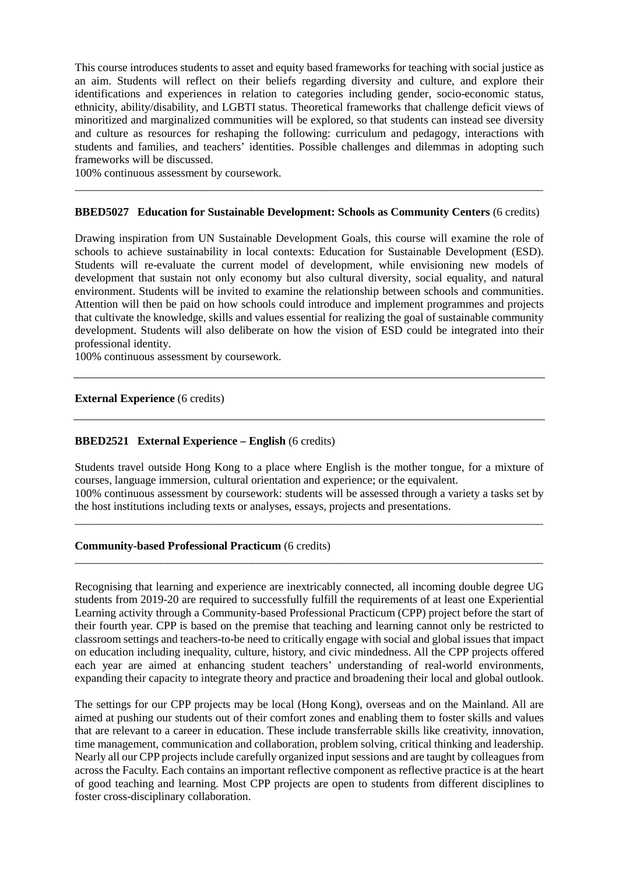This course introduces students to asset and equity based frameworks for teaching with social justice as an aim. Students will reflect on their beliefs regarding diversity and culture, and explore their identifications and experiences in relation to categories including gender, socio-economic status, ethnicity, ability/disability, and LGBTI status. Theoretical frameworks that challenge deficit views of minoritized and marginalized communities will be explored, so that students can instead see diversity and culture as resources for reshaping the following: curriculum and pedagogy, interactions with students and families, and teachers' identities. Possible challenges and dilemmas in adopting such frameworks will be discussed.

100% continuous assessment by coursework.

#### **BBED5027 Education for Sustainable Development: Schools as Community Centers** (6 credits)

\_\_\_\_\_\_\_\_\_\_\_\_\_\_\_\_\_\_\_\_\_\_\_\_\_\_\_\_\_\_\_\_\_\_\_\_\_\_\_\_\_\_\_\_\_\_\_\_\_\_\_\_\_\_\_\_\_\_\_\_\_\_\_\_\_\_\_\_\_\_\_\_\_\_\_\_\_\_\_\_\_\_

Drawing inspiration from UN Sustainable Development Goals, this course will examine the role of schools to achieve sustainability in local contexts: Education for Sustainable Development (ESD). Students will re-evaluate the current model of development, while envisioning new models of development that sustain not only economy but also cultural diversity, social equality, and natural environment. Students will be invited to examine the relationship between schools and communities. Attention will then be paid on how schools could introduce and implement programmes and projects that cultivate the knowledge, skills and values essential for realizing the goal of sustainable community development. Students will also deliberate on how the vision of ESD could be integrated into their professional identity.

100% continuous assessment by coursework.

#### **External Experience** (6 credits)

#### **BBED2521 External Experience – English** (6 credits)

Students travel outside Hong Kong to a place where English is the mother tongue, for a mixture of courses, language immersion, cultural orientation and experience; or the equivalent. 100% continuous assessment by coursework: students will be assessed through a variety a tasks set by the host institutions including texts or analyses, essays, projects and presentations.

\_\_\_\_\_\_\_\_\_\_\_\_\_\_\_\_\_\_\_\_\_\_\_\_\_\_\_\_\_\_\_\_\_\_\_\_\_\_\_\_\_\_\_\_\_\_\_\_\_\_\_\_\_\_\_\_\_\_\_\_\_\_\_\_\_\_\_\_\_\_\_\_\_\_\_\_\_\_\_\_\_\_

\_\_\_\_\_\_\_\_\_\_\_\_\_\_\_\_\_\_\_\_\_\_\_\_\_\_\_\_\_\_\_\_\_\_\_\_\_\_\_\_\_\_\_\_\_\_\_\_\_\_\_\_\_\_\_\_\_\_\_\_\_\_\_\_\_\_\_\_\_\_\_\_\_\_\_\_\_\_\_\_\_\_

#### **Community-based Professional Practicum** (6 credits)

Recognising that learning and experience are inextricably connected, all incoming double degree UG students from 2019-20 are required to successfully fulfill the requirements of at least one Experiential Learning activity through a Community-based Professional Practicum (CPP) project before the start of their fourth year. CPP is based on the premise that teaching and learning cannot only be restricted to classroom settings and teachers-to-be need to critically engage with social and global issues that impact on education including inequality, culture, history, and civic mindedness. All the CPP projects offered each year are aimed at enhancing student teachers' understanding of real-world environments, expanding their capacity to integrate theory and practice and broadening their local and global outlook.

The settings for our CPP projects may be local (Hong Kong), overseas and on the Mainland. All are aimed at pushing our students out of their comfort zones and enabling them to foster skills and values that are relevant to a career in education. These include transferrable skills like creativity, innovation, time management, communication and collaboration, problem solving, critical thinking and leadership. Nearly all our CPP projects include carefully organized input sessions and are taught by colleagues from across the Faculty. Each contains an important reflective component as reflective practice is at the heart of good teaching and learning. Most CPP projects are open to students from different disciplines to foster cross-disciplinary collaboration.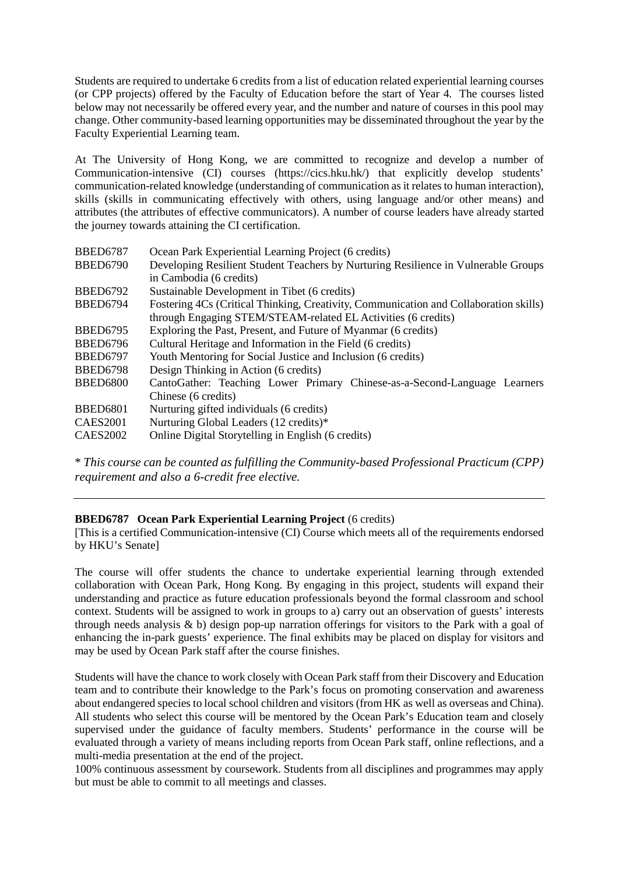Students are required to undertake 6 credits from a list of education related experiential learning courses (or CPP projects) offered by the Faculty of Education before the start of Year 4. The courses listed below may not necessarily be offered every year, and the number and nature of courses in this pool may change. Other community-based learning opportunities may be disseminated throughout the year by the Faculty Experiential Learning team.

At The University of Hong Kong, we are committed to recognize and develop a number of Communication-intensive (CI) courses (https://cics.hku.hk/) that explicitly develop students' communication-related knowledge (understanding of communication as it relates to human interaction), skills (skills in communicating effectively with others, using language and/or other means) and attributes (the attributes of effective communicators). A number of course leaders have already started the journey towards attaining the CI certification.

| <b>BBED6787</b> | Ocean Park Experiential Learning Project (6 credits)                                  |
|-----------------|---------------------------------------------------------------------------------------|
| <b>BBED6790</b> | Developing Resilient Student Teachers by Nurturing Resilience in Vulnerable Groups    |
|                 | in Cambodia (6 credits)                                                               |
| <b>BBED6792</b> | Sustainable Development in Tibet (6 credits)                                          |
| <b>BBED6794</b> | Fostering 4Cs (Critical Thinking, Creativity, Communication and Collaboration skills) |
|                 | through Engaging STEM/STEAM-related EL Activities (6 credits)                         |
| <b>BBED6795</b> | Exploring the Past, Present, and Future of Myanmar (6 credits)                        |
| <b>BBED6796</b> | Cultural Heritage and Information in the Field (6 credits)                            |
| <b>BBED6797</b> | Youth Mentoring for Social Justice and Inclusion (6 credits)                          |
| <b>BBED6798</b> | Design Thinking in Action (6 credits)                                                 |
| <b>BBED6800</b> | CantoGather: Teaching Lower Primary Chinese-as-a-Second-Language Learners             |
|                 | Chinese (6 credits)                                                                   |
| <b>BBED6801</b> | Nurturing gifted individuals (6 credits)                                              |
| <b>CAES2001</b> | Nurturing Global Leaders (12 credits)*                                                |
| <b>CAES2002</b> | Online Digital Storytelling in English (6 credits)                                    |

\* *This course can be counted as fulfilling the Community-based Professional Practicum (CPP) requirement and also a 6-credit free elective.*

# **BBED6787 Ocean Park Experiential Learning Project** (6 credits)

[This is a certified Communication-intensive (CI) Course which meets all of the requirements endorsed by HKU's Senate]

The course will offer students the chance to undertake experiential learning through extended collaboration with Ocean Park, Hong Kong. By engaging in this project, students will expand their understanding and practice as future education professionals beyond the formal classroom and school context. Students will be assigned to work in groups to a) carry out an observation of guests' interests through needs analysis & b) design pop-up narration offerings for visitors to the Park with a goal of enhancing the in-park guests' experience. The final exhibits may be placed on display for visitors and may be used by Ocean Park staff after the course finishes.

Students will have the chance to work closely with Ocean Park staff from their Discovery and Education team and to contribute their knowledge to the Park's focus on promoting conservation and awareness about endangered species to local school children and visitors (from HK as well as overseas and China). All students who select this course will be mentored by the Ocean Park's Education team and closely supervised under the guidance of faculty members. Students' performance in the course will be evaluated through a variety of means including reports from Ocean Park staff, online reflections, and a multi-media presentation at the end of the project.

100% continuous assessment by coursework. Students from all disciplines and programmes may apply but must be able to commit to all meetings and classes.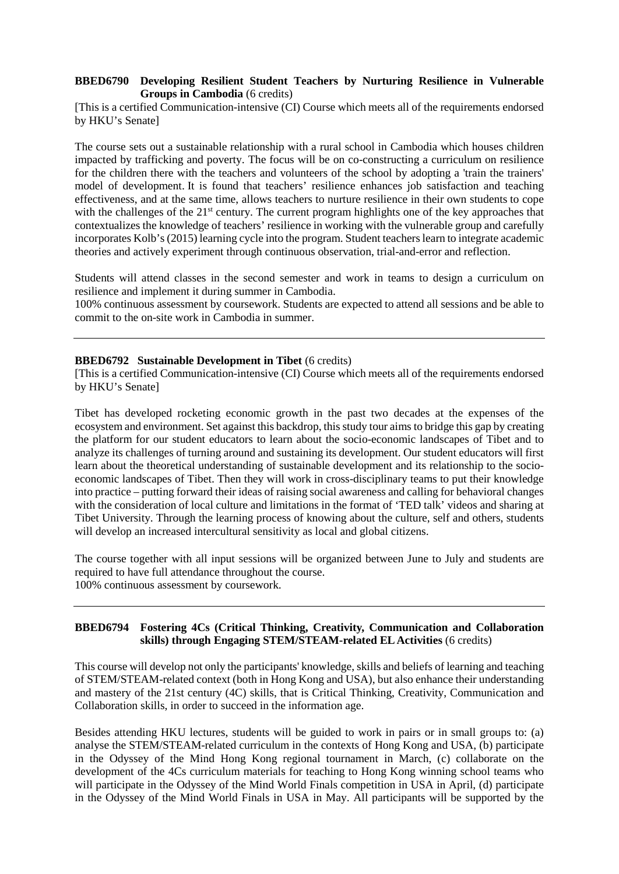## **BBED6790 Developing Resilient Student Teachers by Nurturing Resilience in Vulnerable Groups in Cambodia** (6 credits)

[This is a certified Communication-intensive (CI) Course which meets all of the requirements endorsed by HKU's Senate]

The course sets out a sustainable relationship with a rural school in Cambodia which houses children impacted by trafficking and poverty. The focus will be on co-constructing a curriculum on resilience for the children there with the teachers and volunteers of the school by adopting a 'train the trainers' model of development. It is found that teachers' resilience enhances job satisfaction and teaching effectiveness, and at the same time, allows teachers to nurture resilience in their own students to cope with the challenges of the 21<sup>st</sup> century. The current program highlights one of the key approaches that contextualizes the knowledge of teachers' resilience in working with the vulnerable group and carefully incorporates Kolb's (2015) learning cycle into the program. Student teachers learn to integrate academic theories and actively experiment through continuous observation, trial-and-error and reflection.

Students will attend classes in the second semester and work in teams to design a curriculum on resilience and implement it during summer in Cambodia.

100% continuous assessment by coursework. Students are expected to attend all sessions and be able to commit to the on-site work in Cambodia in summer.

#### **BBED6792** Sustainable Development in Tibet (6 credits)

[This is a certified Communication-intensive (CI) Course which meets all of the requirements endorsed by HKU's Senate]

Tibet has developed rocketing economic growth in the past two decades at the expenses of the ecosystem and environment. Set against this backdrop, this study tour aims to bridge this gap by creating the platform for our student educators to learn about the socio-economic landscapes of Tibet and to analyze its challenges of turning around and sustaining its development. Our student educators will first learn about the theoretical understanding of sustainable development and its relationship to the socioeconomic landscapes of Tibet. Then they will work in cross-disciplinary teams to put their knowledge into practice – putting forward their ideas of raising social awareness and calling for behavioral changes with the consideration of local culture and limitations in the format of 'TED talk' videos and sharing at Tibet University. Through the learning process of knowing about the culture, self and others, students will develop an increased intercultural sensitivity as local and global citizens.

The course together with all input sessions will be organized between June to July and students are required to have full attendance throughout the course. 100% continuous assessment by coursework.

## **BBED6794 Fostering 4Cs (Critical Thinking, Creativity, Communication and Collaboration skills) through Engaging STEM/STEAM-related ELActivities** (6 credits)

This course will develop not only the participants' knowledge, skills and beliefs of learning and teaching of STEM/STEAM-related context (both in Hong Kong and USA), but also enhance their understanding and mastery of the 21st century (4C) skills, that is Critical Thinking, Creativity, Communication and Collaboration skills, in order to succeed in the information age.

Besides attending HKU lectures, students will be guided to work in pairs or in small groups to: (a) analyse the STEM/STEAM-related curriculum in the contexts of Hong Kong and USA, (b) participate in the Odyssey of the Mind Hong Kong regional tournament in March, (c) collaborate on the development of the 4Cs curriculum materials for teaching to Hong Kong winning school teams who will participate in the Odyssey of the Mind World Finals competition in USA in April, (d) participate in the Odyssey of the Mind World Finals in USA in May. All participants will be supported by the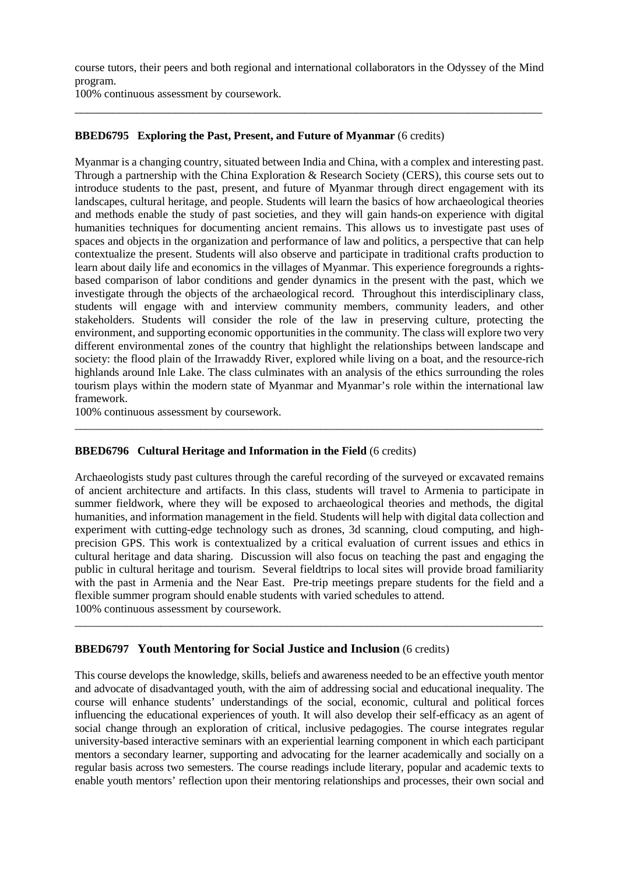course tutors, their peers and both regional and international collaborators in the Odyssey of the Mind program.

\_\_\_\_\_\_\_\_\_\_\_\_\_\_\_\_\_\_\_\_\_\_\_\_\_\_\_\_\_\_\_\_\_\_\_\_\_\_\_\_\_\_\_\_\_\_\_\_\_\_\_\_\_\_\_\_\_\_\_\_\_\_\_\_\_\_\_\_\_\_\_\_\_\_\_

100% continuous assessment by coursework.

## **BBED6795 Exploring the Past, Present, and Future of Myanmar** (6 credits)

Myanmar is a changing country, situated between India and China, with a complex and interesting past. Through a partnership with the China Exploration & Research Society (CERS), this course sets out to introduce students to the past, present, and future of Myanmar through direct engagement with its landscapes, cultural heritage, and people. Students will learn the basics of how archaeological theories and methods enable the study of past societies, and they will gain hands-on experience with digital humanities techniques for documenting ancient remains. This allows us to investigate past uses of spaces and objects in the organization and performance of law and politics, a perspective that can help contextualize the present. Students will also observe and participate in traditional crafts production to learn about daily life and economics in the villages of Myanmar. This experience foregrounds a rightsbased comparison of labor conditions and gender dynamics in the present with the past, which we investigate through the objects of the archaeological record. Throughout this interdisciplinary class, students will engage with and interview community members, community leaders, and other stakeholders. Students will consider the role of the law in preserving culture, protecting the environment, and supporting economic opportunities in the community. The class will explore two very different environmental zones of the country that highlight the relationships between landscape and society: the flood plain of the Irrawaddy River, explored while living on a boat, and the resource-rich highlands around Inle Lake. The class culminates with an analysis of the ethics surrounding the roles tourism plays within the modern state of Myanmar and Myanmar's role within the international law framework.

100% continuous assessment by coursework.

## **BBED6796 Cultural Heritage and Information in the Field** (6 credits)

Archaeologists study past cultures through the careful recording of the surveyed or excavated remains of ancient architecture and artifacts. In this class, students will travel to Armenia to participate in summer fieldwork, where they will be exposed to archaeological theories and methods, the digital humanities, and information management in the field. Students will help with digital data collection and experiment with cutting-edge technology such as drones, 3d scanning, cloud computing, and highprecision GPS. This work is contextualized by a critical evaluation of current issues and ethics in cultural heritage and data sharing. Discussion will also focus on teaching the past and engaging the public in cultural heritage and tourism. Several fieldtrips to local sites will provide broad familiarity with the past in Armenia and the Near East. Pre-trip meetings prepare students for the field and a flexible summer program should enable students with varied schedules to attend. 100% continuous assessment by coursework.

\_\_\_\_\_\_\_\_\_\_\_\_\_\_\_\_\_\_\_\_\_\_\_\_\_\_\_\_\_\_\_\_\_\_\_\_\_\_\_\_\_\_\_\_\_\_\_\_\_\_\_\_\_\_\_\_\_\_\_\_\_\_\_\_\_\_\_\_\_\_\_\_\_\_\_\_\_\_\_\_\_\_

\_\_\_\_\_\_\_\_\_\_\_\_\_\_\_\_\_\_\_\_\_\_\_\_\_\_\_\_\_\_\_\_\_\_\_\_\_\_\_\_\_\_\_\_\_\_\_\_\_\_\_\_\_\_\_\_\_\_\_\_\_\_\_\_\_\_\_\_\_\_\_\_\_\_\_\_\_\_\_\_\_\_

# **BBED6797 Youth Mentoring for Social Justice and Inclusion** (6 credits)

This course develops the knowledge, skills, beliefs and awareness needed to be an effective youth mentor and advocate of disadvantaged youth, with the aim of addressing social and educational inequality. The course will enhance students' understandings of the social, economic, cultural and political forces influencing the educational experiences of youth. It will also develop their self-efficacy as an agent of social change through an exploration of critical, inclusive pedagogies. The course integrates regular university-based interactive seminars with an experiential learning component in which each participant mentors a secondary learner, supporting and advocating for the learner academically and socially on a regular basis across two semesters. The course readings include literary, popular and academic texts to enable youth mentors' reflection upon their mentoring relationships and processes, their own social and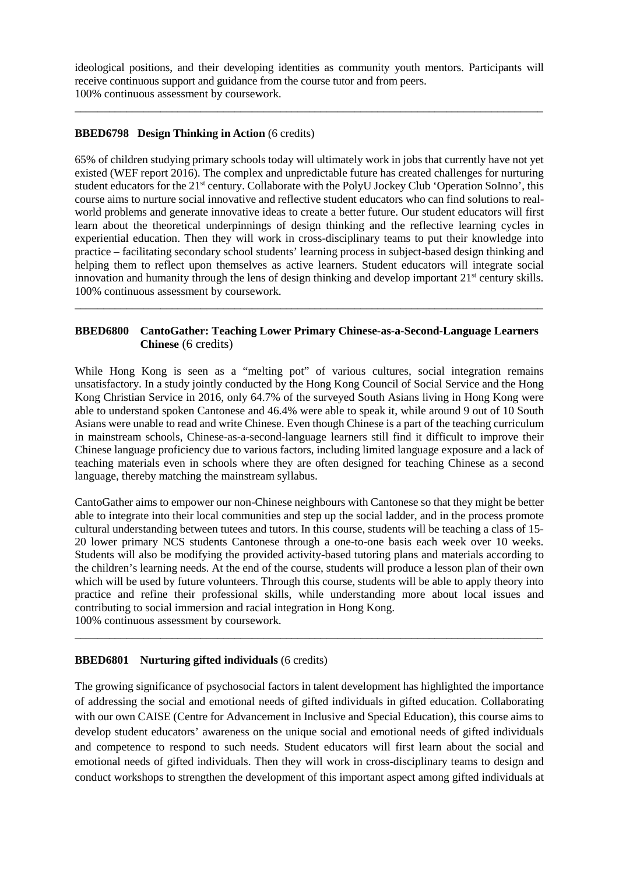ideological positions, and their developing identities as community youth mentors. Participants will receive continuous support and guidance from the course tutor and from peers. 100% continuous assessment by coursework.

\_\_\_\_\_\_\_\_\_\_\_\_\_\_\_\_\_\_\_\_\_\_\_\_\_\_\_\_\_\_\_\_\_\_\_\_\_\_\_\_\_\_\_\_\_\_\_\_\_\_\_\_\_\_\_\_\_\_\_\_\_\_\_\_\_\_\_\_\_\_\_\_\_\_\_\_\_\_\_\_\_\_

## **BBED6798 Design Thinking in Action** (6 credits)

65% of children studying primary schools today will ultimately work in jobs that currently have not yet existed (WEF report 2016). The complex and unpredictable future has created challenges for nurturing student educators for the 21st century. Collaborate with the PolyU Jockey Club 'Operation SoInno', this course aims to nurture social innovative and reflective student educators who can find solutions to realworld problems and generate innovative ideas to create a better future. Our student educators will first learn about the theoretical underpinnings of design thinking and the reflective learning cycles in experiential education. Then they will work in cross-disciplinary teams to put their knowledge into practice – facilitating secondary school students' learning process in subject-based design thinking and helping them to reflect upon themselves as active learners. Student educators will integrate social innovation and humanity through the lens of design thinking and develop important 21<sup>st</sup> century skills. 100% continuous assessment by coursework.

# **BBED6800 CantoGather: Teaching Lower Primary Chinese-as-a-Second-Language Learners Chinese** (6 credits)

\_\_\_\_\_\_\_\_\_\_\_\_\_\_\_\_\_\_\_\_\_\_\_\_\_\_\_\_\_\_\_\_\_\_\_\_\_\_\_\_\_\_\_\_\_\_\_\_\_\_\_\_\_\_\_\_\_\_\_\_\_\_\_\_\_\_\_\_\_\_\_\_\_\_\_\_\_\_\_\_\_\_

While Hong Kong is seen as a "melting pot" of various cultures, social integration remains unsatisfactory. In a study jointly conducted by the Hong Kong Council of Social Service and the Hong Kong Christian Service in 2016, only 64.7% of the surveyed South Asians living in Hong Kong were able to understand spoken Cantonese and 46.4% were able to speak it, while around 9 out of 10 South Asians were unable to read and write Chinese. Even though Chinese is a part of the teaching curriculum in mainstream schools, Chinese-as-a-second-language learners still find it difficult to improve their Chinese language proficiency due to various factors, including limited language exposure and a lack of teaching materials even in schools where they are often designed for teaching Chinese as a second language, thereby matching the mainstream syllabus.

CantoGather aims to empower our non-Chinese neighbours with Cantonese so that they might be better able to integrate into their local communities and step up the social ladder, and in the process promote cultural understanding between tutees and tutors. In this course, students will be teaching a class of 15- 20 lower primary NCS students Cantonese through a one-to-one basis each week over 10 weeks. Students will also be modifying the provided activity-based tutoring plans and materials according to the children's learning needs. At the end of the course, students will produce a lesson plan of their own which will be used by future volunteers. Through this course, students will be able to apply theory into practice and refine their professional skills, while understanding more about local issues and contributing to social immersion and racial integration in Hong Kong. 100% continuous assessment by coursework.

\_\_\_\_\_\_\_\_\_\_\_\_\_\_\_\_\_\_\_\_\_\_\_\_\_\_\_\_\_\_\_\_\_\_\_\_\_\_\_\_\_\_\_\_\_\_\_\_\_\_\_\_\_\_\_\_\_\_\_\_\_\_\_\_\_\_\_\_\_\_\_\_\_\_\_\_\_\_\_\_\_\_

# **BBED6801 Nurturing gifted individuals** (6 credits)

The growing significance of psychosocial factors in talent development has highlighted the importance of addressing the social and emotional needs of gifted individuals in gifted education. Collaborating with our own CAISE (Centre for Advancement in Inclusive and Special Education), this course aims to develop student educators' awareness on the unique social and emotional needs of gifted individuals and competence to respond to such needs. Student educators will first learn about the social and emotional needs of gifted individuals. Then they will work in cross-disciplinary teams to design and conduct workshops to strengthen the development of this important aspect among gifted individuals at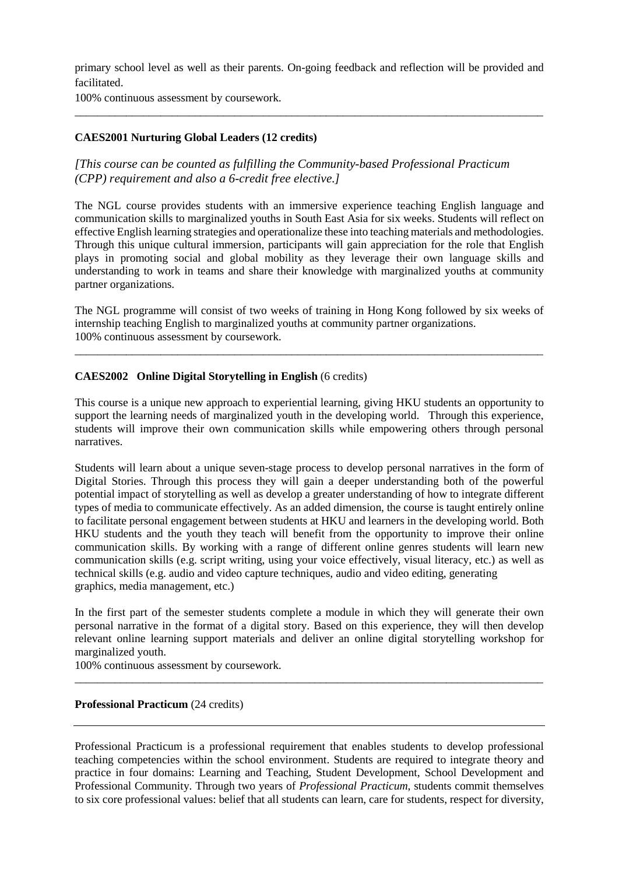primary school level as well as their parents. On-going feedback and reflection will be provided and facilitated.

\_\_\_\_\_\_\_\_\_\_\_\_\_\_\_\_\_\_\_\_\_\_\_\_\_\_\_\_\_\_\_\_\_\_\_\_\_\_\_\_\_\_\_\_\_\_\_\_\_\_\_\_\_\_\_\_\_\_\_\_\_\_\_\_\_\_\_\_\_\_\_\_\_\_\_\_\_\_\_\_\_\_

100% continuous assessment by coursework.

# **CAES2001 Nurturing Global Leaders (12 credits)**

*[This course can be counted as fulfilling the Community-based Professional Practicum (CPP) requirement and also a 6-credit free elective.]*

The NGL course provides students with an immersive experience teaching English language and communication skills to marginalized youths in South East Asia for six weeks. Students will reflect on effective English learning strategies and operationalize these into teaching materials and methodologies. Through this unique cultural immersion, participants will gain appreciation for the role that English plays in promoting social and global mobility as they leverage their own language skills and understanding to work in teams and share their knowledge with marginalized youths at community partner organizations.

The NGL programme will consist of two weeks of training in Hong Kong followed by six weeks of internship teaching English to marginalized youths at community partner organizations. 100% continuous assessment by coursework.

\_\_\_\_\_\_\_\_\_\_\_\_\_\_\_\_\_\_\_\_\_\_\_\_\_\_\_\_\_\_\_\_\_\_\_\_\_\_\_\_\_\_\_\_\_\_\_\_\_\_\_\_\_\_\_\_\_\_\_\_\_\_\_\_\_\_\_\_\_\_\_\_\_\_\_\_\_\_\_\_\_\_

## **CAES2002 Online Digital Storytelling in English** (6 credits)

This course is a unique new approach to experiential learning, giving HKU students an opportunity to support the learning needs of marginalized youth in the developing world. Through this experience, students will improve their own communication skills while empowering others through personal narratives.

Students will learn about a unique seven-stage process to develop personal narratives in the form of Digital Stories. Through this process they will gain a deeper understanding both of the powerful potential impact of storytelling as well as develop a greater understanding of how to integrate different types of media to communicate effectively. As an added dimension, the course is taught entirely online to facilitate personal engagement between students at HKU and learners in the developing world. Both HKU students and the youth they teach will benefit from the opportunity to improve their online communication skills. By working with a range of different online genres students will learn new communication skills (e.g. script writing, using your voice effectively, visual literacy, etc.) as well as technical skills (e.g. audio and video capture techniques, audio and video editing, generating graphics, media management, etc.)

In the first part of the semester students complete a module in which they will generate their own personal narrative in the format of a digital story. Based on this experience, they will then develop relevant online learning support materials and deliver an online digital storytelling workshop for marginalized youth.

\_\_\_\_\_\_\_\_\_\_\_\_\_\_\_\_\_\_\_\_\_\_\_\_\_\_\_\_\_\_\_\_\_\_\_\_\_\_\_\_\_\_\_\_\_\_\_\_\_\_\_\_\_\_\_\_\_\_\_\_\_\_\_\_\_\_\_\_\_\_\_\_\_\_\_\_\_\_\_\_\_\_

100% continuous assessment by coursework.

#### **Professional Practicum** (24 credits)

Professional Practicum is a professional requirement that enables students to develop professional teaching competencies within the school environment. Students are required to integrate theory and practice in four domains: Learning and Teaching, Student Development, School Development and Professional Community. Through two years of *Professional Practicum*, students commit themselves to six core professional values: belief that all students can learn, care for students, respect for diversity,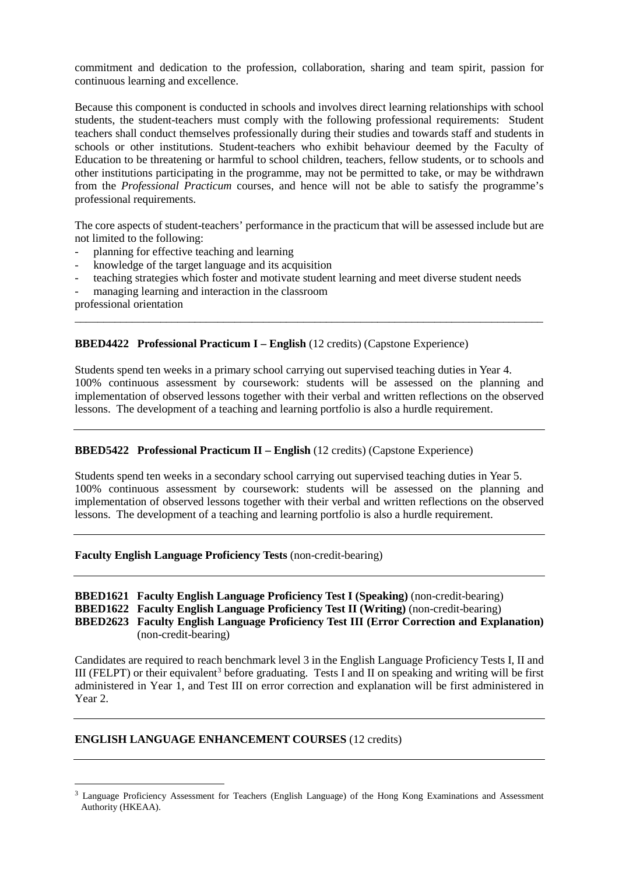commitment and dedication to the profession, collaboration, sharing and team spirit, passion for continuous learning and excellence.

Because this component is conducted in schools and involves direct learning relationships with school students, the student-teachers must comply with the following professional requirements: Student teachers shall conduct themselves professionally during their studies and towards staff and students in schools or other institutions. Student-teachers who exhibit behaviour deemed by the Faculty of Education to be threatening or harmful to school children, teachers, fellow students, or to schools and other institutions participating in the programme, may not be permitted to take, or may be withdrawn from the *Professional Practicum* courses, and hence will not be able to satisfy the programme's professional requirements.

The core aspects of student-teachers' performance in the practicum that will be assessed include but are not limited to the following:

- planning for effective teaching and learning
- knowledge of the target language and its acquisition
- teaching strategies which foster and motivate student learning and meet diverse student needs
- managing learning and interaction in the classroom

professional orientation

#### **BBED4422 Professional Practicum I – English** (12 credits) (Capstone Experience)

Students spend ten weeks in a primary school carrying out supervised teaching duties in Year 4. 100% continuous assessment by coursework: students will be assessed on the planning and implementation of observed lessons together with their verbal and written reflections on the observed lessons. The development of a teaching and learning portfolio is also a hurdle requirement.

\_\_\_\_\_\_\_\_\_\_\_\_\_\_\_\_\_\_\_\_\_\_\_\_\_\_\_\_\_\_\_\_\_\_\_\_\_\_\_\_\_\_\_\_\_\_\_\_\_\_\_\_\_\_\_\_\_\_\_\_\_\_\_\_\_\_\_\_\_\_\_\_\_\_\_\_\_\_\_\_\_\_

#### **BBED5422 Professional Practicum II – English** (12 credits) (Capstone Experience)

Students spend ten weeks in a secondary school carrying out supervised teaching duties in Year 5. 100% continuous assessment by coursework: students will be assessed on the planning and implementation of observed lessons together with their verbal and written reflections on the observed lessons. The development of a teaching and learning portfolio is also a hurdle requirement.

#### **Faculty English Language Proficiency Tests** (non-credit-bearing)

## **BBED1621 Faculty English Language Proficiency Test I (Speaking)** (non-credit-bearing) **BBED1622 Faculty English Language Proficiency Test II (Writing)** (non-credit-bearing) **BBED2623 Faculty English Language Proficiency Test III (Error Correction and Explanation)**  (non-credit-bearing)

Candidates are required to reach benchmark level 3 in the English Language Proficiency Tests I, II and III (FELPT) or their equivalent<sup>[3](#page-37-0)</sup> before graduating. Tests I and II on speaking and writing will be first administered in Year 1, and Test III on error correction and explanation will be first administered in Year 2.

## **ENGLISH LANGUAGE ENHANCEMENT COURSES** (12 credits)

<span id="page-37-0"></span> <sup>3</sup> Language Proficiency Assessment for Teachers (English Language) of the Hong Kong Examinations and Assessment Authority (HKEAA).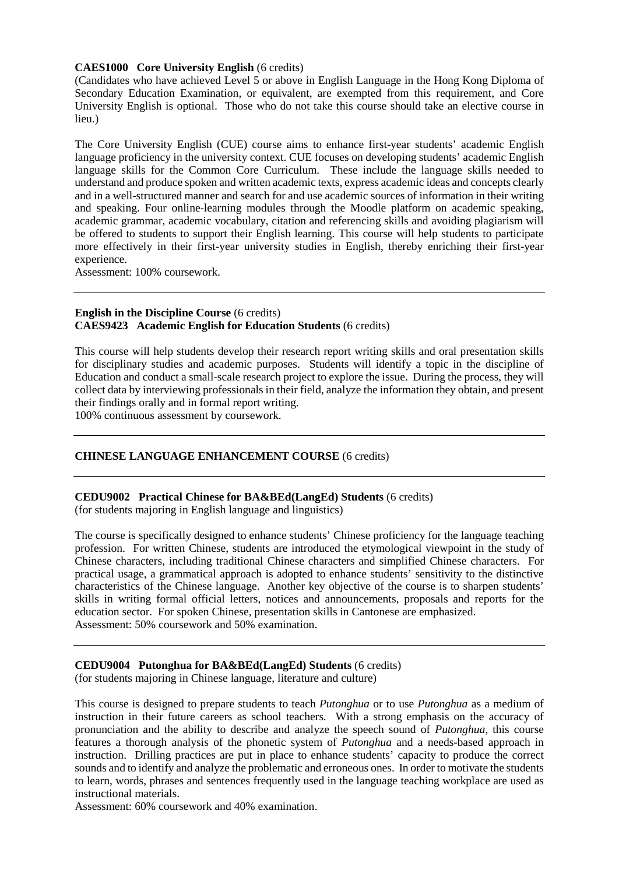#### **CAES1000 Core University English** (6 credits)

(Candidates who have achieved Level 5 or above in English Language in the Hong Kong Diploma of Secondary Education Examination, or equivalent, are exempted from this requirement, and Core University English is optional. Those who do not take this course should take an elective course in lieu.)

The Core University English (CUE) course aims to enhance first-year students' academic English language proficiency in the university context. CUE focuses on developing students' academic English language skills for the Common Core Curriculum. These include the language skills needed to understand and produce spoken and written academic texts, express academic ideas and concepts clearly and in a well-structured manner and search for and use academic sources of information in their writing and speaking. Four online-learning modules through the Moodle platform on academic speaking, academic grammar, academic vocabulary, citation and referencing skills and avoiding plagiarism will be offered to students to support their English learning. This course will help students to participate more effectively in their first-year university studies in English, thereby enriching their first-year experience.

Assessment: 100% coursework.

#### **English in the Discipline Course** (6 credits) **CAES9423 Academic English for Education Students** (6 credits)

This course will help students develop their research report writing skills and oral presentation skills for disciplinary studies and academic purposes. Students will identify a topic in the discipline of Education and conduct a small-scale research project to explore the issue. During the process, they will collect data by interviewing professionals in their field, analyze the information they obtain, and present their findings orally and in formal report writing.

100% continuous assessment by coursework.

## **CHINESE LANGUAGE ENHANCEMENT COURSE** (6 credits)

#### **CEDU9002 Practical Chinese for BA&BEd(LangEd) Students** (6 credits)

(for students majoring in English language and linguistics)

The course is specifically designed to enhance students' Chinese proficiency for the language teaching profession. For written Chinese, students are introduced the etymological viewpoint in the study of Chinese characters, including traditional Chinese characters and simplified Chinese characters. For practical usage, a grammatical approach is adopted to enhance students' sensitivity to the distinctive characteristics of the Chinese language. Another key objective of the course is to sharpen students' skills in writing formal official letters, notices and announcements, proposals and reports for the education sector. For spoken Chinese, presentation skills in Cantonese are emphasized. Assessment: 50% coursework and 50% examination.

## **CEDU9004 Putonghua for BA&BEd(LangEd) Students** (6 credits)

(for students majoring in Chinese language, literature and culture)

This course is designed to prepare students to teach *Putonghua* or to use *Putonghua* as a medium of instruction in their future careers as school teachers. With a strong emphasis on the accuracy of pronunciation and the ability to describe and analyze the speech sound of *Putonghua*, this course features a thorough analysis of the phonetic system of *Putonghua* and a needs-based approach in instruction. Drilling practices are put in place to enhance students' capacity to produce the correct sounds and to identify and analyze the problematic and erroneous ones. In order to motivate the students to learn, words, phrases and sentences frequently used in the language teaching workplace are used as instructional materials.

Assessment: 60% coursework and 40% examination.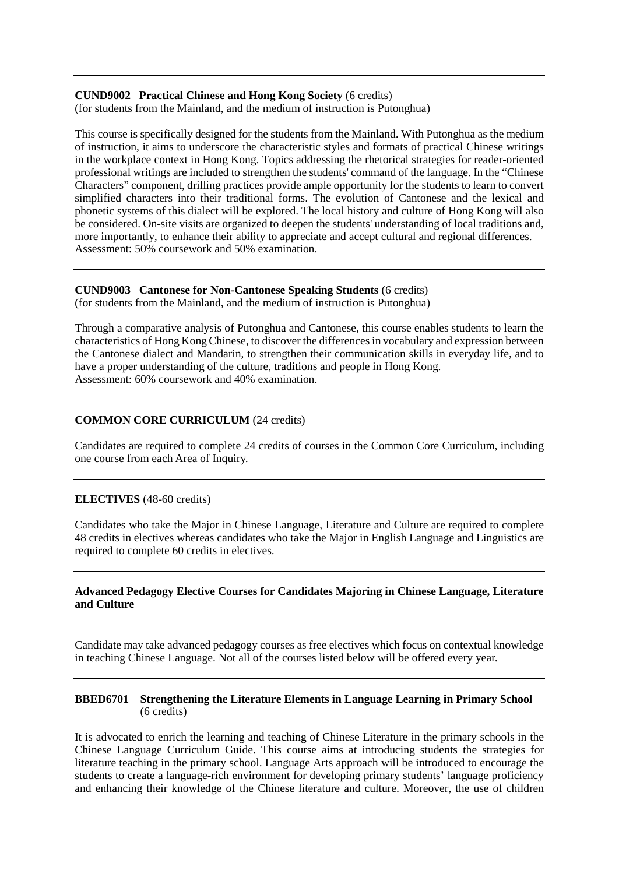# **CUND9002 Practical Chinese and Hong Kong Society** (6 credits)

(for students from the Mainland, and the medium of instruction is Putonghua)

This course is specifically designed for the students from the Mainland. With Putonghua as the medium of instruction, it aims to underscore the characteristic styles and formats of practical Chinese writings in the workplace context in Hong Kong. Topics addressing the rhetorical strategies for reader-oriented professional writings are included to strengthen the students' command of the language. In the "Chinese Characters" component, drilling practices provide ample opportunity for the students to learn to convert simplified characters into their traditional forms. The evolution of Cantonese and the lexical and phonetic systems of this dialect will be explored. The local history and culture of Hong Kong will also be considered. On-site visits are organized to deepen the students' understanding of local traditions and, more importantly, to enhance their ability to appreciate and accept cultural and regional differences. Assessment: 50% coursework and 50% examination.

# **CUND9003 Cantonese for Non-Cantonese Speaking Students** (6 credits)

(for students from the Mainland, and the medium of instruction is Putonghua)

Through a comparative analysis of Putonghua and Cantonese, this course enables students to learn the characteristics of Hong Kong Chinese, to discover the differences in vocabulary and expression between the Cantonese dialect and Mandarin, to strengthen their communication skills in everyday life, and to have a proper understanding of the culture, traditions and people in Hong Kong. Assessment: 60% coursework and 40% examination.

# **COMMON CORE CURRICULUM** (24 credits)

Candidates are required to complete 24 credits of courses in the Common Core Curriculum, including one course from each Area of Inquiry.

## **ELECTIVES** (48-60 credits)

Candidates who take the Major in Chinese Language, Literature and Culture are required to complete 48 credits in electives whereas candidates who take the Major in English Language and Linguistics are required to complete 60 credits in electives.

## **Advanced Pedagogy Elective Courses for Candidates Majoring in Chinese Language, Literature and Culture**

Candidate may take advanced pedagogy courses as free electives which focus on contextual knowledge in teaching Chinese Language. Not all of the courses listed below will be offered every year.

#### **BBED6701 Strengthening the Literature Elements in Language Learning in Primary School** (6 credits)

It is advocated to enrich the learning and teaching of Chinese Literature in the primary schools in the Chinese Language Curriculum Guide. This course aims at introducing students the strategies for literature teaching in the primary school. Language Arts approach will be introduced to encourage the students to create a language-rich environment for developing primary students' language proficiency and enhancing their knowledge of the Chinese literature and culture. Moreover, the use of children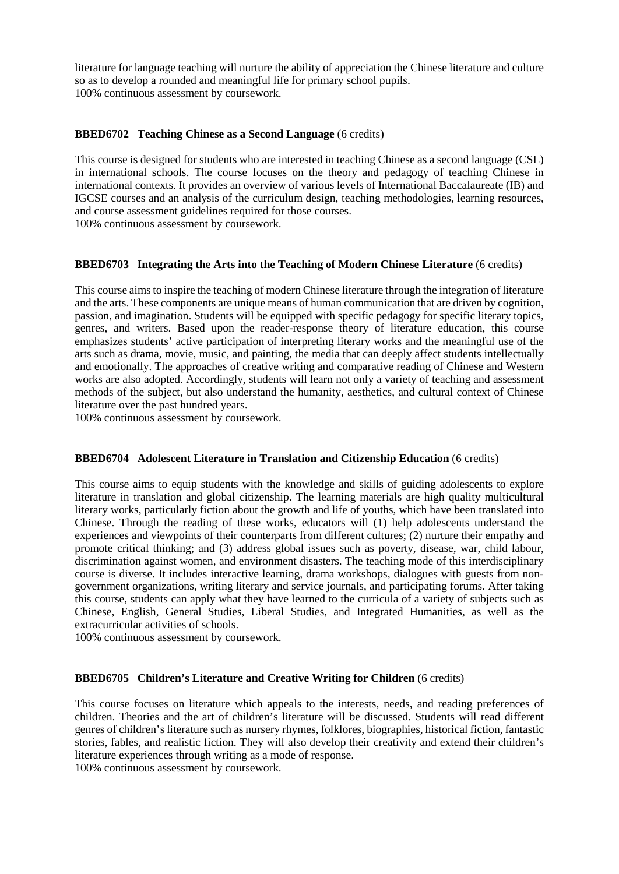literature for language teaching will nurture the ability of appreciation the Chinese literature and culture so as to develop a rounded and meaningful life for primary school pupils. 100% continuous assessment by coursework.

#### **BBED6702 Teaching Chinese as a Second Language** (6 credits)

This course is designed for students who are interested in teaching Chinese as a second language (CSL) in international schools. The course focuses on the theory and pedagogy of teaching Chinese in international contexts. It provides an overview of various levels of International Baccalaureate (IB) and IGCSE courses and an analysis of the curriculum design, teaching methodologies, learning resources, and course assessment guidelines required for those courses.

100% continuous assessment by coursework.

#### **BBED6703 Integrating the Arts into the Teaching of Modern Chinese Literature** (6 credits)

This course aims to inspire the teaching of modern Chinese literature through the integration of literature and the arts. These components are unique means of human communication that are driven by cognition, passion, and imagination. Students will be equipped with specific pedagogy for specific literary topics, genres, and writers. Based upon the reader-response theory of literature education, this course emphasizes students' active participation of interpreting literary works and the meaningful use of the arts such as drama, movie, music, and painting, the media that can deeply affect students intellectually and emotionally. The approaches of creative writing and comparative reading of Chinese and Western works are also adopted. Accordingly, students will learn not only a variety of teaching and assessment methods of the subject, but also understand the humanity, aesthetics, and cultural context of Chinese literature over the past hundred years.

100% continuous assessment by coursework.

#### **BBED6704 Adolescent Literature in Translation and Citizenship Education** (6 credits)

This course aims to equip students with the knowledge and skills of guiding adolescents to explore literature in translation and global citizenship. The learning materials are high quality multicultural literary works, particularly fiction about the growth and life of youths, which have been translated into Chinese. Through the reading of these works, educators will (1) help adolescents understand the experiences and viewpoints of their counterparts from different cultures; (2) nurture their empathy and promote critical thinking; and (3) address global issues such as poverty, disease, war, child labour, discrimination against women, and environment disasters. The teaching mode of this interdisciplinary course is diverse. It includes interactive learning, drama workshops, dialogues with guests from nongovernment organizations, writing literary and service journals, and participating forums. After taking this course, students can apply what they have learned to the curricula of a variety of subjects such as Chinese, English, General Studies, Liberal Studies, and Integrated Humanities, as well as the extracurricular activities of schools.

100% continuous assessment by coursework.

#### **BBED6705 Children's Literature and Creative Writing for Children** (6 credits)

This course focuses on literature which appeals to the interests, needs, and reading preferences of children. Theories and the art of children's literature will be discussed. Students will read different genres of children's literature such as nursery rhymes, folklores, biographies, historical fiction, fantastic stories, fables, and realistic fiction. They will also develop their creativity and extend their children's literature experiences through writing as a mode of response.

100% continuous assessment by coursework.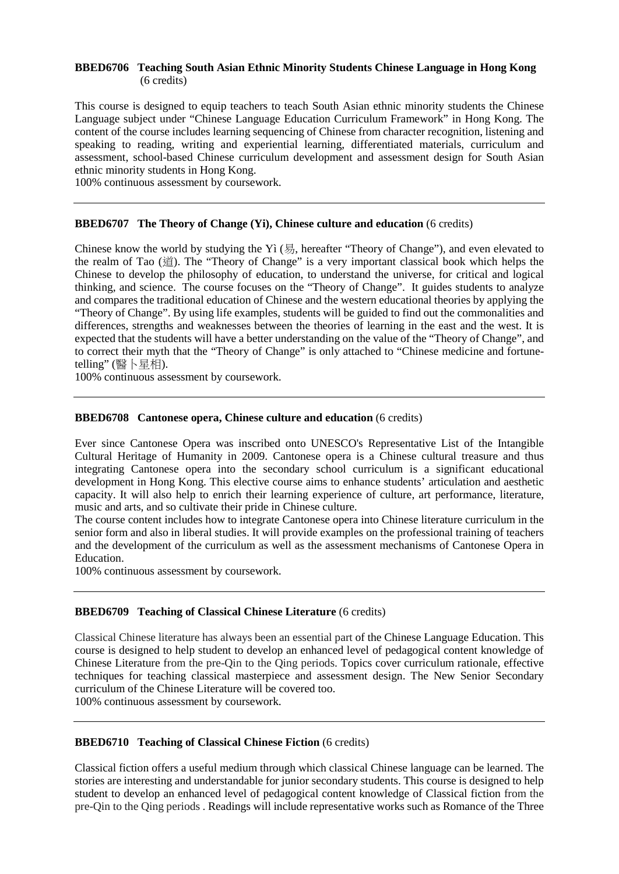#### **BBED6706 Teaching South Asian Ethnic Minority Students Chinese Language in Hong Kong**  (6 credits)

This course is designed to equip teachers to teach South Asian ethnic minority students the Chinese Language subject under "Chinese Language Education Curriculum Framework" in Hong Kong. The content of the course includes learning sequencing of Chinese from character recognition, listening and speaking to reading, writing and experiential learning, differentiated materials, curriculum and assessment, school-based Chinese curriculum development and assessment design for South Asian ethnic minority students in Hong Kong.

100% continuous assessment by coursework.

## **BBED6707 The Theory of Change (Yi), Chinese culture and education** (6 credits)

Chinese know the world by studying the [Yì](http://pth.linqi.org/sound/yi4.mp3) (易, hereafter "Theory of Change"), and even elevated to the realm of Tao (道). The "Theory of Change" is a very important classical book which helps the Chinese to develop the philosophy of education, to understand the universe, for critical and logical thinking, and science. The course focuses on the "Theory of Change". It guides students to analyze and compares the traditional education of Chinese and the western educational theories by applying the "Theory of Change". By using life examples, students will be guided to find out the commonalities and differences, strengths and weaknesses between the theories of learning in the east and the west. It is expected that the students will have a better understanding on the value of the "Theory of Change", and to correct their myth that the "Theory of Change" is only attached to "Chinese medicine and fortunetelling" (醫卜星相).

100% continuous assessment by coursework.

#### **BBED6708 Cantonese opera, Chinese culture and education** (6 credits)

Ever since Cantonese Opera was inscribed onto UNESCO's Representative List of the Intangible Cultural Heritage of Humanity in 2009. Cantonese opera is a Chinese cultural treasure and thus integrating Cantonese opera into the secondary school curriculum is a significant educational development in Hong Kong. This elective course aims to enhance students' articulation and aesthetic capacity. It will also help to enrich their learning experience of culture, art performance, literature, music and arts, and so cultivate their pride in Chinese culture.

The course content includes how to integrate Cantonese opera into Chinese literature curriculum in the senior form and also in liberal studies. It will provide examples on the professional training of teachers and the development of the curriculum as well as the assessment mechanisms of Cantonese Opera in Education.

100% continuous assessment by coursework.

#### **BBED6709 Teaching of Classical Chinese Literature** (6 credits)

Classical Chinese literature has always been an essential part of the Chinese Language Education. This course is designed to help student to develop an enhanced level of pedagogical content knowledge of Chinese Literature from the pre-Qin to the Qing periods. Topics cover curriculum rationale, effective techniques for teaching classical masterpiece and assessment design. The New Senior Secondary curriculum of the Chinese Literature will be covered too.

100% continuous assessment by coursework.

## **BBED6710 Teaching of Classical Chinese Fiction** (6 credits)

Classical fiction offers a useful medium through which classical Chinese language can be learned. The stories are interesting and understandable for junior secondary students. This course is designed to help student to develop an enhanced level of pedagogical content knowledge of Classical fiction from the pre-Qin to the Qing periods . Readings will include representative works such as Romance of the Three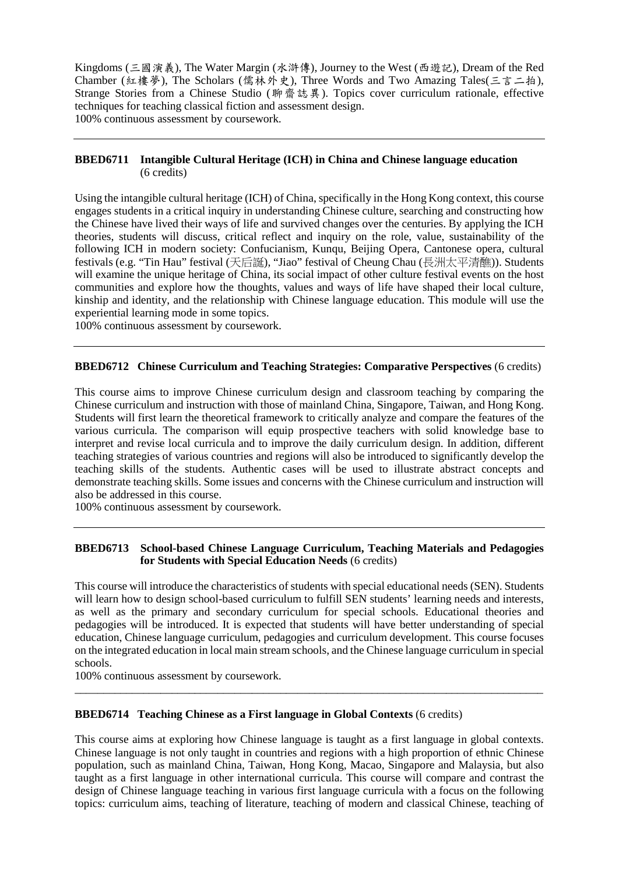Kingdoms (三國演義), The Water Margin (水滸傳), Journey to the West (西遊記), Dream of the Red Chamber (紅樓夢), The Scholars (儒林外史), Three Words and Two Amazing Tales(三言二拍), Strange Stories from a Chinese Studio (聊齋誌異). Topics cover curriculum rationale, effective techniques for teaching classical fiction and assessment design. 100% continuous assessment by coursework.

## **BBED6711 Intangible Cultural Heritage (ICH) in China and Chinese language education** (6 credits)

Using the intangible cultural heritage (ICH) of China, specifically in the Hong Kong context, this course engages students in a critical inquiry in understanding Chinese culture, searching and constructing how the Chinese have lived their ways of life and survived changes over the centuries. By applying the ICH theories, students will discuss, critical reflect and inquiry on the role, value, sustainability of the following ICH in modern society: Confucianism, Kunqu, Beijing Opera, Cantonese opera, cultural festivals (e.g. "Tin Hau" festival (天后誕), "Jiao" festival of Cheung Chau (長洲太平清醮)). Students will examine the unique heritage of China, its social impact of other culture festival events on the host communities and explore how the thoughts, values and ways of life have shaped their local culture, kinship and identity, and the relationship with Chinese language education. This module will use the experiential learning mode in some topics.

100% continuous assessment by coursework.

## **BBED6712 Chinese Curriculum and Teaching Strategies: Comparative Perspectives** (6 credits)

This course aims to improve Chinese curriculum design and classroom teaching by comparing the Chinese curriculum and instruction with those of mainland China, Singapore, Taiwan, and Hong Kong. Students will first learn the theoretical framework to critically analyze and compare the features of the various curricula. The comparison will equip prospective teachers with solid knowledge base to interpret and revise local curricula and to improve the daily curriculum design. In addition, different teaching strategies of various countries and regions will also be introduced to significantly develop the teaching skills of the students. Authentic cases will be used to illustrate abstract concepts and demonstrate teaching skills. Some issues and concerns with the Chinese curriculum and instruction will also be addressed in this course.

100% continuous assessment by coursework.

#### **BBED6713 School-based Chinese Language Curriculum, Teaching Materials and Pedagogies for Students with Special Education Needs** (6 credits)

This course will introduce the characteristics of students with special educational needs (SEN). Students will learn how to design school-based curriculum to fulfill SEN students' learning needs and interests, as well as the primary and secondary curriculum for special schools. Educational theories and pedagogies will be introduced. It is expected that students will have better understanding of special education, Chinese language curriculum, pedagogies and curriculum development. This course focuses on the integrated education in local main stream schools, and the Chinese language curriculum in special schools.

\_\_\_\_\_\_\_\_\_\_\_\_\_\_\_\_\_\_\_\_\_\_\_\_\_\_\_\_\_\_\_\_\_\_\_\_\_\_\_\_\_\_\_\_\_\_\_\_\_\_\_\_\_\_\_\_\_\_\_\_\_\_\_\_\_\_\_\_\_\_\_\_\_\_\_\_\_\_\_\_\_\_

100% continuous assessment by coursework.

## **BBED6714 Teaching Chinese as a First language in Global Contexts** (6 credits)

This course aims at exploring how Chinese language is taught as a first language in global contexts. Chinese language is not only taught in countries and regions with a high proportion of ethnic Chinese population, such as mainland China, Taiwan, Hong Kong, Macao, Singapore and Malaysia, but also taught as a first language in other international curricula. This course will compare and contrast the design of Chinese language teaching in various first language curricula with a focus on the following topics: curriculum aims, teaching of literature, teaching of modern and classical Chinese, teaching of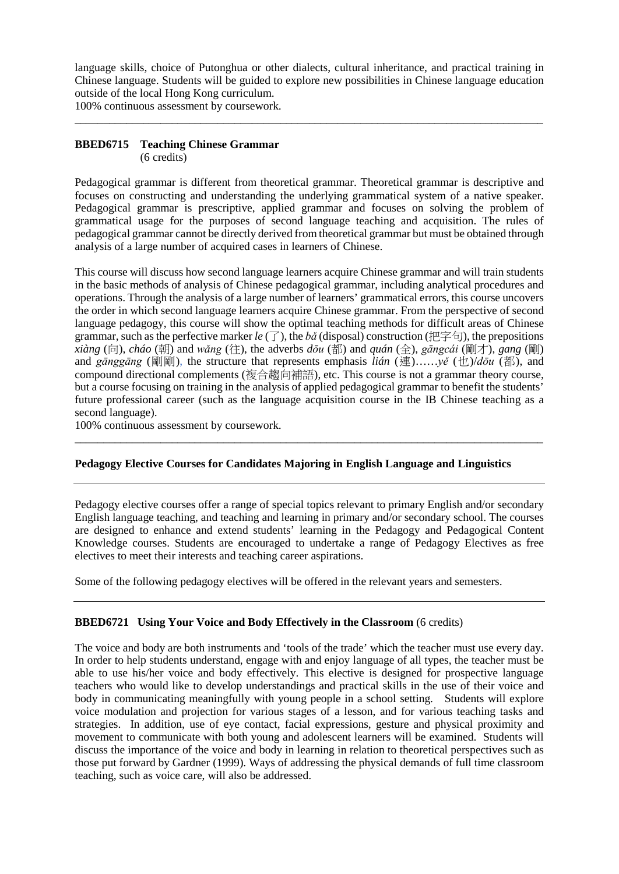language skills, choice of Putonghua or other dialects, cultural inheritance, and practical training in Chinese language. Students will be guided to explore new possibilities in Chinese language education outside of the local Hong Kong curriculum.

\_\_\_\_\_\_\_\_\_\_\_\_\_\_\_\_\_\_\_\_\_\_\_\_\_\_\_\_\_\_\_\_\_\_\_\_\_\_\_\_\_\_\_\_\_\_\_\_\_\_\_\_\_\_\_\_\_\_\_\_\_\_\_\_\_\_\_\_\_\_\_\_\_\_\_\_\_\_\_\_\_\_

100% continuous assessment by coursework.

## **BBED6715 Teaching Chinese Grammar** (6 credits)

Pedagogical grammar is different from theoretical grammar. Theoretical grammar is descriptive and focuses on constructing and understanding the underlying grammatical system of a native speaker. Pedagogical grammar is prescriptive, applied grammar and focuses on solving the problem of grammatical usage for the purposes of second language teaching and acquisition. The rules of pedagogical grammar cannot be directly derived from theoretical grammar but must be obtained through analysis of a large number of acquired cases in learners of Chinese.

This course will discuss how second language learners acquire Chinese grammar and will train students in the basic methods of analysis of Chinese pedagogical grammar, including analytical procedures and operations. Through the analysis of a large number of learners' grammatical errors, this course uncovers the order in which second language learners acquire Chinese grammar. From the perspective of second language pedagogy, this course will show the optimal teaching methods for difficult areas of Chinese grammar, such as the perfective marker  $le \tau$ , the *bǎ* (disposal) construction (把字句), the prepositions  $x$ *iàng* (向), *cháo* (朝) and *wǎng* (往), the adverbs  $d\bar{\sigma}u$  (都) and  $\bar{g}u$  ( $\hat{\sigma}$ ),  $\bar{g}u$  (and  $\bar{g}u$ ),  $\bar{g}u$  (剛) and *gānggāng* (剛剛), the structure that represents emphasis *lián* (連)……*yě* (也)/*dōu* (都), and compound directional complements (複合趨向補語), etc. This course is not a grammar theory course, but a course focusing on training in the analysis of applied pedagogical grammar to benefit the students' future professional career (such as the language acquisition course in the IB Chinese teaching as a second language).

100% continuous assessment by coursework.

## **Pedagogy Elective Courses for Candidates Majoring in English Language and Linguistics**

\_\_\_\_\_\_\_\_\_\_\_\_\_\_\_\_\_\_\_\_\_\_\_\_\_\_\_\_\_\_\_\_\_\_\_\_\_\_\_\_\_\_\_\_\_\_\_\_\_\_\_\_\_\_\_\_\_\_\_\_\_\_\_\_\_\_\_\_\_\_\_\_\_\_\_\_\_\_\_\_\_\_

Pedagogy elective courses offer a range of special topics relevant to primary English and/or secondary English language teaching, and teaching and learning in primary and/or secondary school. The courses are designed to enhance and extend students' learning in the Pedagogy and Pedagogical Content Knowledge courses. Students are encouraged to undertake a range of Pedagogy Electives as free electives to meet their interests and teaching career aspirations.

Some of the following pedagogy electives will be offered in the relevant years and semesters.

## **BBED6721 Using Your Voice and Body Effectively in the Classroom** (6 credits)

The voice and body are both instruments and 'tools of the trade' which the teacher must use every day. In order to help students understand, engage with and enjoy language of all types, the teacher must be able to use his/her voice and body effectively. This elective is designed for prospective language teachers who would like to develop understandings and practical skills in the use of their voice and body in communicating meaningfully with young people in a school setting. Students will explore voice modulation and projection for various stages of a lesson, and for various teaching tasks and strategies. In addition, use of eye contact, facial expressions, gesture and physical proximity and movement to communicate with both young and adolescent learners will be examined. Students will discuss the importance of the voice and body in learning in relation to theoretical perspectives such as those put forward by Gardner (1999). Ways of addressing the physical demands of full time classroom teaching, such as voice care, will also be addressed.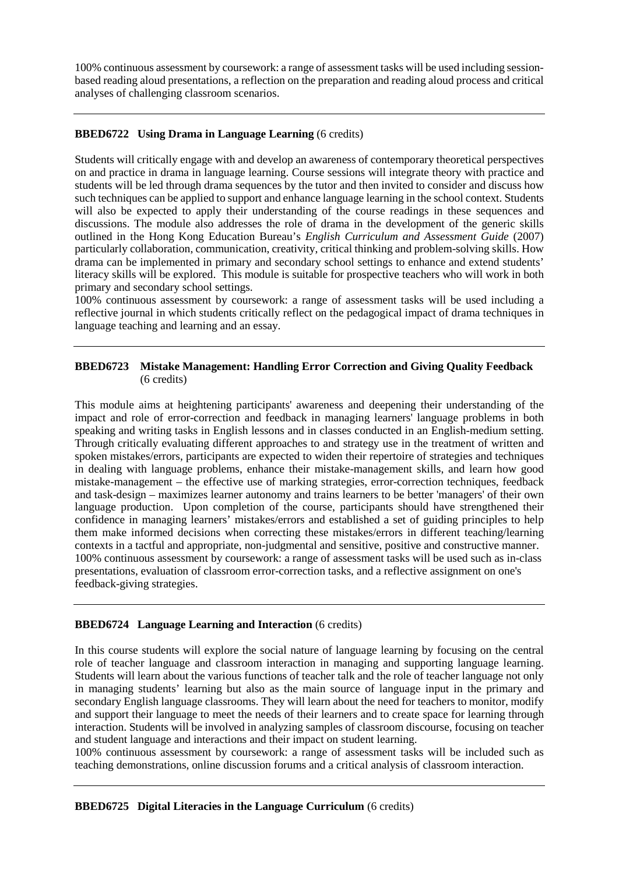100% continuous assessment by coursework: a range of assessment tasks will be used including sessionbased reading aloud presentations, a reflection on the preparation and reading aloud process and critical analyses of challenging classroom scenarios.

# **BBED6722 Using Drama in Language Learning** (6 credits)

Students will critically engage with and develop an awareness of contemporary theoretical perspectives on and practice in drama in language learning. Course sessions will integrate theory with practice and students will be led through drama sequences by the tutor and then invited to consider and discuss how such techniques can be applied to support and enhance language learning in the school context. Students will also be expected to apply their understanding of the course readings in these sequences and discussions. The module also addresses the role of drama in the development of the generic skills outlined in the Hong Kong Education Bureau's *English Curriculum and Assessment Guide* (2007) particularly collaboration, communication, creativity, critical thinking and problem-solving skills. How drama can be implemented in primary and secondary school settings to enhance and extend students' literacy skills will be explored. This module is suitable for prospective teachers who will work in both primary and secondary school settings.

100% continuous assessment by coursework: a range of assessment tasks will be used including a reflective journal in which students critically reflect on the pedagogical impact of drama techniques in language teaching and learning and an essay.

## **BBED6723 Mistake Management: Handling Error Correction and Giving Quality Feedback** (6 credits)

This module aims at heightening participants' awareness and deepening their understanding of the impact and role of error-correction and feedback in managing learners' language problems in both speaking and writing tasks in English lessons and in classes conducted in an English-medium setting. Through critically evaluating different approaches to and strategy use in the treatment of written and spoken mistakes/errors, participants are expected to widen their repertoire of strategies and techniques in dealing with language problems, enhance their mistake-management skills, and learn how good mistake-management – the effective use of marking strategies, error-correction techniques, feedback and task-design – maximizes learner autonomy and trains learners to be better 'managers' of their own language production. Upon completion of the course, participants should have strengthened their confidence in managing learners' mistakes/errors and established a set of guiding principles to help them make informed decisions when correcting these mistakes/errors in different teaching/learning contexts in a tactful and appropriate, non-judgmental and sensitive, positive and constructive manner. 100% continuous assessment by coursework: a range of assessment tasks will be used such as in-class presentations, evaluation of classroom error-correction tasks, and a reflective assignment on one's feedback-giving strategies.

# **BBED6724 Language Learning and Interaction** (6 credits)

In this course students will explore the social nature of language learning by focusing on the central role of teacher language and classroom interaction in managing and supporting language learning. Students will learn about the various functions of teacher talk and the role of teacher language not only in managing students' learning but also as the main source of language input in the primary and secondary English language classrooms. They will learn about the need for teachers to monitor, modify and support their language to meet the needs of their learners and to create space for learning through interaction. Students will be involved in analyzing samples of classroom discourse, focusing on teacher and student language and interactions and their impact on student learning.

100% continuous assessment by coursework: a range of assessment tasks will be included such as teaching demonstrations, online discussion forums and a critical analysis of classroom interaction.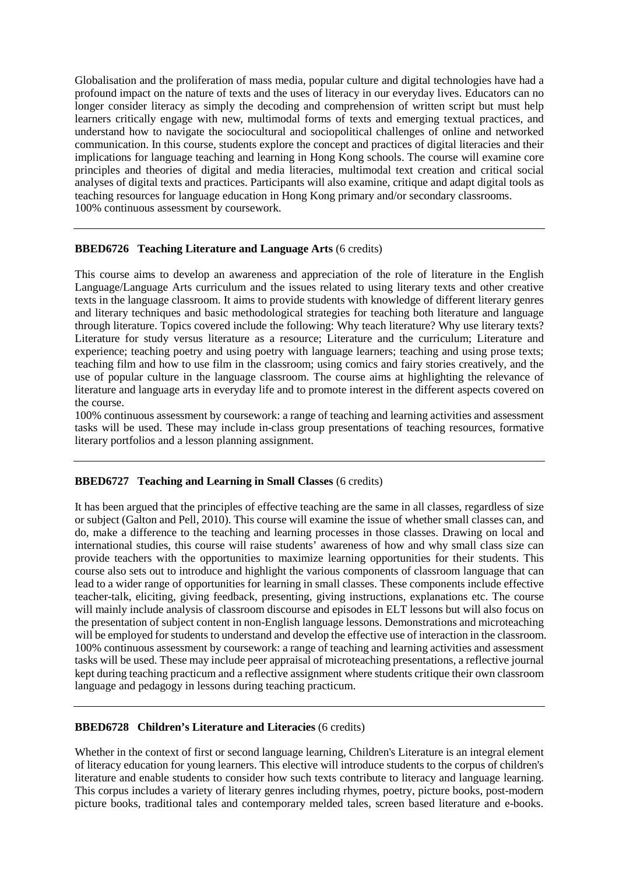Globalisation and the proliferation of mass media, popular culture and digital technologies have had a profound impact on the nature of texts and the uses of literacy in our everyday lives. Educators can no longer consider literacy as simply the decoding and comprehension of written script but must help learners critically engage with new, multimodal forms of texts and emerging textual practices, and understand how to navigate the sociocultural and sociopolitical challenges of online and networked communication. In this course, students explore the concept and practices of digital literacies and their implications for language teaching and learning in Hong Kong schools. The course will examine core principles and theories of digital and media literacies, multimodal text creation and critical social analyses of digital texts and practices. Participants will also examine, critique and adapt digital tools as teaching resources for language education in Hong Kong primary and/or secondary classrooms. 100% continuous assessment by coursework.

#### **BBED6726 Teaching Literature and Language Arts** (6 credits)

This course aims to develop an awareness and appreciation of the role of literature in the English Language/Language Arts curriculum and the issues related to using literary texts and other creative texts in the language classroom. It aims to provide students with knowledge of different literary genres and literary techniques and basic methodological strategies for teaching both literature and language through literature. Topics covered include the following: Why teach literature? Why use literary texts? Literature for study versus literature as a resource; Literature and the curriculum; Literature and experience; teaching poetry and using poetry with language learners; teaching and using prose texts; teaching film and how to use film in the classroom; using comics and fairy stories creatively, and the use of popular culture in the language classroom. The course aims at highlighting the relevance of literature and language arts in everyday life and to promote interest in the different aspects covered on the course.

100% continuous assessment by coursework: a range of teaching and learning activities and assessment tasks will be used. These may include in-class group presentations of teaching resources, formative literary portfolios and a lesson planning assignment.

## **BBED6727 Teaching and Learning in Small Classes** (6 credits)

It has been argued that the principles of effective teaching are the same in all classes, regardless of size or subject (Galton and Pell, 2010). This course will examine the issue of whether small classes can, and do, make a difference to the teaching and learning processes in those classes. Drawing on local and international studies, this course will raise students' awareness of how and why small class size can provide teachers with the opportunities to maximize learning opportunities for their students. This course also sets out to introduce and highlight the various components of classroom language that can lead to a wider range of opportunities for learning in small classes. These components include effective teacher-talk, eliciting, giving feedback, presenting, giving instructions, explanations etc. The course will mainly include analysis of classroom discourse and episodes in ELT lessons but will also focus on the presentation of subject content in non-English language lessons. Demonstrations and microteaching will be employed for students to understand and develop the effective use of interaction in the classroom. 100% continuous assessment by coursework: a range of teaching and learning activities and assessment tasks will be used. These may include peer appraisal of microteaching presentations, a reflective journal kept during teaching practicum and a reflective assignment where students critique their own classroom language and pedagogy in lessons during teaching practicum.

# **BBED6728 Children's Literature and Literacies** (6 credits)

Whether in the context of first or second language learning, Children's Literature is an integral element of literacy education for young learners. This elective will introduce students to the corpus of children's literature and enable students to consider how such texts contribute to literacy and language learning. This corpus includes a variety of literary genres including rhymes, poetry, picture books, post-modern picture books, traditional tales and contemporary melded tales, screen based literature and e-books.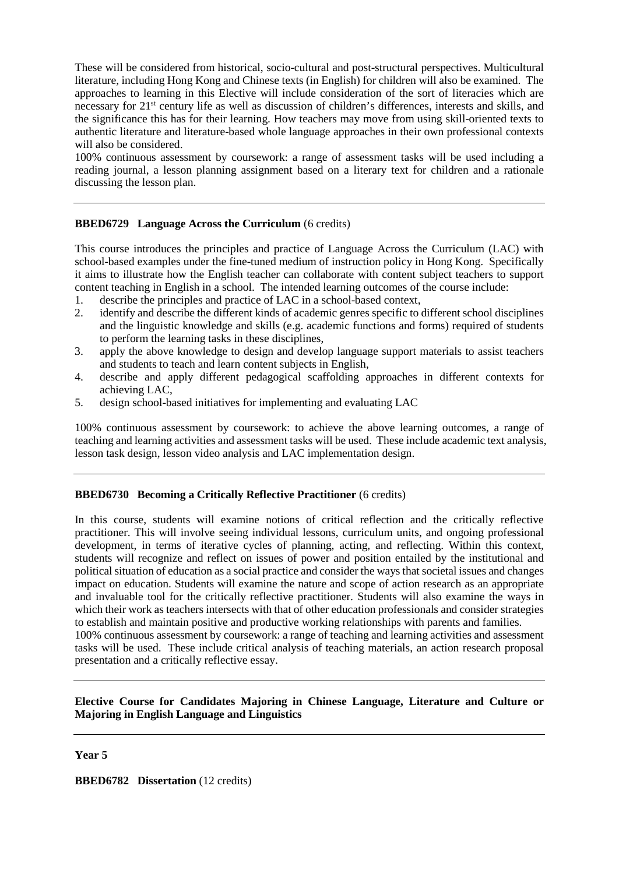These will be considered from historical, socio-cultural and post-structural perspectives. Multicultural literature, including Hong Kong and Chinese texts (in English) for children will also be examined. The approaches to learning in this Elective will include consideration of the sort of literacies which are necessary for 21st century life as well as discussion of children's differences, interests and skills, and the significance this has for their learning. How teachers may move from using skill-oriented texts to authentic literature and literature-based whole language approaches in their own professional contexts will also be considered.

100% continuous assessment by coursework: a range of assessment tasks will be used including a reading journal, a lesson planning assignment based on a literary text for children and a rationale discussing the lesson plan.

## **BBED6729 Language Across the Curriculum** (6 credits)

This course introduces the principles and practice of Language Across the Curriculum (LAC) with school-based examples under the fine-tuned medium of instruction policy in Hong Kong. Specifically it aims to illustrate how the English teacher can collaborate with content subject teachers to support content teaching in English in a school. The intended learning outcomes of the course include:

- 1. describe the principles and practice of LAC in a school-based context,<br>2. identify and describe the different kinds of academic genres specific to
- identify and describe the different kinds of academic genres specific to different school disciplines and the linguistic knowledge and skills (e.g. academic functions and forms) required of students to perform the learning tasks in these disciplines,
- 3. apply the above knowledge to design and develop language support materials to assist teachers and students to teach and learn content subjects in English,
- 4. describe and apply different pedagogical scaffolding approaches in different contexts for achieving LAC,
- 5. design school-based initiatives for implementing and evaluating LAC

100% continuous assessment by coursework: to achieve the above learning outcomes, a range of teaching and learning activities and assessment tasks will be used. These include academic text analysis, lesson task design, lesson video analysis and LAC implementation design.

## **BBED6730 Becoming a Critically Reflective Practitioner** (6 credits)

In this course, students will examine notions of critical reflection and the critically reflective practitioner. This will involve seeing individual lessons, curriculum units, and ongoing professional development, in terms of iterative cycles of planning, acting, and reflecting. Within this context, students will recognize and reflect on issues of power and position entailed by the institutional and political situation of education as a social practice and consider the ways that societal issues and changes impact on education. Students will examine the nature and scope of action research as an appropriate and invaluable tool for the critically reflective practitioner. Students will also examine the ways in which their work as teachers intersects with that of other education professionals and consider strategies to establish and maintain positive and productive working relationships with parents and families. 100% continuous assessment by coursework: a range of teaching and learning activities and assessment tasks will be used. These include critical analysis of teaching materials, an action research proposal

# **Elective Course for Candidates Majoring in Chinese Language, Literature and Culture or Majoring in English Language and Linguistics**

## **Year 5**

**BBED6782** Dissertation (12 credits)

presentation and a critically reflective essay.